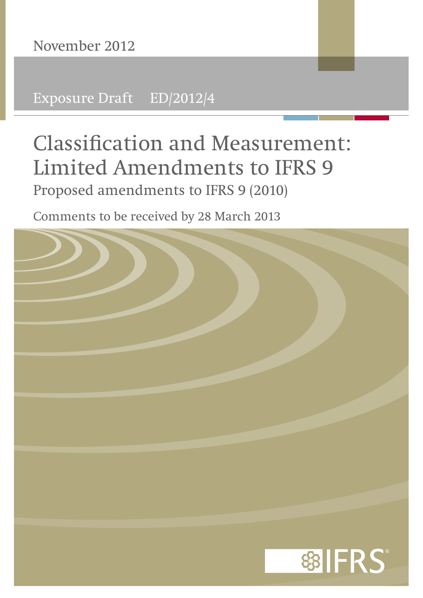Exposure Draft ED/2012/4

# **Classification and Measurement: Limited Amendments to IFRS 9**  Proposed amendments to IFRS 9 (2010)

Comments to be received by 28 March 2013

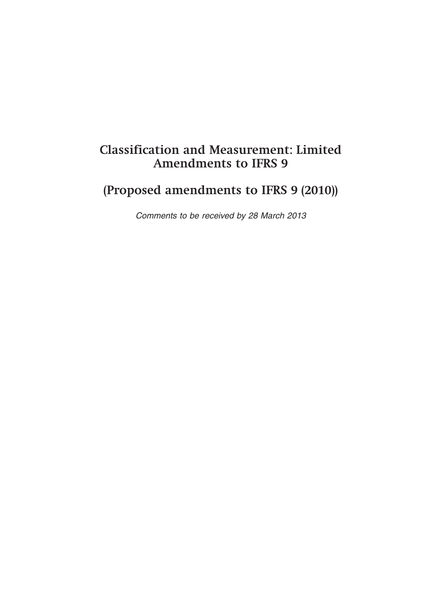# **Classification and Measurement: Limited Amendments to IFRS 9**

# **(Proposed amendments to IFRS 9 (2010))**

*Comments to be received by 28 March 2013*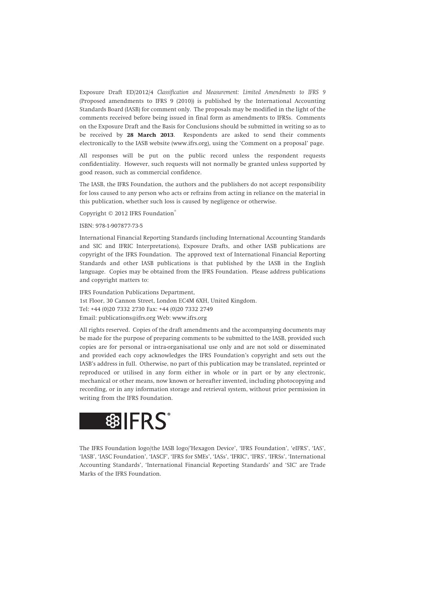Exposure Draft ED/2012/4 *Classification and Measurement: Limited Amendments to IFRS 9* (Proposed amendments to IFRS 9 (2010)) is published by the International Accounting Standards Board (IASB) for comment only. The proposals may be modified in the light of the comments received before being issued in final form as amendments to IFRSs. Comments on the Exposure Draft and the Basis for Conclusions should be submitted in writing so as to be received by **28 March 2013**. Respondents are asked to send their comments electronically to the IASB website (www.ifrs.org), using the 'Comment on a proposal' page.

All responses will be put on the public record unless the respondent requests confidentiality. However, such requests will not normally be granted unless supported by good reason, such as commercial confidence.

The IASB, the IFRS Foundation, the authors and the publishers do not accept responsibility for loss caused to any person who acts or refrains from acting in reliance on the material in this publication, whether such loss is caused by negligence or otherwise.

Copyright © 2012 IFRS Foundation®

#### ISBN: 978-1-907877-73-5

International Financial Reporting Standards (including International Accounting Standards and SIC and IFRIC Interpretations), Exposure Drafts, and other IASB publications are copyright of the IFRS Foundation. The approved text of International Financial Reporting Standards and other IASB publications is that published by the IASB in the English language. Copies may be obtained from the IFRS Foundation. Please address publications and copyright matters to:

IFRS Foundation Publications Department, 1st Floor, 30 Cannon Street, London EC4M 6XH, United Kingdom. Tel: +44 (0)20 7332 2730 Fax: +44 (0)20 7332 2749 Email: publications@ifrs.org Web: www.ifrs.org

All rights reserved. Copies of the draft amendments and the accompanying documents may be made for the purpose of preparing comments to be submitted to the IASB, provided such copies are for personal or intra-organisational use only and are not sold or disseminated and provided each copy acknowledges the IFRS Foundation's copyright and sets out the IASB's address in full. Otherwise, no part of this publication may be translated, reprinted or reproduced or utilised in any form either in whole or in part or by any electronic, mechanical or other means, now known or hereafter invented, including photocopying and recording, or in any information storage and retrieval system, without prior permission in writing from the IFRS Foundation.



The IFRS Foundation logo/the IASB logo/'Hexagon Device', 'IFRS Foundation', 'eIFRS', 'IAS', 'IASB', 'IASC Foundation', 'IASCF', 'IFRS for SMEs', 'IASs', 'IFRIC', 'IFRS', 'IFRSs', 'International Accounting Standards', 'International Financial Reporting Standards' and 'SIC' are Trade Marks of the IFRS Foundation.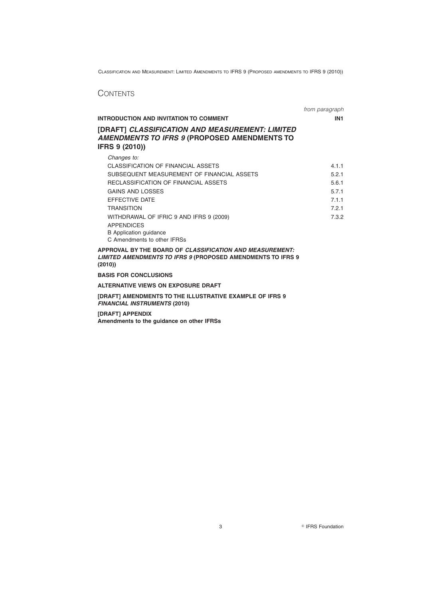# **CONTENTS**

|                                                                                                                   | from paragraph  |
|-------------------------------------------------------------------------------------------------------------------|-----------------|
| <b>INTRODUCTION AND INVITATION TO COMMENT</b>                                                                     | IN <sub>1</sub> |
| [DRAFT] CLASSIFICATION AND MEASUREMENT: LIMITED<br>AMENDMENTS TO IFRS 9 (PROPOSED AMENDMENTS TO<br>IFRS 9 (2010)) |                 |
| Changes to:<br>CLASSIFICATION OF FINANCIAL ASSETS<br>SUBSEQUENT MEASUREMENT OF FINANCIAL ASSETS                   | 4.1.1<br>5.2.1  |

| RECLASSIFICATION OF FINANCIAL ASSETS    | 5.6.1 |
|-----------------------------------------|-------|
| GAINS AND LOSSES                        | 5.7.1 |
| EFFECTIVE DATE                          | 7.1.1 |
| <b>TRANSITION</b>                       | 7.2.1 |
| WITHDRAWAL OF IFRIC 9 AND IFRS 9 (2009) | 7.3.2 |
| <b>APPENDICES</b>                       |       |
| B Application guidance                  |       |

C Amendments to other IFRSs **APPROVAL BY THE BOARD OF** *CLASSIFICATION AND MEASUREMENT: LIMITED AMENDMENTS TO IFRS 9* **(PROPOSED AMENDMENTS TO IFRS 9**

**(2010))**

**BASIS FOR CONCLUSIONS**

**ALTERNATIVE VIEWS ON EXPOSURE DRAFT**

**[DRAFT] AMENDMENTS TO THE ILLUSTRATIVE EXAMPLE OF IFRS 9** *FINANCIAL INSTRUMENTS* **(2010)**

**[DRAFT] APPENDIX Amendments to the guidance on other IFRSs**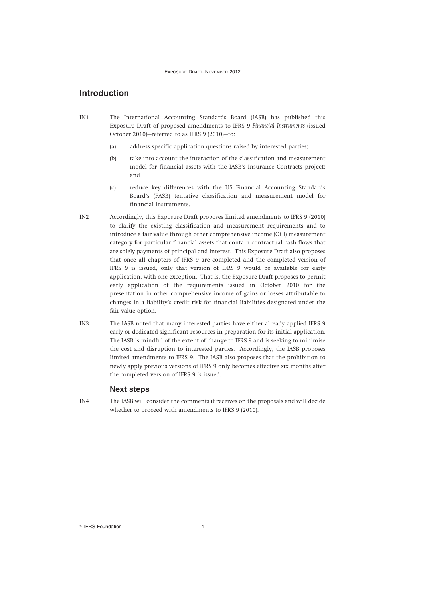# **Introduction**

- IN1 The International Accounting Standards Board (IASB) has published this Exposure Draft of proposed amendments to IFRS 9 *Financial Instruments* (issued October 2010)—referred to as IFRS 9 (2010)—to:
	- (a) address specific application questions raised by interested parties;
	- (b) take into account the interaction of the classification and measurement model for financial assets with the IASB's Insurance Contracts project; and
	- (c) reduce key differences with the US Financial Accounting Standards Board's (FASB) tentative classification and measurement model for financial instruments.
- IN2 Accordingly, this Exposure Draft proposes limited amendments to IFRS 9 (2010) to clarify the existing classification and measurement requirements and to introduce a fair value through other comprehensive income (OCI) measurement category for particular financial assets that contain contractual cash flows that are solely payments of principal and interest. This Exposure Draft also proposes that once all chapters of IFRS 9 are completed and the completed version of IFRS 9 is issued, only that version of IFRS 9 would be available for early application, with one exception. That is, the Exposure Draft proposes to permit early application of the requirements issued in October 2010 for the presentation in other comprehensive income of gains or losses attributable to changes in a liability's credit risk for financial liabilities designated under the fair value option.
- IN3 The IASB noted that many interested parties have either already applied IFRS 9 early or dedicated significant resources in preparation for its initial application. The IASB is mindful of the extent of change to IFRS 9 and is seeking to minimise the cost and disruption to interested parties. Accordingly, the IASB proposes limited amendments to IFRS 9. The IASB also proposes that the prohibition to newly apply previous versions of IFRS 9 only becomes effective six months after the completed version of IFRS 9 is issued.

# **Next steps**

IN4 The IASB will consider the comments it receives on the proposals and will decide whether to proceed with amendments to IFRS 9 (2010).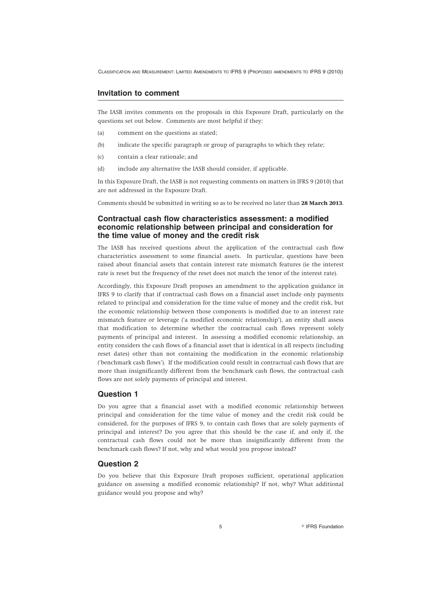# **Invitation to comment**

The IASB invites comments on the proposals in this Exposure Draft, particularly on the questions set out below. Comments are most helpful if they:

- (a) comment on the questions as stated;
- (b) indicate the specific paragraph or group of paragraphs to which they relate;
- (c) contain a clear rationale; and
- (d) include any alternative the IASB should consider, if applicable.

In this Exposure Draft, the IASB is not requesting comments on matters in IFRS 9 (2010) that are not addressed in the Exposure Draft.

Comments should be submitted in writing so as to be received no later than **28 March 2013**.

# **Contractual cash flow characteristics assessment: a modified economic relationship between principal and consideration for the time value of money and the credit risk**

The IASB has received questions about the application of the contractual cash flow characteristics assessment to some financial assets. In particular, questions have been raised about financial assets that contain interest rate mismatch features (ie the interest rate is reset but the frequency of the reset does not match the tenor of the interest rate).

Accordingly, this Exposure Draft proposes an amendment to the application guidance in IFRS 9 to clarify that if contractual cash flows on a financial asset include only payments related to principal and consideration for the time value of money and the credit risk, but the economic relationship between those components is modified due to an interest rate mismatch feature or leverage ('a modified economic relationship'), an entity shall assess that modification to determine whether the contractual cash flows represent solely payments of principal and interest. In assessing a modified economic relationship, an entity considers the cash flows of a financial asset that is identical in all respects (including reset dates) other than not containing the modification in the economic relationship ('benchmark cash flows'). If the modification could result in contractual cash flows that are more than insignificantly different from the benchmark cash flows, the contractual cash flows are not solely payments of principal and interest.

# **Question 1**

Do you agree that a financial asset with a modified economic relationship between principal and consideration for the time value of money and the credit risk could be considered, for the purposes of IFRS 9, to contain cash flows that are solely payments of principal and interest? Do you agree that this should be the case if, and only if, the contractual cash flows could not be more than insignificantly different from the benchmark cash flows? If not, why and what would you propose instead?

# **Question 2**

Do you believe that this Exposure Draft proposes sufficient, operational application guidance on assessing a modified economic relationship? If not, why? What additional guidance would you propose and why?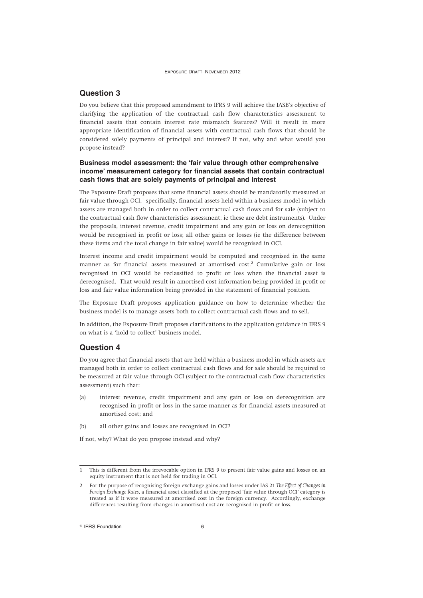# **Question 3**

Do you believe that this proposed amendment to IFRS 9 will achieve the IASB's objective of clarifying the application of the contractual cash flow characteristics assessment to financial assets that contain interest rate mismatch features? Will it result in more appropriate identification of financial assets with contractual cash flows that should be considered solely payments of principal and interest? If not, why and what would you propose instead?

# **Business model assessment: the 'fair value through other comprehensive income' measurement category for financial assets that contain contractual cash flows that are solely payments of principal and interest**

The Exposure Draft proposes that some financial assets should be mandatorily measured at fair value through OCI $<sup>1</sup>$  specifically, financial assets held within a business model in which</sup> assets are managed both in order to collect contractual cash flows and for sale (subject to the contractual cash flow characteristics assessment; ie these are debt instruments). Under the proposals, interest revenue, credit impairment and any gain or loss on derecognition would be recognised in profit or loss; all other gains or losses (ie the difference between these items and the total change in fair value) would be recognised in OCI.

Interest income and credit impairment would be computed and recognised in the same manner as for financial assets measured at amortised cost.<sup>2</sup> Cumulative gain or loss recognised in OCI would be reclassified to profit or loss when the financial asset is derecognised. That would result in amortised cost information being provided in profit or loss and fair value information being provided in the statement of financial position.

The Exposure Draft proposes application guidance on how to determine whether the business model is to manage assets both to collect contractual cash flows and to sell.

In addition, the Exposure Draft proposes clarifications to the application guidance in IFRS 9 on what is a 'hold to collect' business model.

# **Question 4**

Do you agree that financial assets that are held within a business model in which assets are managed both in order to collect contractual cash flows and for sale should be required to be measured at fair value through OCI (subject to the contractual cash flow characteristics assessment) such that:

- (a) interest revenue, credit impairment and any gain or loss on derecognition are recognised in profit or loss in the same manner as for financial assets measured at amortised cost; and
- (b) all other gains and losses are recognised in OCI?

If not, why? What do you propose instead and why?

<sup>1</sup> This is different from the irrevocable option in IFRS 9 to present fair value gains and losses on an equity instrument that is not held for trading in OCI.

<sup>2</sup> For the purpose of recognising foreign exchange gains and losses under IAS 21 *The Effect of Changes in Foreign Exchange Rates*, a financial asset classified at the proposed 'fair value through OCI' category is treated as if it were measured at amortised cost in the foreign currency. Accordingly, exchange differences resulting from changes in amortised cost are recognised in profit or loss.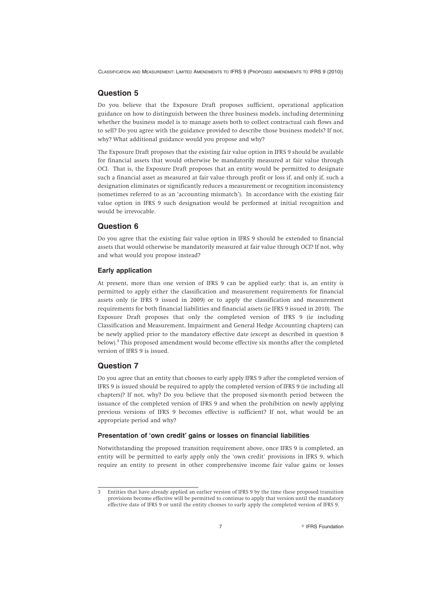# **Question 5**

Do you believe that the Exposure Draft proposes sufficient, operational application guidance on how to distinguish between the three business models, including determining whether the business model is to manage assets both to collect contractual cash flows and to sell? Do you agree with the guidance provided to describe those business models? If not, why? What additional guidance would you propose and why?

The Exposure Draft proposes that the existing fair value option in IFRS 9 should be available for financial assets that would otherwise be mandatorily measured at fair value through OCI. That is, the Exposure Draft proposes that an entity would be permitted to designate such a financial asset as measured at fair value through profit or loss if, and only if, such a designation eliminates or significantly reduces a measurement or recognition inconsistency (sometimes referred to as an 'accounting mismatch'). In accordance with the existing fair value option in IFRS 9 such designation would be performed at initial recognition and would be irrevocable.

#### **Question 6**

Do you agree that the existing fair value option in IFRS 9 should be extended to financial assets that would otherwise be mandatorily measured at fair value through OCI? If not, why and what would you propose instead?

#### **Early application**

At present, more than one version of IFRS 9 can be applied early: that is, an entity is permitted to apply either the classification and measurement requirements for financial assets only (ie IFRS 9 issued in 2009) or to apply the classification and measurement requirements for both financial liabilities and financial assets (ie IFRS 9 issued in 2010). The Exposure Draft proposes that only the completed version of IFRS 9 (ie including Classification and Measurement, Impairment and General Hedge Accounting chapters) can be newly applied prior to the mandatory effective date (except as described in question 8 below).<sup>3</sup> This proposed amendment would become effective six months after the completed version of IFRS 9 is issued.

# **Question 7**

Do you agree that an entity that chooses to early apply IFRS 9 after the completed version of IFRS 9 is issued should be required to apply the completed version of IFRS 9 (ie including all chapters)? If not, why? Do you believe that the proposed six-month period between the issuance of the completed version of IFRS 9 and when the prohibition on newly applying previous versions of IFRS 9 becomes effective is sufficient? If not, what would be an appropriate period and why?

#### **Presentation of 'own credit' gains or losses on financial liabilities**

Notwithstanding the proposed transition requirement above, once IFRS 9 is completed, an entity will be permitted to early apply only the 'own credit' provisions in IFRS 9, which require an entity to present in other comprehensive income fair value gains or losses

<sup>3</sup> Entities that have already applied an earlier version of IFRS 9 by the time these proposed transition provisions become effective will be permitted to continue to apply that version until the mandatory effective date of IFRS 9 or until the entity chooses to early apply the completed version of IFRS 9.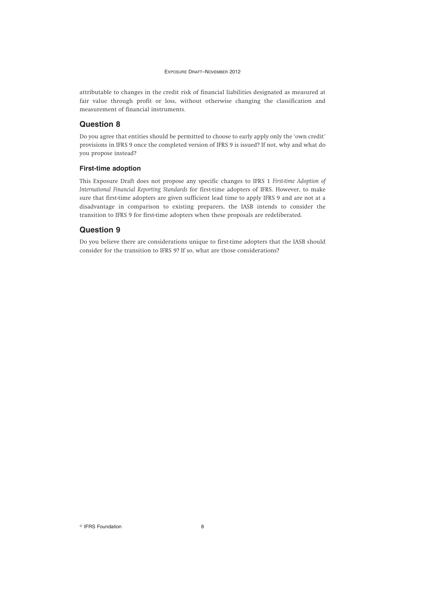attributable to changes in the credit risk of financial liabilities designated as measured at fair value through profit or loss, without otherwise changing the classification and measurement of financial instruments.

# **Question 8**

Do you agree that entities should be permitted to choose to early apply only the 'own credit' provisions in IFRS 9 once the completed version of IFRS 9 is issued? If not, why and what do you propose instead?

# **First-time adoption**

This Exposure Draft does not propose any specific changes to IFRS 1 *First-time Adoption of International Financial Reporting Standards* for first-time adopters of IFRS. However, to make sure that first-time adopters are given sufficient lead time to apply IFRS 9 and are not at a disadvantage in comparison to existing preparers, the IASB intends to consider the transition to IFRS 9 for first-time adopters when these proposals are redeliberated.

# **Question 9**

Do you believe there are considerations unique to first-time adopters that the IASB should consider for the transition to IFRS 9? If so, what are those considerations?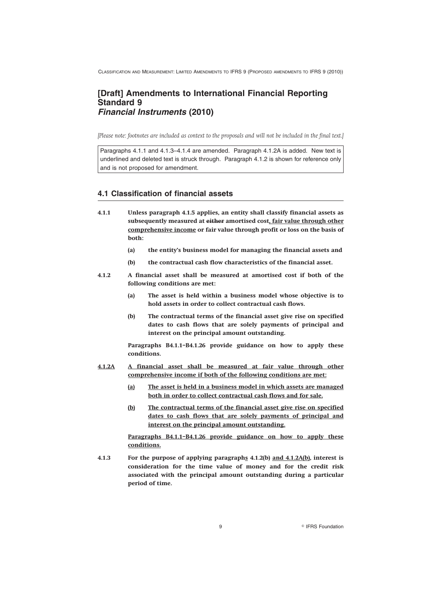# **[Draft] Amendments to International Financial Reporting Standard 9** *Financial Instruments* **(2010)**

*[Please note: footnotes are included as context to the proposals and will not be included in the final text.]*

Paragraphs 4.1.1 and 4.1.3–4.1.4 are amended. Paragraph 4.1.2A is added. New text is underlined and deleted text is struck through. Paragraph 4.1.2 is shown for reference only and is not proposed for amendment.

# **4.1 Classification of financial assets**

- **4.1.1 Unless paragraph 4.1.5 applies, an entity shall classify financial assets as subsequently measured at either amortised cost, fair value through other comprehensive income or fair value through profit or loss on the basis of both:**
	- **(a) the entity's business model for managing the financial assets and**
	- **(b) the contractual cash flow characteristics of the financial asset.**
- **4.1.2 A financial asset shall be measured at amortised cost if both of the following conditions are met:**
	- **(a) The asset is held within a business model whose objective is to hold assets in order to collect contractual cash flows.**
	- **(b) The contractual terms of the financial asset give rise on specified dates to cash flows that are solely payments of principal and interest on the principal amount outstanding.**

**Paragraphs B4.1.1–B4.1.26 provide guidance on how to apply these conditions.**

- **4.1.2A A financial asset shall be measured at fair value through other comprehensive income if both of the following conditions are met:**
	- **(a) The asset is held in a business model in which assets are managed both in order to collect contractual cash flows and for sale.**
	- **(b) The contractual terms of the financial asset give rise on specified dates to cash flows that are solely payments of principal and interest on the principal amount outstanding.**

**Paragraphs B4.1.1–B4.1.26 provide guidance on how to apply these conditions.**

**4.1.3 For the purpose of applying paragraphs 4.1.2(b) and 4.1.2A(b), interest is consideration for the time value of money and for the credit risk associated with the principal amount outstanding during a particular period of time.**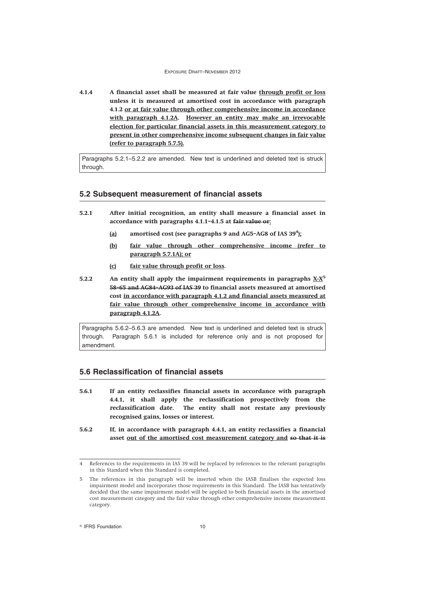**4.1.4 A financial asset shall be measured at fair value through profit or loss unless it is measured at amortised cost in accordance with paragraph 4.1.2 or at fair value through other comprehensive income in accordance with paragraph 4.1.2A. However an entity may make an irrevocable election for particular financial assets in this measurement category to present in other comprehensive income subsequent changes in fair value (refer to paragraph 5.7.5).**

Paragraphs 5.2.1–5.2.2 are amended. New text is underlined and deleted text is struck through.

# **5.2 Subsequent measurement of financial assets**

- **5.2.1 After initial recognition, an entity shall measure a financial asset in accordance with paragraphs 4.1.1–4.1.5 at fair value or:**
	- **(a) amortised cost (see paragraphs 9 and AG5–AG8 of IAS 39<sup>4</sup> );**
	- **(b) fair value through other comprehensive income (refer to paragraph 5.7.1A); or**
	- **(c) fair value through profit or loss.**
- **5.2.2 An entity shall apply the impairment requirements in paragraphs X-X<sup>5</sup> 58–65 and AG84–AG93 of IAS 39 to financial assets measured at amortised cost in accordance with paragraph 4.1.2 and financial assets measured at fair value through other comprehensive income in accordance with paragraph 4.1.2A.**

Paragraphs 5.6.2–5.6.3 are amended. New text is underlined and deleted text is struck through. Paragraph 5.6.1 is included for reference only and is not proposed for amendment.

# **5.6 Reclassification of financial assets**

- **5.6.1 If an entity reclassifies financial assets in accordance with paragraph 4.4.1, it shall apply the reclassification prospectively from the** *reclassification date***. The entity shall not restate any previously recognised gains, losses or interest.**
- **5.6.2 If, in accordance with paragraph 4.4.1, an entity reclassifies a financial asset out of the amortised cost measurement category and so that it is**

<sup>4</sup> References to the requirements in IAS 39 will be replaced by references to the relevant paragraphs in this Standard when this Standard is completed.

<sup>5</sup> The references in this paragraph will be inserted when the IASB finalises the expected loss impairment model and incorporates those requirements in this Standard. The IASB has tentatively decided that the same impairment model will be applied to both financial assets in the amortised cost measurement category and the fair value through other comprehensive income measurement category.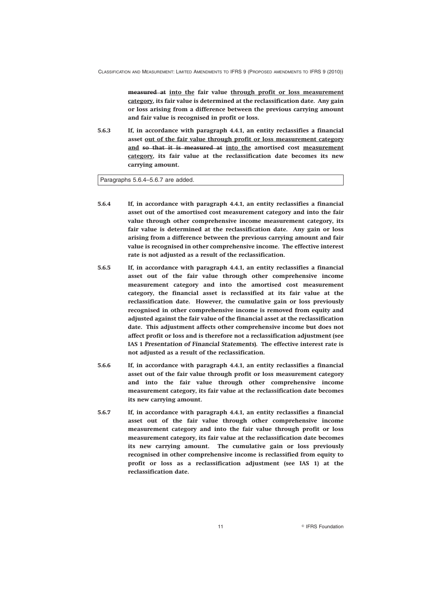**measured at into the fair value through profit or loss measurement category, its fair value is determined at the reclassification date. Any gain or loss arising from a difference between the previous carrying amount and fair value is recognised in profit or loss.**

**5.6.3 If, in accordance with paragraph 4.4.1, an entity reclassifies a financial asset out of the fair value through profit or loss measurement category and so that it is measured at into the amortised cost measurement category, its fair value at the reclassification date becomes its new carrying amount.**

Paragraphs 5.6.4–5.6.7 are added.

- **5.6.4 If, in accordance with paragraph 4.4.1, an entity reclassifies a financial asset out of the amortised cost measurement category and into the fair value through other comprehensive income measurement category, its fair value is determined at the reclassification date. Any gain or loss arising from a difference between the previous carrying amount and fair value is recognised in other comprehensive income. The effective interest rate is not adjusted as a result of the reclassification.**
- **5.6.5 If, in accordance with paragraph 4.4.1, an entity reclassifies a financial asset out of the fair value through other comprehensive income measurement category and into the amortised cost measurement category, the financial asset is reclassified at its fair value at the reclassification date. However, the cumulative gain or loss previously recognised in other comprehensive income is removed from equity and adjusted against the fair value of the financial asset at the reclassification date. This adjustment affects other comprehensive income but does not affect profit or loss and is therefore not a reclassification adjustment (see IAS 1** *Presentation of Financial Statements***). The effective interest rate is not adjusted as a result of the reclassification.**
- **5.6.6 If, in accordance with paragraph 4.4.1, an entity reclassifies a financial asset out of the fair value through profit or loss measurement category and into the fair value through other comprehensive income measurement category, its fair value at the reclassification date becomes its new carrying amount.**
- **5.6.7 If, in accordance with paragraph 4.4.1, an entity reclassifies a financial asset out of the fair value through other comprehensive income measurement category and into the fair value through profit or loss measurement category, its fair value at the reclassification date becomes its new carrying amount. The cumulative gain or loss previously recognised in other comprehensive income is reclassified from equity to profit or loss as a reclassification adjustment (see IAS 1) at the reclassification date.**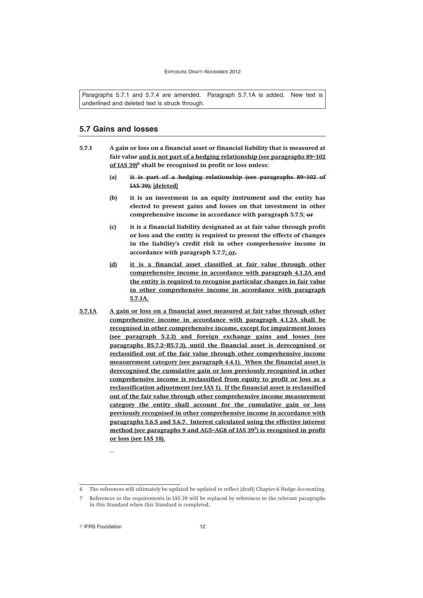Paragraphs 5.7.1 and 5.7.4 are amended. Paragraph 5.7.1A is added. New text is underlined and deleted text is struck through.

# **5.7 Gains and losses**

- **5.7.1 A gain or loss on a financial asset or financial liability that is measured at fair value and is not part of a hedging relationship (see paragraphs 89–102 of IAS 39)<sup>6</sup> shall be recognised in profit or loss unless:**
	- **(a) it is part of a hedging relationship (see paragraphs 89–102 of IAS 39); [deleted]**
	- **(b) it is an investment in an** *equity instrument* **and the entity has elected to present gains and losses on that investment in other comprehensive income in accordance with paragraph 5.7.5; or**
	- **(c) it is a financial liability designated as at fair value through profit or loss and the entity is required to present the effects of changes in the liability's** *credit risk* **in other comprehensive income in accordance with paragraph 5.7.7; or.**
	- **(d) it is a financial asset classified at fair value through other comprehensive income in accordance with paragraph 4.1.2A and the entity is required to recognise particular changes in fair value in other comprehensive income in accordance with paragraph 5.7.1A.**
- **5.7.1A A gain or loss on a financial asset measured at fair value through other comprehensive income in accordance with paragraph 4.1.2A shall be recognised in other comprehensive income, except for impairment losses (see paragraph 5.2.2) and foreign exchange gains and losses (see paragraphs B5.7.2–B5.7.3), until the financial asset is derecognised or reclassified out of the fair value through other comprehensive income measurement category (see paragraph 4.4.1). When the financial asset is derecognised the cumulative gain or loss previously recognised in other comprehensive income is reclassified from equity to profit or loss as a reclassification adjustment (see IAS 1). If the financial asset is reclassified out of the fair value through other comprehensive income measurement category the entity shall account for the cumulative gain or loss previously recognised in other comprehensive income in accordance with paragraphs 5.6.5 and 5.6.7. Interest calculated using the effective interest method (see paragraphs 9 and AG5–AG8 of IAS 39<sup>7</sup> ) is recognised in profit or loss (see IAS 18).**

<sup>©</sup> IFRS Foundation 12

...

<sup>6</sup> The references will ultimately be updated be updated to reflect [draft] Chapter 6 Hedge Accounting.

References to the requirements in IAS 39 will be replaced by references to the relevant paragraphs in this Standard when this Standard is completed.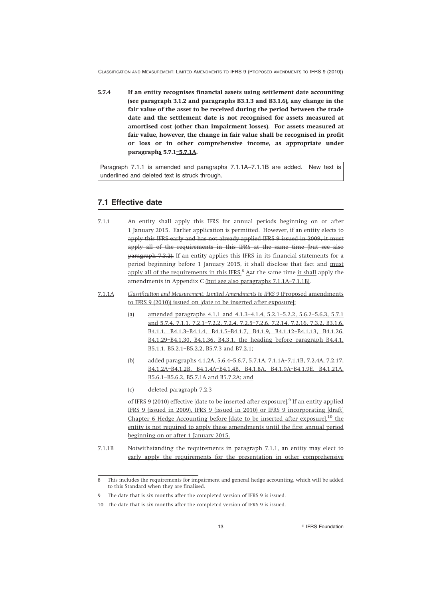**5.7.4 If an entity recognises financial assets using settlement date accounting (see paragraph 3.1.2 and paragraphs B3.1.3 and B3.1.6), any change in the fair value of the asset to be received during the period between the trade date and the settlement date is not recognised for assets measured at amortised cost (other than impairment losses). For assets measured at fair value, however, the change in fair value shall be recognised in profit or loss or in other comprehensive income, as appropriate under paragraphs 5.7.1–5.7.1A.**

Paragraph 7.1.1 is amended and paragraphs 7.1.1A–7.1.1B are added. New text is underlined and deleted text is struck through.

# **7.1 Effective date**

- 7.1.1 An entity shall apply this IFRS for annual periods beginning on or after 1 January 2015. Earlier application is permitted. However, if an entity elects to apply this IFRS early and has not already applied IFRS 9 issued in 2009, it must apply all of the requirements in this IFRS at the same time (but see also paragraph 7.3.2). If an entity applies this IFRS in its financial statements for a period beginning before 1 January 2015, it shall disclose that fact and must apply all of the requirements in this IFRS.<sup>8</sup> Aat the same time it shall apply the amendments in Appendix C (but see also paragraphs 7.1.1A–7.1.1B).
- 7.1.1A *Classification and Measurement: Limited Amendments to IFRS 9* (Proposed amendments to IFRS 9 (2010)) issued on [date to be inserted after exposure]:
	- (a) amended paragraphs 4.1.1 and 4.1.3–4.1.4, 5.2.1–5.2.2, 5.6.2–5.6.3, 5.7.1 and 5.7.4, 7.1.1, 7.2.1–7.2.2, 7.2.4, 7.2.5–7.2.6, 7.2.14, 7.2.16, 7.3.2, B3.1.6, B4.1.1, B4.1.3–B4.1.4, B4.1.5–B4.1.7, B4.1.9, B4.1.12–B4.1.13, B4.1.26, B4.1.29–B4.1.30, B4.1.36, B4.3.1, the heading before paragraph B4.4.1, B5.1.1, B5.2.1–B5.2.2, B5.7.3 and B7.2.1;
	- (b) added paragraphs 4.1.2A, 5.6.4–5.6.7, 5.7.1A, 7.1.1A–7.1.1B, 7.2.4A, 7.2.17, B4.1.2A–B4.1.2B, B4.1.4A–B4.1.4B, B4.1.8A, B4.1.9A–B4.1.9E, B4.1.21A, B5.6.1–B5.6.2, B5.7.1A and B5.7.2A; and
	- (c) deleted paragraph 7.2.3

of IFRS 9 (2010) effective [date to be inserted after exposure].<sup>9</sup> If an entity applied IFRS 9 (issued in 2009), IFRS 9 (issued in 2010) or IFRS 9 incorporating [draft] Chapter 6 Hedge Accounting before [date to be inserted after exposure], $^{10}$  the entity is not required to apply these amendments until the first annual period beginning on or after 1 January 2015.

7.1.1B Notwithstanding the requirements in paragraph 7.1.1, an entity may elect to early apply the requirements for the presentation in other comprehensive

<sup>8</sup> This includes the requirements for impairment and general hedge accounting, which will be added to this Standard when they are finalised.

<sup>9</sup> The date that is six months after the completed version of IFRS 9 is issued.

<sup>10</sup> The date that is six months after the completed version of IFRS 9 is issued.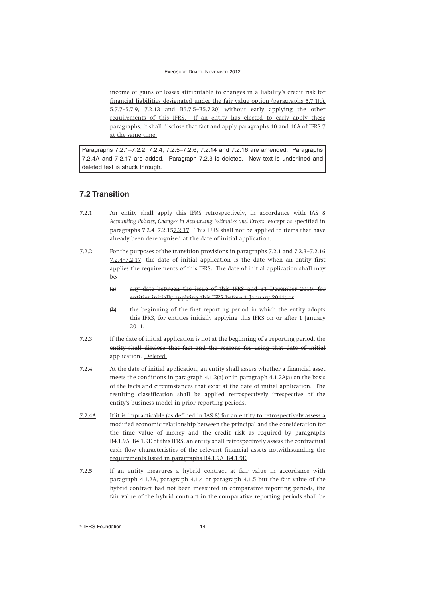income of gains or losses attributable to changes in a liability's credit risk for financial liabilities designated under the fair value option (paragraphs 5.7.1(c), 5.7.7–5.7.9, 7.2.13 and B5.7.5–B5.7.20) without early applying the other requirements of this IFRS. If an entity has elected to early apply these paragraphs, it shall disclose that fact and apply paragraphs 10 and 10A of IFRS 7 at the same time.

Paragraphs 7.2.1–7.2.2, 7.2.4, 7.2.5–7.2.6, 7.2.14 and 7.2.16 are amended. Paragraphs 7.2.4A and 7.2.17 are added. Paragraph 7.2.3 is deleted. New text is underlined and deleted text is struck through.

# **7.2 Transition**

- 7.2.1 An entity shall apply this IFRS retrospectively, in accordance with IAS 8 *Accounting Policies, Changes in Accounting Estimates and Errors*, except as specified in paragraphs 7.2.4–<del>7.2.15</del>7.2.17. This IFRS shall not be applied to items that have already been derecognised at the date of initial application.
- 7.2.2 For the purposes of the transition provisions in paragraphs 7.2.1 and 7.2.3–7.2.16 7.2.4–7.2.17, the date of initial application is the date when an entity first applies the requirements of this IFRS. The date of initial application shall may be:
	- (a) any date between the issue of this IFRS and 31 December 2010, for entities initially applying this IFRS before 1 January 2011; or
	- (b) the beginning of the first reporting period in which the entity adopts this IFRS, for entities initially applying this IFRS on or after 1 January 2011.
- 7.2.3 If the date of initial application is not at the beginning of a reporting period, the entity shall disclose that fact and the reasons for using that date of initial application. [Deleted]
- 7.2.4 At the date of initial application, an entity shall assess whether a financial asset meets the conditions in paragraph 4.1.2(a) or in paragraph 4.1.2A(a) on the basis of the facts and circumstances that exist at the date of initial application. The resulting classification shall be applied retrospectively irrespective of the entity's business model in prior reporting periods.
- 7.2.4A If it is impracticable (as defined in IAS 8) for an entity to retrospectively assess a modified economic relationship between the principal and the consideration for the time value of money and the credit risk as required by paragraphs B4.1.9A–B4.1.9E of this IFRS, an entity shall retrospectively assess the contractual cash flow characteristics of the relevant financial assets notwithstanding the requirements listed in paragraphs B4.1.9A–B4.1.9E.
- 7.2.5 If an entity measures a hybrid contract at fair value in accordance with paragraph 4.1.2A, paragraph 4.1.4 or paragraph 4.1.5 but the fair value of the hybrid contract had not been measured in comparative reporting periods, the fair value of the hybrid contract in the comparative reporting periods shall be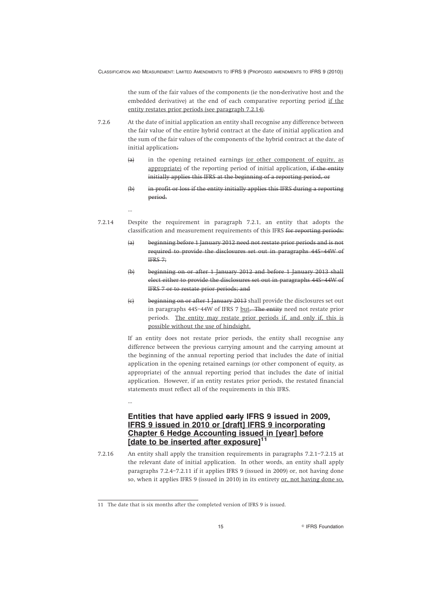the sum of the fair values of the components (ie the non-derivative host and the embedded derivative) at the end of each comparative reporting period if the entity restates prior periods (see paragraph 7.2.14).

- 7.2.6 At the date of initial application an entity shall recognise any difference between the fair value of the entire hybrid contract at the date of initial application and the sum of the fair values of the components of the hybrid contract at the date of initial application:
	- $(a)$  in the opening retained earnings (or other component of equity, as appropriate) of the reporting period of initial application. if the entity initially applies this IFRS at the beginning of a reporting period, or
	- (b) in profit or loss if the entity initially applies this IFRS during a reporting period.
- 7.2.14 Despite the requirement in paragraph 7.2.1, an entity that adopts the classification and measurement requirements of this IFRS for reporting periods:
	- (a) beginning before 1 January 2012 need not restate prior periods and is not required to provide the disclosures set out in paragraphs 44S–44W of IFRS 7;
	- (b) beginning on or after 1 January 2012 and before 1 January 2013 shall elect either to provide the disclosures set out in paragraphs 44S–44W of IFRS 7 or to restate prior periods; and
	- (c) beginning on or after 1 January 2013 shall provide the disclosures set out in paragraphs 44S–44W of IFRS 7 but. The entity need not restate prior periods. The entity may restate prior periods if, and only if, this is possible without the use of hindsight.

If an entity does not restate prior periods, the entity shall recognise any difference between the previous carrying amount and the carrying amount at the beginning of the annual reporting period that includes the date of initial application in the opening retained earnings (or other component of equity, as appropriate) of the annual reporting period that includes the date of initial application. However, if an entity restates prior periods, the restated financial statements must reflect all of the requirements in this IFRS.

...

...

# **Entities that have applied early IFRS 9 issued in 2009, IFRS 9 issued in 2010 or [draft] IFRS 9 incorporating Chapter 6 Hedge Accounting issued in [year] before** [date to be inserted after exposure]

7.2.16 An entity shall apply the transition requirements in paragraphs 7.2.1–7.2.15 at the relevant date of initial application. In other words, an entity shall apply paragraphs 7.2.4–7.2.11 if it applies IFRS 9 (issued in 2009) or, not having done so, when it applies IFRS 9 (issued in 2010) in its entirety or, not having done so,

<sup>11</sup> The date that is six months after the completed version of IFRS 9 is issued.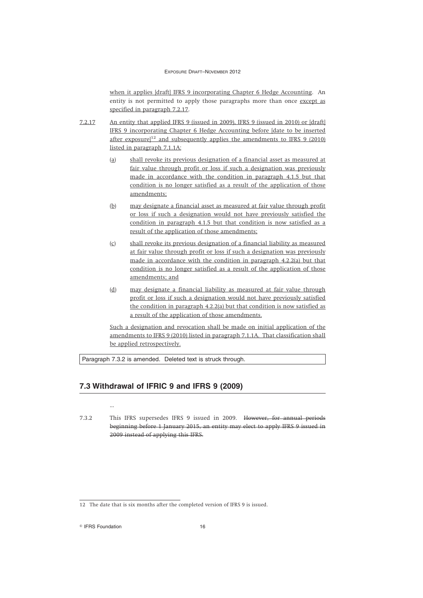when it applies [draft] IFRS 9 incorporating Chapter 6 Hedge Accounting. An entity is not permitted to apply those paragraphs more than once except as specified in paragraph 7.2.17.

- 7.2.17 An entity that applied IFRS 9 (issued in 2009), IFRS 9 (issued in 2010) or [draft] IFRS 9 incorporating Chapter 6 Hedge Accounting before [date to be inserted after exposure<sup>[12</sup> and subsequently applies the amendments to IFRS 9 (2010) listed in paragraph 7.1.1A:
	- (a) shall revoke its previous designation of a financial asset as measured at fair value through profit or loss if such a designation was previously made in accordance with the condition in paragraph 4.1.5 but that condition is no longer satisfied as a result of the application of those amendments;
	- (b) may designate a financial asset as measured at fair value through profit or loss if such a designation would not have previously satisfied the condition in paragraph 4.1.5 but that condition is now satisfied as a result of the application of those amendments;
	- (c) shall revoke its previous designation of a financial liability as measured at fair value through profit or loss if such a designation was previously made in accordance with the condition in paragraph 4.2.2(a) but that condition is no longer satisfied as a result of the application of those amendments; and
	- (d) may designate a financial liability as measured at fair value through profit or loss if such a designation would not have previously satisfied the condition in paragraph 4.2.2(a) but that condition is now satisfied as a result of the application of those amendments.

Such a designation and revocation shall be made on initial application of the amendments to IFRS 9 (2010) listed in paragraph 7.1.1A. That classification shall be applied retrospectively.

Paragraph 7.3.2 is amended. Deleted text is struck through.

# **7.3 Withdrawal of IFRIC 9 and IFRS 9 (2009)**

7.3.2 This IFRS supersedes IFRS 9 issued in 2009. However, for annual periods beginning before 1 January 2015, an entity may elect to apply IFRS 9 issued in 2009 instead of applying this IFRS.

<sup>©</sup> IFRS Foundation 16

...

<sup>12</sup> The date that is six months after the completed version of IFRS 9 is issued.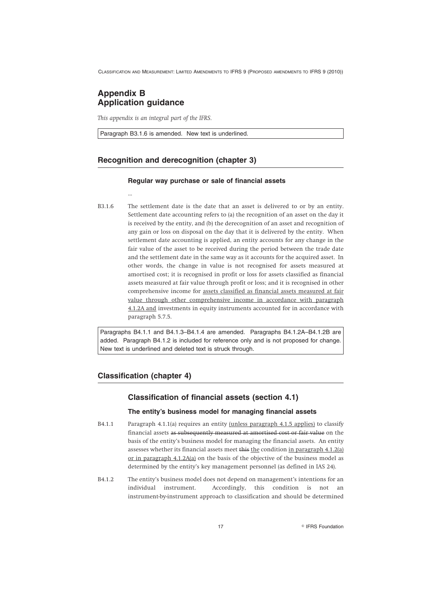# **Appendix B Application guidance**

...

*This appendix is an integral part of the IFRS.*

Paragraph B3.1.6 is amended. New text is underlined.

# **Recognition and derecognition (chapter 3)**

#### **Regular way purchase or sale of financial assets**

B3.1.6 The settlement date is the date that an asset is delivered to or by an entity. Settlement date accounting refers to (a) the recognition of an asset on the day it is received by the entity, and (b) the derecognition of an asset and recognition of any gain or loss on disposal on the day that it is delivered by the entity. When settlement date accounting is applied, an entity accounts for any change in the fair value of the asset to be received during the period between the trade date and the settlement date in the same way as it accounts for the acquired asset. In other words, the change in value is not recognised for assets measured at amortised cost; it is recognised in profit or loss for assets classified as financial assets measured at fair value through profit or loss; and it is recognised in other comprehensive income for assets classified as financial assets measured at fair value through other comprehensive income in accordance with paragraph 4.1.2A and investments in equity instruments accounted for in accordance with paragraph 5.7.5.

Paragraphs B4.1.1 and B4.1.3–B4.1.4 are amended. Paragraphs B4.1.2A–B4.1.2B are added. Paragraph B4.1.2 is included for reference only and is not proposed for change. New text is underlined and deleted text is struck through.

# **Classification (chapter 4)**

# **Classification of financial assets (section 4.1)**

# **The entity's business model for managing financial assets**

- B4.1.1 Paragraph 4.1.1(a) requires an entity (unless paragraph 4.1.5 applies) to classify financial assets as subsequently measured at amortised cost or fair value on the basis of the entity's business model for managing the financial assets. An entity assesses whether its financial assets meet this the condition in paragraph 4.1.2(a) or in paragraph 4.1.2A(a) on the basis of the objective of the business model as determined by the entity's key management personnel (as defined in IAS 24).
- B4.1.2 The entity's business model does not depend on management's intentions for an individual instrument. Accordingly, this condition is not an instrument-by-instrument approach to classification and should be determined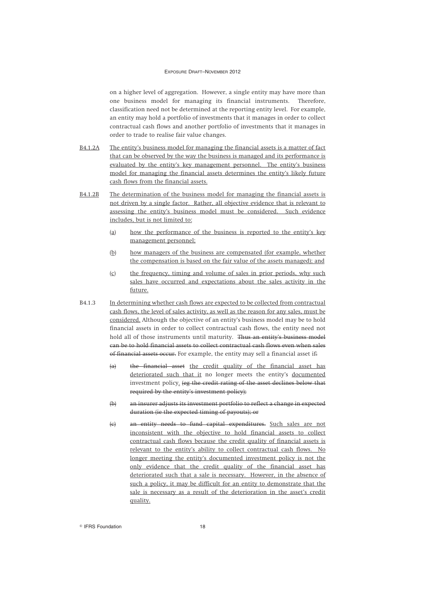on a higher level of aggregation. However, a single entity may have more than one business model for managing its financial instruments. Therefore, classification need not be determined at the reporting entity level. For example, an entity may hold a portfolio of investments that it manages in order to collect contractual cash flows and another portfolio of investments that it manages in order to trade to realise fair value changes.

- B4.1.2A The entity's business model for managing the financial assets is a matter of fact that can be observed by the way the business is managed and its performance is evaluated by the entity's key management personnel. The entity's business model for managing the financial assets determines the entity's likely future cash flows from the financial assets.
- B4.1.2B The determination of the business model for managing the financial assets is not driven by a single factor. Rather, all objective evidence that is relevant to assessing the entity's business model must be considered. Such evidence includes, but is not limited to:
	- (a) how the performance of the business is reported to the entity's key management personnel;
	- (b) how managers of the business are compensated (for example, whether the compensation is based on the fair value of the assets managed); and
	- (c) the frequency, timing and volume of sales in prior periods, why such sales have occurred and expectations about the sales activity in the future.
- B4.1.3 In determining whether cash flows are expected to be collected from contractual cash flows, the level of sales activity, as well as the reason for any sales, must be considered. Although the objective of an entity's business model may be to hold financial assets in order to collect contractual cash flows, the entity need not hold all of those instruments until maturity. Thus an entity's business model can be to hold financial assets to collect contractual cash flows even when sales of financial assets occur. For example, the entity may sell a financial asset if:
	- (a) the financial asset the credit quality of the financial asset has deteriorated such that it no longer meets the entity's documented investment policy. (eg the credit rating of the asset declines below that required by the entity's investment policy);
	- (b) an insurer adjusts its investment portfolio to reflect a change in expected duration (ie the expected timing of payouts); or
	- (c) an entity needs to fund capital expenditures. Such sales are not inconsistent with the objective to hold financial assets to collect contractual cash flows because the credit quality of financial assets is relevant to the entity's ability to collect contractual cash flows. No longer meeting the entity's documented investment policy is not the only evidence that the credit quality of the financial asset has deteriorated such that a sale is necessary. However, in the absence of such a policy, it may be difficult for an entity to demonstrate that the sale is necessary as a result of the deterioration in the asset's credit quality.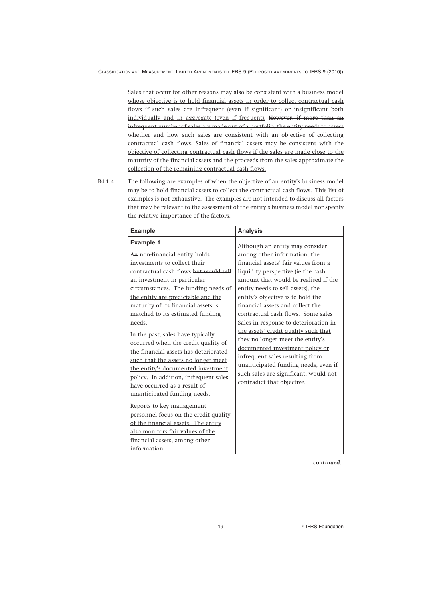Sales that occur for other reasons may also be consistent with a business model whose objective is to hold financial assets in order to collect contractual cash flows if such sales are infrequent (even if significant) or insignificant both individually and in aggregate (even if frequent). However, if more than an infrequent number of sales are made out of a portfolio, the entity needs to assess whether and how such sales are consistent with an objective of collecting contractual cash flows. Sales of financial assets may be consistent with the objective of collecting contractual cash flows if the sales are made close to the maturity of the financial assets and the proceeds from the sales approximate the collection of the remaining contractual cash flows.

B4.1.4 The following are examples of when the objective of an entity's business model may be to hold financial assets to collect the contractual cash flows. This list of examples is not exhaustive. The examples are not intended to discuss all factors that may be relevant to the assessment of the entity's business model nor specify the relative importance of the factors.

| <b>Example</b>                                                                                                                                                                                                                                                                                                                                                                                                                                                                                                                                                                                 | <b>Analysis</b>                                                                                                                                                                                                                                                                                                                                                                  |
|------------------------------------------------------------------------------------------------------------------------------------------------------------------------------------------------------------------------------------------------------------------------------------------------------------------------------------------------------------------------------------------------------------------------------------------------------------------------------------------------------------------------------------------------------------------------------------------------|----------------------------------------------------------------------------------------------------------------------------------------------------------------------------------------------------------------------------------------------------------------------------------------------------------------------------------------------------------------------------------|
| <b>Example 1</b><br>An non-financial entity holds<br>investments to collect their<br>contractual cash flows but would sell<br>an investment in particular<br>circumstances. The funding needs of<br>the entity are predictable and the                                                                                                                                                                                                                                                                                                                                                         | Although an entity may consider,<br>among other information, the<br>financial assets' fair values from a<br>liquidity perspective (ie the cash<br>amount that would be realised if the<br>entity needs to sell assets), the<br>entity's objective is to hold the                                                                                                                 |
| maturity of its financial assets is<br>matched to its estimated funding<br>needs.<br>In the past, sales have typically<br>occurred when the credit quality of<br>the financial assets has deteriorated<br>such that the assets no longer meet<br>the entity's documented investment<br>policy. In addition, infrequent sales<br>have occurred as a result of<br>unanticipated funding needs.<br>Reports to key management<br>personnel focus on the credit quality<br>of the financial assets. The entity<br>also monitors fair values of the<br>financial assets, among other<br>information. | financial assets and collect the<br>contractual cash flows. Some sales<br>Sales in response to deterioration in<br>the assets' credit quality such that<br>they no longer meet the entity's<br>documented investment policy or<br>infrequent sales resulting from<br>unanticipated funding needs, even if<br>such sales are significant, would not<br>contradict that objective. |

*continued...*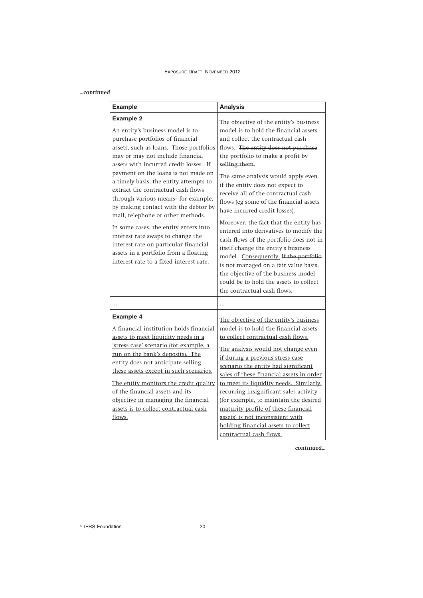| continued |  |
|-----------|--|
|           |  |

| <b>Example</b>                                                                                                                                                                                                                                                                                                                                                                                                                                                                                                                                                                                                                                                         | <b>Analysis</b>                                                                                                                                                                                                                                                                                                                                                                                                                                                                                                                                                                                                                                                                                                                                                                      |
|------------------------------------------------------------------------------------------------------------------------------------------------------------------------------------------------------------------------------------------------------------------------------------------------------------------------------------------------------------------------------------------------------------------------------------------------------------------------------------------------------------------------------------------------------------------------------------------------------------------------------------------------------------------------|--------------------------------------------------------------------------------------------------------------------------------------------------------------------------------------------------------------------------------------------------------------------------------------------------------------------------------------------------------------------------------------------------------------------------------------------------------------------------------------------------------------------------------------------------------------------------------------------------------------------------------------------------------------------------------------------------------------------------------------------------------------------------------------|
| <b>Example 2</b><br>An entity's business model is to<br>purchase portfolios of financial<br>assets, such as loans. Those portfolios<br>may or may not include financial<br>assets with incurred credit losses. If<br>payment on the loans is not made on<br>a timely basis, the entity attempts to<br>extract the contractual cash flows<br>through various means-for example,<br>by making contact with the debtor by<br>mail, telephone or other methods.<br>In some cases, the entity enters into<br>interest rate swaps to change the<br>interest rate on particular financial<br>assets in a portfolio from a floating<br>interest rate to a fixed interest rate. | The objective of the entity's business<br>model is to hold the financial assets<br>and collect the contractual cash<br>flows. The entity does not purchase<br>the portfolio to make a profit by<br>selling them.<br>The same analysis would apply even<br>if the entity does not expect to<br>receive all of the contractual cash<br>flows (eg some of the financial assets<br>have incurred credit losses).<br>Moreover, the fact that the entity has<br>entered into derivatives to modify the<br>cash flows of the portfolio does not in<br>itself change the entity's business<br>model. Consequently, If the portfolio<br>is not managed on a fair value basis,<br>the objective of the business model<br>could be to hold the assets to collect<br>the contractual cash flows. |
| .                                                                                                                                                                                                                                                                                                                                                                                                                                                                                                                                                                                                                                                                      | $\cdots$                                                                                                                                                                                                                                                                                                                                                                                                                                                                                                                                                                                                                                                                                                                                                                             |
| Example 4<br>A financial institution holds financial<br>assets to meet liquidity needs in a<br>'stress case' scenario (for example, a<br>run on the bank's deposits). The<br>entity does not anticipate selling<br>these assets except in such scenarios.<br>The entity monitors the credit quality<br>of the financial assets and its<br>objective in managing the financial<br>assets is to collect contractual cash<br>flows.                                                                                                                                                                                                                                       | The objective of the entity's business<br>model is to hold the financial assets<br>to collect contractual cash flows.<br>The analysis would not change even<br>if during a previous stress case<br>scenario the entity had significant<br>sales of these financial assets in order<br>to meet its liquidity needs. Similarly,<br>recurring insignificant sales activity<br>(for example, to maintain the desired<br>maturity profile of these financial<br>assets) is not inconsistent with<br>holding financial assets to collect<br>contractual cash flows.                                                                                                                                                                                                                        |

*continued...*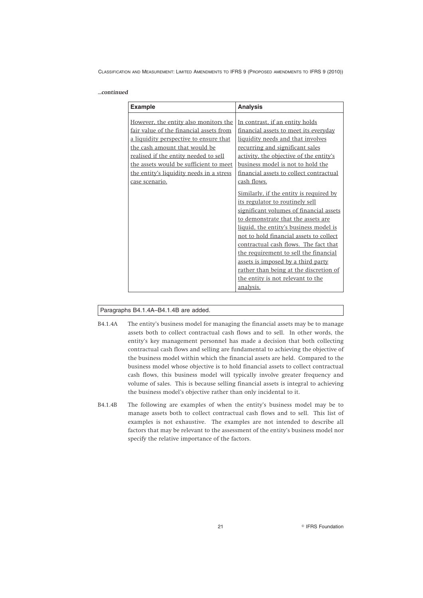#### *...continued*

| <b>Example</b>                                                                                                                                                                                                                                                                                               | <b>Analysis</b>                                                                                                                                                                                                                                                                                                                                                                                                                                                                                                                                                                                                                                                                                                                                                    |
|--------------------------------------------------------------------------------------------------------------------------------------------------------------------------------------------------------------------------------------------------------------------------------------------------------------|--------------------------------------------------------------------------------------------------------------------------------------------------------------------------------------------------------------------------------------------------------------------------------------------------------------------------------------------------------------------------------------------------------------------------------------------------------------------------------------------------------------------------------------------------------------------------------------------------------------------------------------------------------------------------------------------------------------------------------------------------------------------|
| However, the entity also monitors the<br>fair value of the financial assets from<br>a liquidity perspective to ensure that<br>the cash amount that would be<br>realised if the entity needed to sell<br>the assets would be sufficient to meet<br>the entity's liquidity needs in a stress<br>case scenario. | In contrast, if an entity holds<br>financial assets to meet its everyday<br>liquidity needs and that involves<br>recurring and significant sales<br>activity, the objective of the entity's<br>business model is not to hold the<br>financial assets to collect contractual<br>cash flows.<br>Similarly, if the entity is required by<br>its regulator to routinely sell<br>significant volumes of financial assets<br>to demonstrate that the assets are<br>liquid, the entity's business model is<br>not to hold financial assets to collect<br>contractual cash flows. The fact that<br>the requirement to sell the financial<br>assets is imposed by a third party<br>rather than being at the discretion of<br>the entity is not relevant to the<br>analysis. |

# Paragraphs B4.1.4A–B4.1.4B are added.

- B4.1.4A The entity's business model for managing the financial assets may be to manage assets both to collect contractual cash flows and to sell. In other words, the entity's key management personnel has made a decision that both collecting contractual cash flows and selling are fundamental to achieving the objective of the business model within which the financial assets are held. Compared to the business model whose objective is to hold financial assets to collect contractual cash flows, this business model will typically involve greater frequency and volume of sales. This is because selling financial assets is integral to achieving the business model's objective rather than only incidental to it.
- B4.1.4B The following are examples of when the entity's business model may be to manage assets both to collect contractual cash flows and to sell. This list of examples is not exhaustive. The examples are not intended to describe all factors that may be relevant to the assessment of the entity's business model nor specify the relative importance of the factors.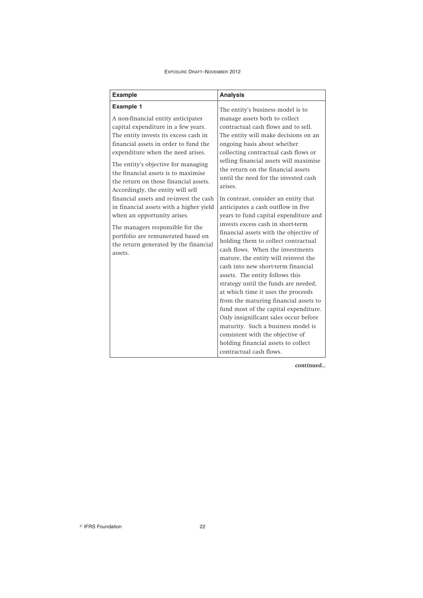| <b>Example</b>                                                                                                                                                                                                                                                                                                                                                                   | <b>Analysis</b>                                                                                                                                                                                                                                                                                                                                                                                                                                                                                                                                                                                                                                                                                                                                     |
|----------------------------------------------------------------------------------------------------------------------------------------------------------------------------------------------------------------------------------------------------------------------------------------------------------------------------------------------------------------------------------|-----------------------------------------------------------------------------------------------------------------------------------------------------------------------------------------------------------------------------------------------------------------------------------------------------------------------------------------------------------------------------------------------------------------------------------------------------------------------------------------------------------------------------------------------------------------------------------------------------------------------------------------------------------------------------------------------------------------------------------------------------|
| <b>Example 1</b><br>A non-financial entity anticipates<br>capital expenditure in a few years.<br>The entity invests its excess cash in<br>financial assets in order to fund the<br>expenditure when the need arises.<br>The entity's objective for managing<br>the financial assets is to maximise<br>the return on those financial assets.<br>Accordingly, the entity will sell | The entity's business model is to<br>manage assets both to collect<br>contractual cash flows and to sell.<br>The entity will make decisions on an<br>ongoing basis about whether<br>collecting contractual cash flows or<br>selling financial assets will maximise<br>the return on the financial assets<br>until the need for the invested cash<br>arises.                                                                                                                                                                                                                                                                                                                                                                                         |
| financial assets and re-invest the cash<br>in financial assets with a higher yield<br>when an opportunity arises.<br>The managers responsible for the<br>portfolio are remunerated based on<br>the return generated by the financial<br>assets.                                                                                                                                  | In contrast, consider an entity that<br>anticipates a cash outflow in five<br>years to fund capital expenditure and<br>invests excess cash in short-term<br>financial assets with the objective of<br>holding them to collect contractual<br>cash flows. When the investments<br>mature, the entity will reinvest the<br>cash into new short-term financial<br>assets. The entity follows this<br>strategy until the funds are needed,<br>at which time it uses the proceeds<br>from the maturing financial assets to<br>fund most of the capital expenditure.<br>Only insignificant sales occur before<br>maturity. Such a business model is<br>consistent with the objective of<br>holding financial assets to collect<br>contractual cash flows. |

*continued...*

IFRS Foundation 22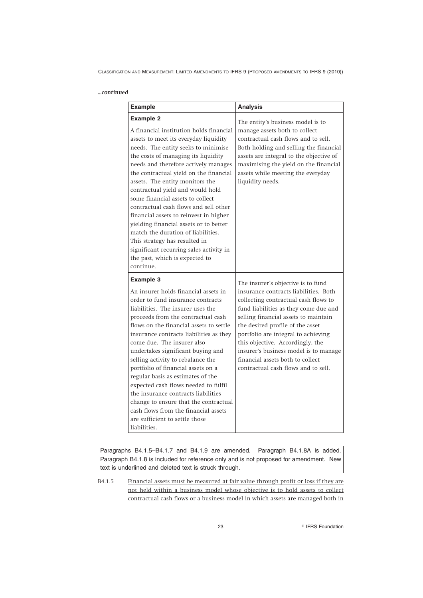# *...continued*

| <b>Example</b>                                                                                                                                                                                                                                                                                                                                                                                                                                                                                                                                                                                                                                                                | <b>Analysis</b>                                                                                                                                                                                                                                                                                                                                                                                                                         |
|-------------------------------------------------------------------------------------------------------------------------------------------------------------------------------------------------------------------------------------------------------------------------------------------------------------------------------------------------------------------------------------------------------------------------------------------------------------------------------------------------------------------------------------------------------------------------------------------------------------------------------------------------------------------------------|-----------------------------------------------------------------------------------------------------------------------------------------------------------------------------------------------------------------------------------------------------------------------------------------------------------------------------------------------------------------------------------------------------------------------------------------|
| <b>Example 2</b><br>A financial institution holds financial<br>assets to meet its everyday liquidity<br>needs. The entity seeks to minimise<br>the costs of managing its liquidity<br>needs and therefore actively manages<br>the contractual yield on the financial<br>assets. The entity monitors the<br>contractual yield and would hold<br>some financial assets to collect<br>contractual cash flows and sell other<br>financial assets to reinvest in higher<br>yielding financial assets or to better<br>match the duration of liabilities.<br>This strategy has resulted in<br>significant recurring sales activity in<br>the past, which is expected to<br>continue. | The entity's business model is to<br>manage assets both to collect<br>contractual cash flows and to sell.<br>Both holding and selling the financial<br>assets are integral to the objective of<br>maximising the yield on the financial<br>assets while meeting the everyday<br>liquidity needs.                                                                                                                                        |
| <b>Example 3</b><br>An insurer holds financial assets in<br>order to fund insurance contracts<br>liabilities. The insurer uses the<br>proceeds from the contractual cash<br>flows on the financial assets to settle<br>insurance contracts liabilities as they<br>come due. The insurer also<br>undertakes significant buying and<br>selling activity to rebalance the<br>portfolio of financial assets on a<br>regular basis as estimates of the<br>expected cash flows needed to fulfil<br>the insurance contracts liabilities<br>change to ensure that the contractual<br>cash flows from the financial assets<br>are sufficient to settle those<br>liabilities.           | The insurer's objective is to fund<br>insurance contracts liabilities. Both<br>collecting contractual cash flows to<br>fund liabilities as they come due and<br>selling financial assets to maintain<br>the desired profile of the asset<br>portfolio are integral to achieving<br>this objective. Accordingly, the<br>insurer's business model is to manage<br>financial assets both to collect<br>contractual cash flows and to sell. |

Paragraphs B4.1.5–B4.1.7 and B4.1.9 are amended. Paragraph B4.1.8A is added. Paragraph B4.1.8 is included for reference only and is not proposed for amendment. New text is underlined and deleted text is struck through.

B4.1.5 Financial assets must be measured at fair value through profit or loss if they are not held within a business model whose objective is to hold assets to collect contractual cash flows or a business model in which assets are managed both in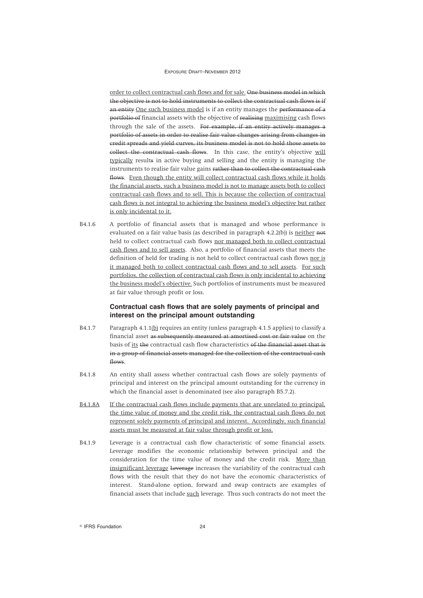order to collect contractual cash flows and for sale. One business model in which the objective is not to hold instruments to collect the contractual cash flows is if an entity One such business model is if an entity manages the performance of a portfolio of financial assets with the objective of realising maximising cash flows through the sale of the assets. For example, if an entity actively manages a portfolio of assets in order to realise fair value changes arising from changes in credit spreads and yield curves, its business model is not to hold those assets to collect the contractual cash flows. In this case, the entity's objective will typically results in active buying and selling and the entity is managing the instruments to realise fair value gains rather than to collect the contractual cash flows. Even though the entity will collect contractual cash flows while it holds the financial assets, such a business model is not to manage assets both to collect contractual cash flows and to sell. This is because the collection of contractual cash flows is not integral to achieving the business model's objective but rather is only incidental to it.

B4.1.6 A portfolio of financial assets that is managed and whose performance is evaluated on a fair value basis (as described in paragraph 4.2.2(b)) is neither not held to collect contractual cash flows nor managed both to collect contractual cash flows and to sell assets. Also, a portfolio of financial assets that meets the definition of held for trading is not held to collect contractual cash flows nor is it managed both to collect contractual cash flows and to sell assets. For such portfolios, the collection of contractual cash flows is only incidental to achieving the business model's objective. Such portfolios of instruments must be measured at fair value through profit or loss.

# **Contractual cash flows that are solely payments of principal and interest on the principal amount outstanding**

- B4.1.7 Paragraph 4.1.1(b) requires an entity (unless paragraph 4.1.5 applies) to classify a financial asset as subsequently measured at amortised cost or fair value on the basis of its the contractual cash flow characteristics of the financial asset that is in a group of financial assets managed for the collection of the contractual cash flows.
- B4.1.8 An entity shall assess whether contractual cash flows are solely payments of principal and interest on the principal amount outstanding for the currency in which the financial asset is denominated (see also paragraph B5.7.2).
- B4.1.8A If the contractual cash flows include payments that are unrelated to principal, the time value of money and the credit risk, the contractual cash flows do not represent solely payments of principal and interest. Accordingly, such financial assets must be measured at fair value through profit or loss.
- B4.1.9 Leverage is a contractual cash flow characteristic of some financial assets. Leverage modifies the economic relationship between principal and the consideration for the time value of money and the credit risk. More than insignificant leverage Leverage increases the variability of the contractual cash flows with the result that they do not have the economic characteristics of interest. Stand-alone option, forward and swap contracts are examples of financial assets that include such leverage. Thus such contracts do not meet the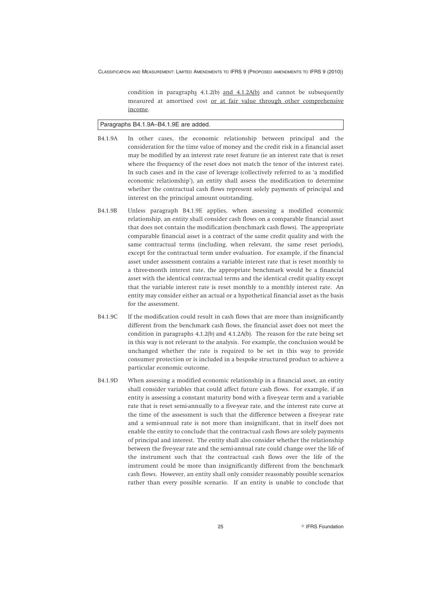condition in paragraphs  $4.1.2(b)$  and  $4.1.2A(b)$  and cannot be subsequently measured at amortised cost or at fair value through other comprehensive income.

#### Paragraphs B4.1.9A–B4.1.9E are added.

- B4.1.9A In other cases, the economic relationship between principal and the consideration for the time value of money and the credit risk in a financial asset may be modified by an interest rate reset feature (ie an interest rate that is reset where the frequency of the reset does not match the tenor of the interest rate). In such cases and in the case of leverage (collectively referred to as 'a modified economic relationship'), an entity shall assess the modification to determine whether the contractual cash flows represent solely payments of principal and interest on the principal amount outstanding.
- B4.1.9B Unless paragraph B4.1.9E applies, when assessing a modified economic relationship, an entity shall consider cash flows on a comparable financial asset that does not contain the modification (benchmark cash flows). The appropriate comparable financial asset is a contract of the same credit quality and with the same contractual terms (including, when relevant, the same reset periods), except for the contractual term under evaluation. For example, if the financial asset under assessment contains a variable interest rate that is reset monthly to a three-month interest rate, the appropriate benchmark would be a financial asset with the identical contractual terms and the identical credit quality except that the variable interest rate is reset monthly to a monthly interest rate. An entity may consider either an actual or a hypothetical financial asset as the basis for the assessment.
- B4.1.9C If the modification could result in cash flows that are more than insignificantly different from the benchmark cash flows, the financial asset does not meet the condition in paragraphs 4.1.2(b) and 4.1.2A(b). The reason for the rate being set in this way is not relevant to the analysis. For example, the conclusion would be unchanged whether the rate is required to be set in this way to provide consumer protection or is included in a bespoke structured product to achieve a particular economic outcome.
- B4.1.9D When assessing a modified economic relationship in a financial asset, an entity shall consider variables that could affect future cash flows. For example, if an entity is assessing a constant maturity bond with a five-year term and a variable rate that is reset semi-annually to a five-year rate, and the interest rate curve at the time of the assessment is such that the difference between a five-year rate and a semi-annual rate is not more than insignificant, that in itself does not enable the entity to conclude that the contractual cash flows are solely payments of principal and interest. The entity shall also consider whether the relationship between the five-year rate and the semi-annual rate could change over the life of the instrument such that the contractual cash flows over the life of the instrument could be more than insignificantly different from the benchmark cash flows. However, an entity shall only consider reasonably possible scenarios rather than every possible scenario. If an entity is unable to conclude that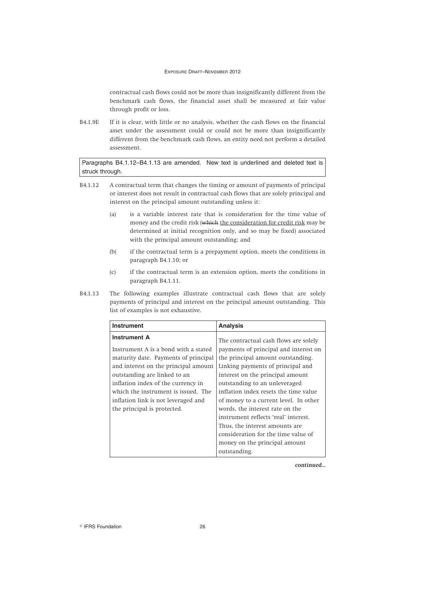contractual cash flows could not be more than insignificantly different from the benchmark cash flows, the financial asset shall be measured at fair value through profit or loss.

B4.1.9E If it is clear, with little or no analysis, whether the cash flows on the financial asset under the assessment could or could not be more than insignificantly different from the benchmark cash flows, an entity need not perform a detailed assessment.

Paragraphs B4.1.12–B4.1.13 are amended. New text is underlined and deleted text is struck through.

- B4.1.12 A contractual term that changes the timing or amount of payments of principal or interest does not result in contractual cash flows that are solely principal and interest on the principal amount outstanding unless it:
	- (a) is a variable interest rate that is consideration for the time value of money and the credit risk (which the consideration for credit risk may be determined at initial recognition only, and so may be fixed) associated with the principal amount outstanding; and
	- (b) if the contractual term is a prepayment option, meets the conditions in paragraph B4.1.10; or
	- (c) if the contractual term is an extension option, meets the conditions in paragraph B4.1.11.
- B4.1.13 The following examples illustrate contractual cash flows that are solely payments of principal and interest on the principal amount outstanding. This list of examples is not exhaustive.

| <b>Instrument</b>                                                                                                                                                                                                                                                                                                              | <b>Analysis</b>                                                                                                                                                                                                                                                                                                                                                                                                              |
|--------------------------------------------------------------------------------------------------------------------------------------------------------------------------------------------------------------------------------------------------------------------------------------------------------------------------------|------------------------------------------------------------------------------------------------------------------------------------------------------------------------------------------------------------------------------------------------------------------------------------------------------------------------------------------------------------------------------------------------------------------------------|
| <b>Instrument A</b><br>Instrument A is a bond with a stated<br>maturity date. Payments of principal<br>and interest on the principal amount<br>outstanding are linked to an<br>inflation index of the currency in<br>which the instrument is issued. The<br>inflation link is not leveraged and<br>the principal is protected. | The contractual cash flows are solely<br>payments of principal and interest on<br>the principal amount outstanding.<br>Linking payments of principal and<br>interest on the principal amount<br>outstanding to an unleveraged<br>inflation index resets the time value<br>of money to a current level. In other<br>words, the interest rate on the<br>instrument reflects 'real' interest.<br>Thus, the interest amounts are |
|                                                                                                                                                                                                                                                                                                                                |                                                                                                                                                                                                                                                                                                                                                                                                                              |
|                                                                                                                                                                                                                                                                                                                                | consideration for the time value of<br>money on the principal amount                                                                                                                                                                                                                                                                                                                                                         |
|                                                                                                                                                                                                                                                                                                                                | outstanding.                                                                                                                                                                                                                                                                                                                                                                                                                 |

*continued...*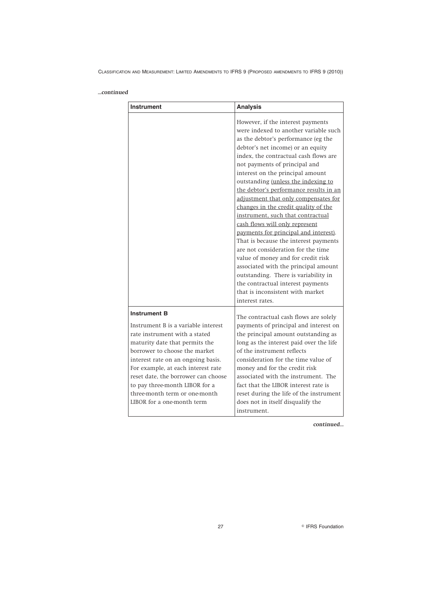# *...continued*

| <b>Instrument</b>                                                                                                                                                                                                                                                                                                                                           | <b>Analysis</b>                                                                                                                                                                                                                                                                                                                                                                                                                                                                                                                                                                                                                                                                                                                                                                                                                                        |
|-------------------------------------------------------------------------------------------------------------------------------------------------------------------------------------------------------------------------------------------------------------------------------------------------------------------------------------------------------------|--------------------------------------------------------------------------------------------------------------------------------------------------------------------------------------------------------------------------------------------------------------------------------------------------------------------------------------------------------------------------------------------------------------------------------------------------------------------------------------------------------------------------------------------------------------------------------------------------------------------------------------------------------------------------------------------------------------------------------------------------------------------------------------------------------------------------------------------------------|
|                                                                                                                                                                                                                                                                                                                                                             | However, if the interest payments<br>were indexed to another variable such<br>as the debtor's performance (eg the<br>debtor's net income) or an equity<br>index, the contractual cash flows are<br>not payments of principal and<br>interest on the principal amount<br>outstanding (unless the indexing to<br>the debtor's performance results in an<br>adjustment that only compensates for<br>changes in the credit quality of the<br>instrument, such that contractual<br>cash flows will only represent<br>payments for principal and interest).<br>That is because the interest payments<br>are not consideration for the time<br>value of money and for credit risk<br>associated with the principal amount<br>outstanding. There is variability in<br>the contractual interest payments<br>that is inconsistent with market<br>interest rates. |
| <b>Instrument B</b>                                                                                                                                                                                                                                                                                                                                         | The contractual cash flows are solely                                                                                                                                                                                                                                                                                                                                                                                                                                                                                                                                                                                                                                                                                                                                                                                                                  |
| Instrument B is a variable interest<br>rate instrument with a stated<br>maturity date that permits the<br>borrower to choose the market<br>interest rate on an ongoing basis.<br>For example, at each interest rate<br>reset date, the borrower can choose<br>to pay three-month LIBOR for a<br>three-month term or one-month<br>LIBOR for a one-month term | payments of principal and interest on<br>the principal amount outstanding as<br>long as the interest paid over the life<br>of the instrument reflects<br>consideration for the time value of<br>money and for the credit risk<br>associated with the instrument. The<br>fact that the LIBOR interest rate is<br>reset during the life of the instrument<br>does not in itself disqualify the<br>instrument.                                                                                                                                                                                                                                                                                                                                                                                                                                            |

*continued...*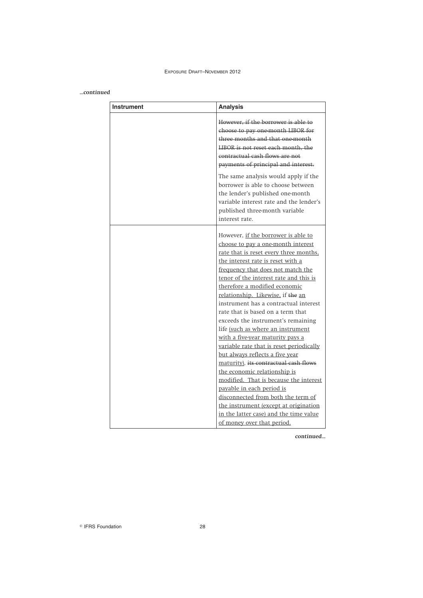# *...continued*

| <b>Instrument</b> | <b>Analysis</b>                                                                                                                                                                                                                                                                                                                                                                                                                                                                                                                                                                           |
|-------------------|-------------------------------------------------------------------------------------------------------------------------------------------------------------------------------------------------------------------------------------------------------------------------------------------------------------------------------------------------------------------------------------------------------------------------------------------------------------------------------------------------------------------------------------------------------------------------------------------|
|                   | However, if the borrower is able to<br>choose to pay one-month LIBOR for<br>three months and that one-month<br>LIBOR is not reset each month, the<br>contractual cash flows are not<br>payments of principal and interest.                                                                                                                                                                                                                                                                                                                                                                |
|                   | The same analysis would apply if the<br>borrower is able to choose between<br>the lender's published one-month<br>variable interest rate and the lender's<br>published three-month variable<br>interest rate.                                                                                                                                                                                                                                                                                                                                                                             |
|                   | However, if the borrower is able to<br>choose to pay a one-month interest<br>rate that is reset every three months,<br>the interest rate is reset with a<br>frequency that does not match the<br>tenor of the interest rate and this is<br>therefore a modified economic<br>relationship. Likewise, if the an<br>instrument has a contractual interest<br>rate that is based on a term that<br>exceeds the instrument's remaining<br>life (such as where an instrument<br>with a five-year maturity pays a<br>variable rate that is reset periodically<br>but always reflects a five year |
|                   | maturity), its contractual cash flows<br>the economic relationship is<br>modified. That is because the interest<br>payable in each period is<br>disconnected from both the term of<br>the instrument (except at origination<br>in the latter case) and the time value<br>of money over that period.                                                                                                                                                                                                                                                                                       |

*continued...*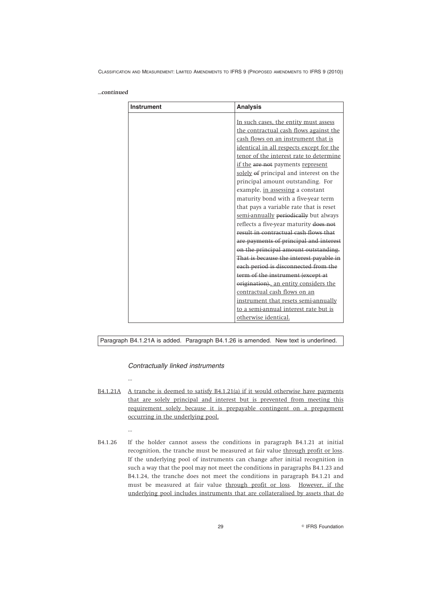#### *...continued*

| In such cases, the entity must assess<br>the contractual cash flows against the<br>cash flows on an instrument that is |
|------------------------------------------------------------------------------------------------------------------------|
|                                                                                                                        |
|                                                                                                                        |
|                                                                                                                        |
| identical in all respects except for the                                                                               |
| tenor of the interest rate to determine                                                                                |
| if the are not payments represent                                                                                      |
| solely of principal and interest on the                                                                                |
| principal amount outstanding. For                                                                                      |
|                                                                                                                        |
| example, in assessing a constant                                                                                       |
| maturity bond with a five-year term                                                                                    |
| that pays a variable rate that is reset                                                                                |
| semi-annually periodically but always                                                                                  |
| reflects a five-year maturity does not                                                                                 |
| result in contractual cash flows that                                                                                  |
| are payments of principal and interest                                                                                 |
| on the principal amount outstanding.                                                                                   |
| That is because the interest payable in                                                                                |
| each period is disconnected from the                                                                                   |
| term of the instrument (except at                                                                                      |
| origination). an entity considers the                                                                                  |
| contractual cash flows on an                                                                                           |
| instrument that resets semi-annually                                                                                   |
| to a semi-annual interest rate but is                                                                                  |
|                                                                                                                        |
|                                                                                                                        |

Paragraph B4.1.21A is added. Paragraph B4.1.26 is amended. New text is underlined.

*Contractually linked instruments*

...

...

- B4.1.21A A tranche is deemed to satisfy B4.1.21(a) if it would otherwise have payments that are solely principal and interest but is prevented from meeting this requirement solely because it is prepayable contingent on a prepayment occurring in the underlying pool.
- B4.1.26 If the holder cannot assess the conditions in paragraph B4.1.21 at initial recognition, the tranche must be measured at fair value through profit or loss. If the underlying pool of instruments can change after initial recognition in such a way that the pool may not meet the conditions in paragraphs B4.1.23 and B4.1.24, the tranche does not meet the conditions in paragraph B4.1.21 and must be measured at fair value through profit or loss. However, if the underlying pool includes instruments that are collateralised by assets that do

29 **IFRS Foundation**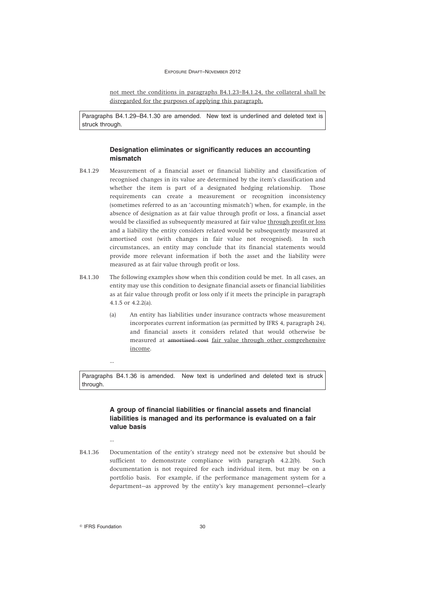not meet the conditions in paragraphs B4.1.23–B4.1.24, the collateral shall be disregarded for the purposes of applying this paragraph.

Paragraphs B4.1.29–B4.1.30 are amended. New text is underlined and deleted text is struck through.

# **Designation eliminates or significantly reduces an accounting mismatch**

- B4.1.29 Measurement of a financial asset or financial liability and classification of recognised changes in its value are determined by the item's classification and whether the item is part of a designated hedging relationship. Those requirements can create a measurement or recognition inconsistency (sometimes referred to as an 'accounting mismatch') when, for example, in the absence of designation as at fair value through profit or loss, a financial asset would be classified as subsequently measured at fair value through profit or loss and a liability the entity considers related would be subsequently measured at amortised cost (with changes in fair value not recognised). In such circumstances, an entity may conclude that its financial statements would provide more relevant information if both the asset and the liability were measured as at fair value through profit or loss.
- B4.1.30 The following examples show when this condition could be met. In all cases, an entity may use this condition to designate financial assets or financial liabilities as at fair value through profit or loss only if it meets the principle in paragraph 4.1.5 or 4.2.2(a).
	- (a) An entity has liabilities under insurance contracts whose measurement incorporates current information (as permitted by IFRS 4, paragraph 24), and financial assets it considers related that would otherwise be measured at amortised cost fair value through other comprehensive income.
	- ...

Paragraphs B4.1.36 is amended. New text is underlined and deleted text is struck through.

# **A group of financial liabilities or financial assets and financial liabilities is managed and its performance is evaluated on a fair value basis**

- ...
- B4.1.36 Documentation of the entity's strategy need not be extensive but should be sufficient to demonstrate compliance with paragraph 4.2.2(b). Such documentation is not required for each individual item, but may be on a portfolio basis. For example, if the performance management system for a department—as approved by the entity's key management personnel—clearly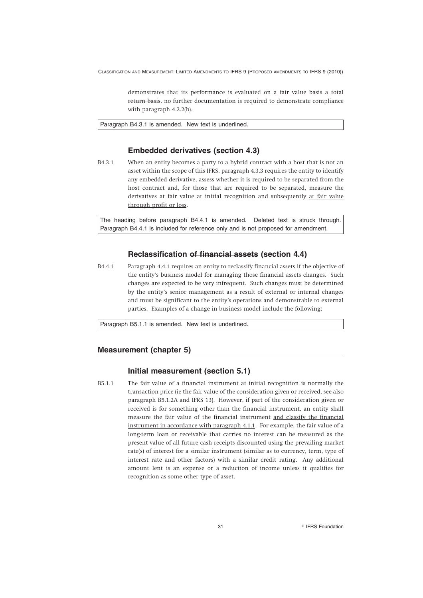demonstrates that its performance is evaluated on a fair value basis a total return basis, no further documentation is required to demonstrate compliance with paragraph 4.2.2(b).

Paragraph B4.3.1 is amended. New text is underlined.

# **Embedded derivatives (section 4.3)**

B4.3.1 When an entity becomes a party to a hybrid contract with a host that is not an asset within the scope of this IFRS, paragraph 4.3.3 requires the entity to identify any embedded derivative, assess whether it is required to be separated from the host contract and, for those that are required to be separated, measure the derivatives at fair value at initial recognition and subsequently at fair value through profit or loss.

The heading before paragraph B4.4.1 is amended. Deleted text is struck through. Paragraph B4.4.1 is included for reference only and is not proposed for amendment.

#### **Reclassification of financial assets (section 4.4)**

B4.4.1 Paragraph 4.4.1 requires an entity to reclassify financial assets if the objective of the entity's business model for managing those financial assets changes. Such changes are expected to be very infrequent. Such changes must be determined by the entity's senior management as a result of external or internal changes and must be significant to the entity's operations and demonstrable to external parties. Examples of a change in business model include the following:

Paragraph B5.1.1 is amended. New text is underlined.

# **Measurement (chapter 5)**

# **Initial measurement (section 5.1)**

B5.1.1 The fair value of a financial instrument at initial recognition is normally the transaction price (ie the fair value of the consideration given or received, see also paragraph B5.1.2A and IFRS 13). However, if part of the consideration given or received is for something other than the financial instrument, an entity shall measure the fair value of the financial instrument and classify the financial instrument in accordance with paragraph 4.1.1. For example, the fair value of a long-term loan or receivable that carries no interest can be measured as the present value of all future cash receipts discounted using the prevailing market rate(s) of interest for a similar instrument (similar as to currency, term, type of interest rate and other factors) with a similar credit rating. Any additional amount lent is an expense or a reduction of income unless it qualifies for recognition as some other type of asset.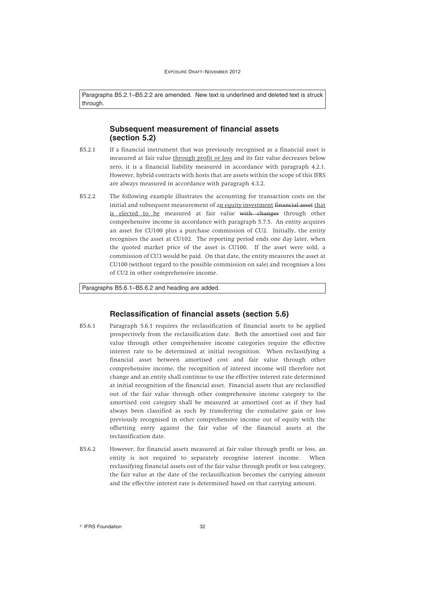Paragraphs B5.2.1–B5.2.2 are amended. New text is underlined and deleted text is struck through.

# **Subsequent measurement of financial assets (section 5.2)**

- B5.2.1 If a financial instrument that was previously recognised as a financial asset is measured at fair value through profit or loss and its fair value decreases below zero, it is a financial liability measured in accordance with paragraph 4.2.1. However, hybrid contracts with hosts that are assets within the scope of this IFRS are always measured in accordance with paragraph 4.3.2.
- B5.2.2 The following example illustrates the accounting for transaction costs on the initial and subsequent measurement of an equity investment financial asset that is elected to be measured at fair value with changes through other comprehensive income in accordance with paragraph 5.7.5. An entity acquires an asset for CU100 plus a purchase commission of CU2. Initially, the entity recognises the asset at CU102. The reporting period ends one day later, when the quoted market price of the asset is CU100. If the asset were sold, a commission of CU3 would be paid. On that date, the entity measures the asset at CU100 (without regard to the possible commission on sale) and recognises a loss of CU2 in other comprehensive income.

Paragraphs B5.6.1–B5.6.2 and heading are added.

# **Reclassification of financial assets (section 5.6)**

- B5.6.1 Paragraph 5.6.1 requires the reclassification of financial assets to be applied prospectively from the reclassification date. Both the amortised cost and fair value through other comprehensive income categories require the effective interest rate to be determined at initial recognition. When reclassifying a financial asset between amortised cost and fair value through other comprehensive income, the recognition of interest income will therefore not change and an entity shall continue to use the effective interest rate determined at initial recognition of the financial asset. Financial assets that are reclassified out of the fair value through other comprehensive income category to the amortised cost category shall be measured at amortised cost as if they had always been classified as such by transferring the cumulative gain or loss previously recognised in other comprehensive income out of equity with the offsetting entry against the fair value of the financial assets at the reclassification date.
- B5.6.2 However, for financial assets measured at fair value through profit or loss, an entity is not required to separately recognise interest income. When reclassifying financial assets out of the fair value through profit or loss category, the fair value at the date of the reclassification becomes the carrying amount and the effective interest rate is determined based on that carrying amount.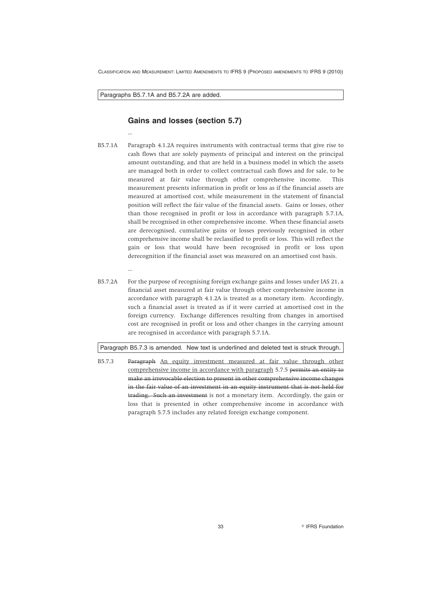Paragraphs B5.7.1A and B5.7.2A are added.

...

...

# **Gains and losses (section 5.7)**

- B5.7.1A Paragraph 4.1.2A requires instruments with contractual terms that give rise to cash flows that are solely payments of principal and interest on the principal amount outstanding, and that are held in a business model in which the assets are managed both in order to collect contractual cash flows and for sale, to be measured at fair value through other comprehensive income. This measurement presents information in profit or loss as if the financial assets are measured at amortised cost, while measurement in the statement of financial position will reflect the fair value of the financial assets. Gains or losses, other than those recognised in profit or loss in accordance with paragraph 5.7.1A, shall be recognised in other comprehensive income. When these financial assets are derecognised, cumulative gains or losses previously recognised in other comprehensive income shall be reclassified to profit or loss. This will reflect the gain or loss that would have been recognised in profit or loss upon derecognition if the financial asset was measured on an amortised cost basis.
- B5.7.2A For the purpose of recognising foreign exchange gains and losses under IAS 21, a financial asset measured at fair value through other comprehensive income in accordance with paragraph 4.1.2A is treated as a monetary item. Accordingly, such a financial asset is treated as if it were carried at amortised cost in the foreign currency. Exchange differences resulting from changes in amortised cost are recognised in profit or loss and other changes in the carrying amount are recognised in accordance with paragraph 5.7.1A.

#### Paragraph B5.7.3 is amended. New text is underlined and deleted text is struck through.

B5.7.3 Paragraph An equity investment measured at fair value through other comprehensive income in accordance with paragraph 5.7.5 permits an entity to make an irrevocable election to present in other comprehensive income changes in the fair value of an investment in an equity instrument that is not held for trading. Such an investment is not a monetary item. Accordingly, the gain or loss that is presented in other comprehensive income in accordance with paragraph 5.7.5 includes any related foreign exchange component.

33 IFRS Foundation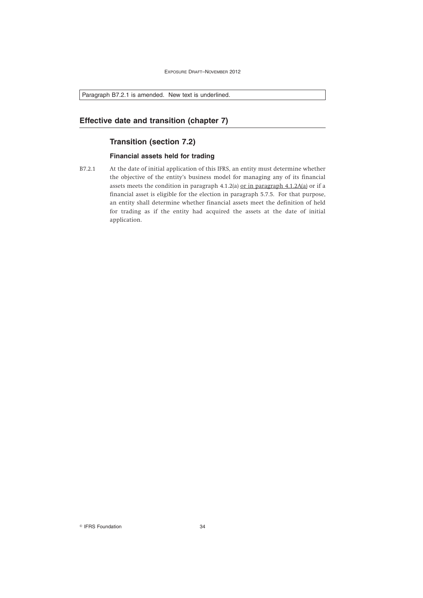Paragraph B7.2.1 is amended. New text is underlined.

# **Effective date and transition (chapter 7)**

# **Transition (section 7.2)**

# **Financial assets held for trading**

B7.2.1 At the date of initial application of this IFRS, an entity must determine whether the objective of the entity's business model for managing any of its financial assets meets the condition in paragraph 4.1.2(a) or in paragraph 4.1.2A(a) or if a financial asset is eligible for the election in paragraph 5.7.5. For that purpose, an entity shall determine whether financial assets meet the definition of held for trading as if the entity had acquired the assets at the date of initial application.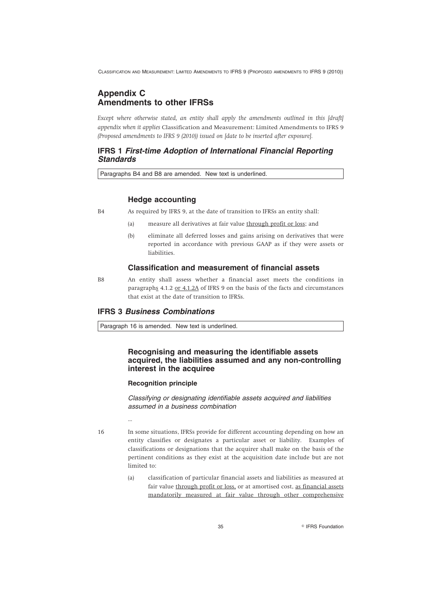# **Appendix C Amendments to other IFRSs**

*Except where otherwise stated, an entity shall apply the amendments outlined in this [draft] appendix when it applies* Classification and Measurement: Limited Amendments to IFRS 9 *(Proposed amendments to IFRS 9 (2010)) issued on [date to be inserted after exposure].*

# **IFRS 1** *First-time Adoption of International Financial Reporting Standards*

Paragraphs B4 and B8 are amended. New text is underlined.

# **Hedge accounting**

B4 As required by IFRS 9, at the date of transition to IFRSs an entity shall:

- (a) measure all derivatives at fair value through profit or loss; and
- (b) eliminate all deferred losses and gains arising on derivatives that were reported in accordance with previous GAAP as if they were assets or liabilities.

# **Classification and measurement of financial assets**

B8 An entity shall assess whether a financial asset meets the conditions in paragraphs 4.1.2 or 4.1.2A of IFRS 9 on the basis of the facts and circumstances that exist at the date of transition to IFRSs.

# **IFRS 3** *Business Combinations*

Paragraph 16 is amended. New text is underlined.

# **Recognising and measuring the identifiable assets acquired, the liabilities assumed and any non-controlling interest in the acquiree**

#### **Recognition principle**

*Classifying or designating identifiable assets acquired and liabilities assumed in a business combination*

...

16 In some situations, IFRSs provide for different accounting depending on how an entity classifies or designates a particular asset or liability. Examples of classifications or designations that the acquirer shall make on the basis of the pertinent conditions as they exist at the acquisition date include but are not limited to:

> (a) classification of particular financial assets and liabilities as measured at fair value through profit or loss, or at amortised cost, as financial assets mandatorily measured at fair value through other comprehensive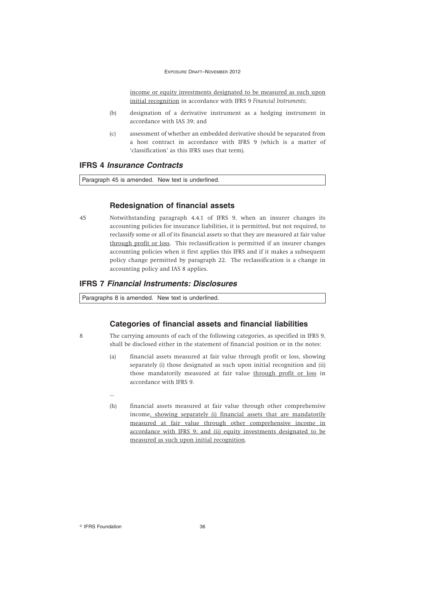income or equity investments designated to be measured as such upon initial recognition in accordance with IFRS 9 *Financial Instruments*;

- (b) designation of a derivative instrument as a hedging instrument in accordance with IAS 39; and
- (c) assessment of whether an embedded derivative should be separated from a host contract in accordance with IFRS 9 (which is a matter of 'classification' as this IFRS uses that term).

# **IFRS 4** *Insurance Contracts*

Paragraph 45 is amended. New text is underlined.

## **Redesignation of financial assets**

45 Notwithstanding paragraph 4.4.1 of IFRS 9, when an insurer changes its accounting policies for insurance liabilities, it is permitted, but not required, to reclassify some or all of its financial assets so that they are measured at fair value through profit or loss. This reclassification is permitted if an insurer changes accounting policies when it first applies this IFRS and if it makes a subsequent policy change permitted by paragraph 22. The reclassification is a change in accounting policy and IAS 8 applies.

# **IFRS 7** *Financial Instruments: Disclosures*

Paragraphs 8 is amended. New text is underlined.

## **Categories of financial assets and financial liabilities**

- 8 The carrying amounts of each of the following categories, as specified in IFRS 9, shall be disclosed either in the statement of financial position or in the notes:
	- (a) financial assets measured at fair value through profit or loss, showing separately (i) those designated as such upon initial recognition and (ii) those mandatorily measured at fair value through profit or loss in accordance with IFRS 9.
	- (h) financial assets measured at fair value through other comprehensive income, showing separately (i) financial assets that are mandatorily measured at fair value through other comprehensive income in accordance with IFRS 9; and (ii) equity investments designated to be measured as such upon initial recognition.

<sup>©</sup> IFRS Foundation 36

...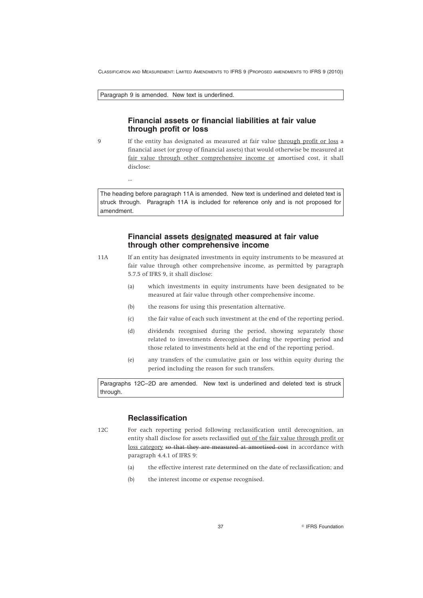Paragraph 9 is amended. New text is underlined.

...

# **Financial assets or financial liabilities at fair value through profit or loss**

9 If the entity has designated as measured at fair value through profit or loss a financial asset (or group of financial assets) that would otherwise be measured at fair value through other comprehensive income or amortised cost, it shall disclose:

The heading before paragraph 11A is amended. New text is underlined and deleted text is struck through. Paragraph 11A is included for reference only and is not proposed for amendment.

## **Financial assets designated measured at fair value through other comprehensive income**

- 11A If an entity has designated investments in equity instruments to be measured at fair value through other comprehensive income, as permitted by paragraph 5.7.5 of IFRS 9, it shall disclose:
	- (a) which investments in equity instruments have been designated to be measured at fair value through other comprehensive income.
	- (b) the reasons for using this presentation alternative.
	- (c) the fair value of each such investment at the end of the reporting period.
	- (d) dividends recognised during the period, showing separately those related to investments derecognised during the reporting period and those related to investments held at the end of the reporting period.
	- (e) any transfers of the cumulative gain or loss within equity during the period including the reason for such transfers.

Paragraphs 12C–2D are amended. New text is underlined and deleted text is struck through.

# **Reclassification**

12C For each reporting period following reclassification until derecognition, an entity shall disclose for assets reclassified out of the fair value through profit or loss category so that they are measured at amortised cost in accordance with paragraph 4.4.1 of IFRS 9:

- (a) the effective interest rate determined on the date of reclassification; and
- (b) the interest income or expense recognised.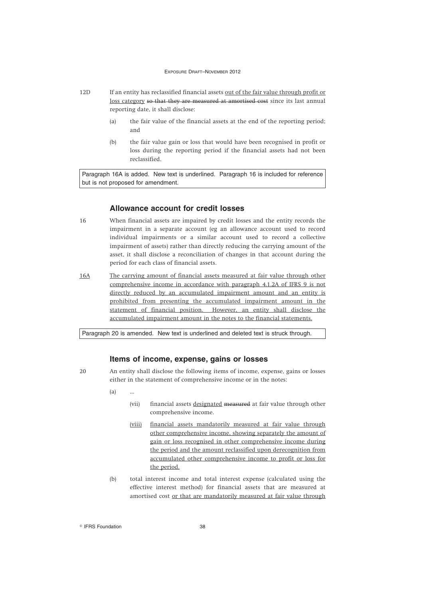- 12D If an entity has reclassified financial assets out of the fair value through profit or loss category so that they are measured at amortised cost since its last annual reporting date, it shall disclose:
	- (a) the fair value of the financial assets at the end of the reporting period; and
	- (b) the fair value gain or loss that would have been recognised in profit or loss during the reporting period if the financial assets had not been reclassified.

Paragraph 16A is added. New text is underlined. Paragraph 16 is included for reference but is not proposed for amendment.

### **Allowance account for credit losses**

- 16 When financial assets are impaired by credit losses and the entity records the impairment in a separate account (eg an allowance account used to record individual impairments or a similar account used to record a collective impairment of assets) rather than directly reducing the carrying amount of the asset, it shall disclose a reconciliation of changes in that account during the period for each class of financial assets.
- 16A The carrying amount of financial assets measured at fair value through other comprehensive income in accordance with paragraph 4.1.2A of IFRS 9 is not directly reduced by an accumulated impairment amount and an entity is prohibited from presenting the accumulated impairment amount in the statement of financial position. However, an entity shall disclose the accumulated impairment amount in the notes to the financial statements.

Paragraph 20 is amended. New text is underlined and deleted text is struck through.

### **Items of income, expense, gains or losses**

20 An entity shall disclose the following items of income, expense, gains or losses either in the statement of comprehensive income or in the notes:

- $(a)$
- (vii) financial assets designated measured at fair value through other comprehensive income.
- (viii) financial assets mandatorily measured at fair value through other comprehensive income, showing separately the amount of gain or loss recognised in other comprehensive income during the period and the amount reclassified upon derecognition from accumulated other comprehensive income to profit or loss for the period.
- (b) total interest income and total interest expense (calculated using the effective interest method) for financial assets that are measured at amortised cost or that are mandatorily measured at fair value through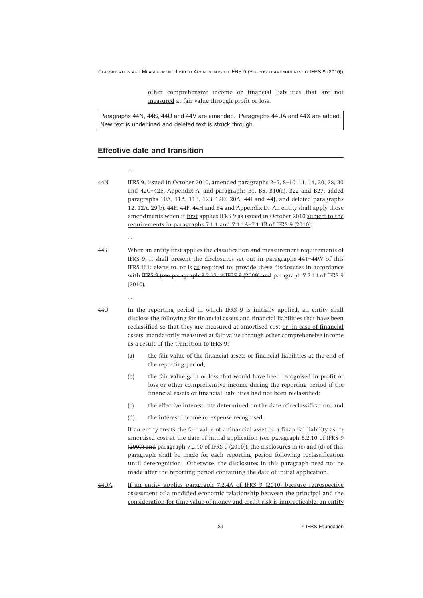other comprehensive income or financial liabilities that are not measured at fair value through profit or loss.

Paragraphs 44N, 44S, 44U and 44V are amended. Paragraphs 44UA and 44X are added. New text is underlined and deleted text is struck through.

# **Effective date and transition**

...

...

...

- 44N IFRS 9, issued in October 2010, amended paragraphs 2–5, 8–10, 11, 14, 20, 28, 30 and 42C–42E, Appendix A, and paragraphs B1, B5, B10(a), B22 and B27, added paragraphs 10A, 11A, 11B, 12B–12D, 20A, 44I and 44J, and deleted paragraphs 12, 12A, 29(b), 44E, 44F, 44H and B4 and Appendix D. An entity shall apply those amendments when it first applies IFRS 9 as issued in October 2010 subject to the requirements in paragraphs 7.1.1 and 7.1.1A–7.1.1B of IFRS 9 (2010).
- 44S When an entity first applies the classification and measurement requirements of IFRS 9, it shall present the disclosures set out in paragraphs 44T–44W of this IFRS if it elects to, or is as required to, provide these disclosures in accordance with IFRS 9 (see paragraph 8.2.12 of IFRS 9 (2009) and paragraph 7.2.14 of IFRS 9 (2010).
- 44U In the reporting period in which IFRS 9 is initially applied, an entity shall disclose the following for financial assets and financial liabilities that have been reclassified so that they are measured at amortised cost or, in case of financial assets, mandatorily measured at fair value through other comprehensive income as a result of the transition to IFRS 9:
	- (a) the fair value of the financial assets or financial liabilities at the end of the reporting period;
	- (b) the fair value gain or loss that would have been recognised in profit or loss or other comprehensive income during the reporting period if the financial assets or financial liabilities had not been reclassified;
	- (c) the effective interest rate determined on the date of reclassification; and
	- (d) the interest income or expense recognised.

If an entity treats the fair value of a financial asset or a financial liability as its amortised cost at the date of initial application (see paragraph 8.2.10 of IFRS 9 (2009) and paragraph 7.2.10 of IFRS 9 (2010)), the disclosures in (c) and (d) of this paragraph shall be made for each reporting period following reclassification until derecognition. Otherwise, the disclosures in this paragraph need not be made after the reporting period containing the date of initial application.

44UA If an entity applies paragraph 7.2.4A of IFRS 9 (2010) because retrospective assessment of a modified economic relationship between the principal and the consideration for time value of money and credit risk is impracticable, an entity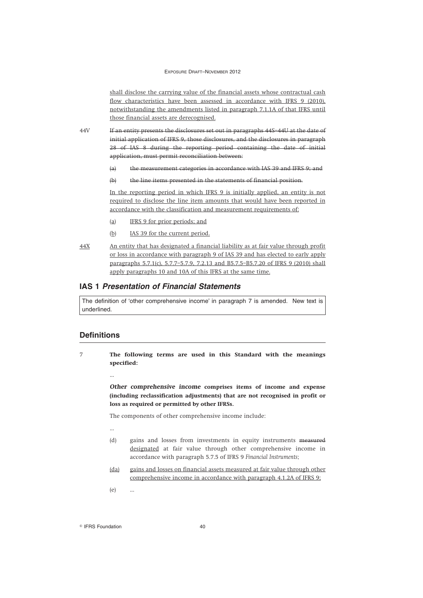shall disclose the carrying value of the financial assets whose contractual cash flow characteristics have been assessed in accordance with IFRS 9 (2010), notwithstanding the amendments listed in paragraph 7.1.1A of that IFRS until those financial assets are derecognised.

44V If an entity presents the disclosures set out in paragraphs 44S–44U at the date of initial application of IFRS 9, those disclosures, and the disclosures in paragraph 28 of IAS 8 during the reporting period containing the date of initial application, must permit reconciliation between:

- (a) the measurement categories in accordance with IAS 39 and IFRS 9; and
- (b) the line items presented in the statements of financial position.

In the reporting period in which IFRS 9 is initially applied, an entity is not required to disclose the line item amounts that would have been reported in accordance with the classification and measurement requirements of:

- (a) IFRS 9 for prior periods; and
- (b) IAS 39 for the current period.
- 44X An entity that has designated a financial liability as at fair value through profit or loss in accordance with paragraph 9 of IAS 39 and has elected to early apply paragraphs 5.7.1(c), 5.7.7–5.7.9, 7.2.13 and B5.7.5–B5.7.20 of IFRS 9 (2010) shall apply paragraphs 10 and 10A of this IFRS at the same time.

## **IAS 1** *Presentation of Financial Statements*

The definition of 'other comprehensive income' in paragraph 7 is amended. New text is underlined.

## **Definitions**

7 **The following terms are used in this Standard with the meanings specified:**

...

*Other comprehensive income* **comprises items of income and expense (including reclassification adjustments) that are not recognised in profit or loss as required or permitted by other IFRSs.**

The components of other comprehensive income include:

- ...
- (d) gains and losses from investments in equity instruments measured designated at fair value through other comprehensive income in accordance with paragraph 5.7.5 of IFRS 9 *Financial Instruments*;
- (da) gains and losses on financial assets measured at fair value through other comprehensive income in accordance with paragraph 4.1.2A of IFRS 9;
- (e) ...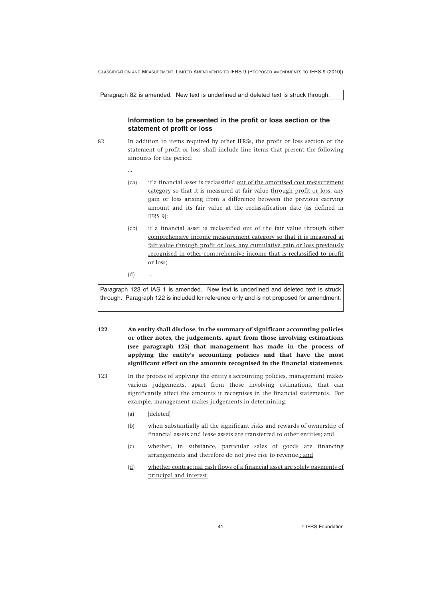Paragraph 82 is amended. New text is underlined and deleted text is struck through.

### **Information to be presented in the profit or loss section or the statement of profit or loss**

- 82 In addition to items required by other IFRSs, the profit or loss section or the statement of profit or loss shall include line items that present the following amounts for the period:
	- (ca) if a financial asset is reclassified out of the amortised cost measurement category so that it is measured at fair value through profit or loss, any gain or loss arising from a difference between the previous carrying amount and its fair value at the reclassification date (as defined in IFRS 9);
	- (cb) if a financial asset is reclassified out of the fair value through other comprehensive income measurement category so that it is measured at fair value through profit or loss, any cumulative gain or loss previously recognised in other comprehensive income that is reclassified to profit or loss;
	- $(d)$

...

Paragraph 123 of IAS 1 is amended. New text is underlined and deleted text is struck through. Paragraph 122 is included for reference only and is not proposed for amendment.

- **122 An entity shall disclose, in the summary of significant accounting policies or other notes, the judgements, apart from those involving estimations (see paragraph 125) that management has made in the process of applying the entity's accounting policies and that have the most significant effect on the amounts recognised in the financial statements.**
- 123 In the process of applying the entity's accounting policies, management makes various judgements, apart from those involving estimations, that can significantly affect the amounts it recognises in the financial statements. For example, management makes judgements in determining:
	- (a) [deleted]
	- (b) when substantially all the significant risks and rewards of ownership of financial assets and lease assets are transferred to other entities; and
	- (c) whether, in substance, particular sales of goods are financing arrangements and therefore do not give rise to revenue.; and
	- (d) whether contractual cash flows of a financial asset are solely payments of principal and interest.

41 **IFRS** Foundation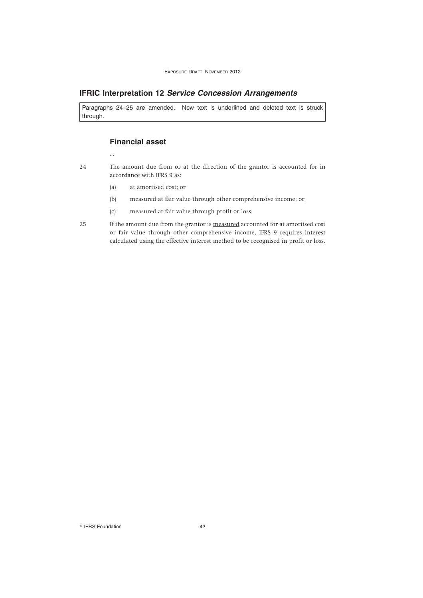# **IFRIC Interpretation 12** *Service Concession Arrangements*

Paragraphs 24–25 are amended. New text is underlined and deleted text is struck through.

# **Financial asset**

- ...
- 24 The amount due from or at the direction of the grantor is accounted for in accordance with IFRS 9 as:
	- (a) at amortised cost; or
	- (b) measured at fair value through other comprehensive income; or
	- $(c)$  measured at fair value through profit or loss.
- 25 If the amount due from the grantor is measured accounted for at amortised cost or fair value through other comprehensive income, IFRS 9 requires interest calculated using the effective interest method to be recognised in profit or loss.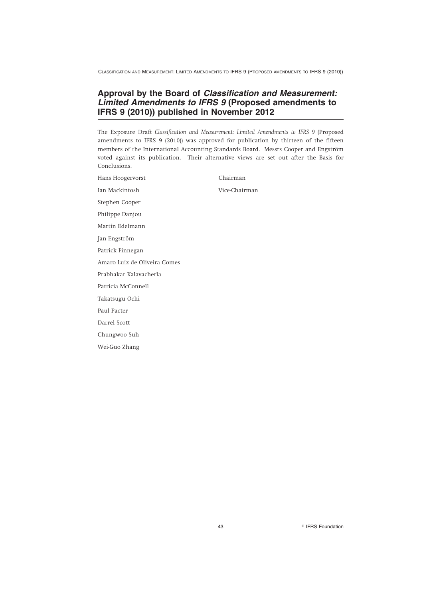# **Approval by the Board of** *Classification and Measurement: Limited Amendments to IFRS 9* **(Proposed amendments to IFRS 9 (2010)) published in November 2012**

The Exposure Draft *Classification and Measurement: Limited Amendments to IFRS 9* (Proposed amendments to IFRS 9 (2010)) was approved for publication by thirteen of the fifteen members of the International Accounting Standards Board. Messrs Cooper and Engström voted against its publication. Their alternative views are set out after the Basis for Conclusions.

| Hans Hoogervorst             | Chairman      |
|------------------------------|---------------|
| Ian Mackintosh               | Vice-Chairman |
| Stephen Cooper               |               |
| Philippe Danjou              |               |
| Martin Edelmann              |               |
| Jan Engström                 |               |
| Patrick Finnegan             |               |
| Amaro Luiz de Oliveira Gomes |               |
| Prabhakar Kalavacherla       |               |
| Patricia McConnell           |               |
| Takatsugu Ochi               |               |
| Paul Pacter                  |               |
| Darrel Scott                 |               |
| Chungwoo Suh                 |               |
| Wei-Guo Zhang                |               |

43 **IFRS Foundation**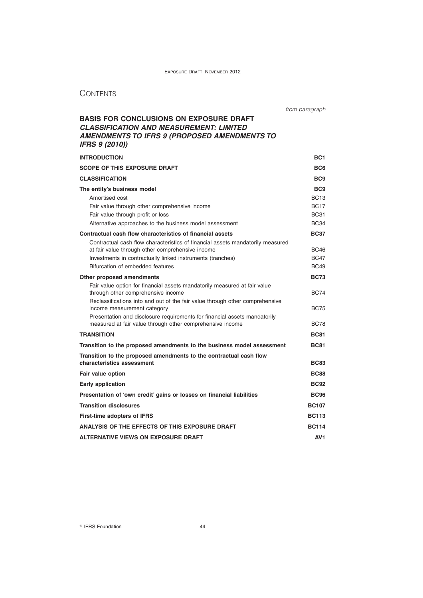# **CONTENTS**

| from paragraph |
|----------------|
|                |

# **BASIS FOR CONCLUSIONS ON EXPOSURE DRAFT** *CLASSIFICATION AND MEASUREMENT: LIMITED AMENDMENTS TO IFRS 9 (PROPOSED AMENDMENTS TO IFRS 9 (2010))*

| <b>INTRODUCTION</b>                                                                                                                    | BC <sub>1</sub> |
|----------------------------------------------------------------------------------------------------------------------------------------|-----------------|
| <b>SCOPE OF THIS EXPOSURE DRAFT</b>                                                                                                    | BC <sub>6</sub> |
| <b>CLASSIFICATION</b>                                                                                                                  | BC <sub>9</sub> |
| The entity's business model                                                                                                            | BC <sub>9</sub> |
| Amortised cost                                                                                                                         | <b>BC13</b>     |
| Fair value through other comprehensive income                                                                                          | <b>BC17</b>     |
| Fair value through profit or loss                                                                                                      | <b>BC31</b>     |
| Alternative approaches to the business model assessment                                                                                | <b>BC34</b>     |
| Contractual cash flow characteristics of financial assets                                                                              | <b>BC37</b>     |
| Contractual cash flow characteristics of financial assets mandatorily measured                                                         |                 |
| at fair value through other comprehensive income                                                                                       | BC46            |
| Investments in contractually linked instruments (tranches)                                                                             | <b>BC47</b>     |
| Bifurcation of embedded features                                                                                                       | <b>BC49</b>     |
| Other proposed amendments                                                                                                              | <b>BC73</b>     |
| Fair value option for financial assets mandatorily measured at fair value<br>through other comprehensive income                        | <b>BC74</b>     |
| Reclassifications into and out of the fair value through other comprehensive<br>income measurement category                            | <b>BC75</b>     |
| Presentation and disclosure requirements for financial assets mandatorily<br>measured at fair value through other comprehensive income | <b>BC78</b>     |
| <b>TRANSITION</b>                                                                                                                      | <b>BC81</b>     |
| Transition to the proposed amendments to the business model assessment                                                                 | <b>BC81</b>     |
| Transition to the proposed amendments to the contractual cash flow                                                                     |                 |
| characteristics assessment                                                                                                             | <b>BC83</b>     |
| Fair value option                                                                                                                      | <b>BC88</b>     |
| Early application                                                                                                                      | <b>BC92</b>     |
| Presentation of 'own credit' gains or losses on financial liabilities                                                                  | <b>BC96</b>     |
| <b>Transition disclosures</b>                                                                                                          | <b>BC107</b>    |
| <b>First-time adopters of IFRS</b>                                                                                                     | <b>BC113</b>    |
| ANALYSIS OF THE EFFECTS OF THIS EXPOSURE DRAFT                                                                                         | <b>BC114</b>    |
| ALTERNATIVE VIEWS ON EXPOSURE DRAFT                                                                                                    | AV <sub>1</sub> |

IFRS Foundation 44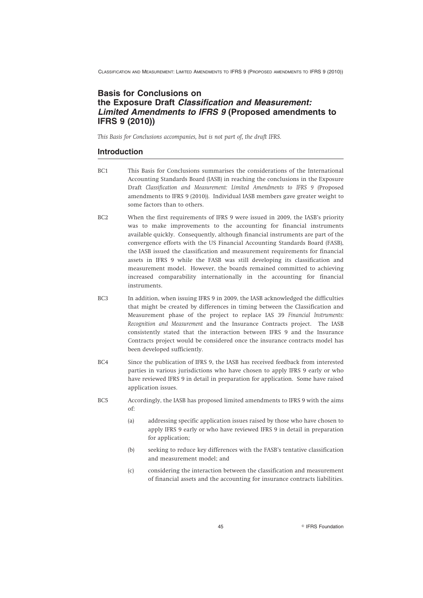# **Basis for Conclusions on the Exposure Draft** *Classification and Measurement: Limited Amendments to IFRS 9* **(Proposed amendments to IFRS 9 (2010))**

*This Basis for Conclusions accompanies, but is not part of, the draft IFRS.*

# **Introduction**

- BC1 This Basis for Conclusions summarises the considerations of the International Accounting Standards Board (IASB) in reaching the conclusions in the Exposure Draft *Classification and Measurement: Limited Amendments to IFRS 9* (Proposed amendments to IFRS 9 (2010)). Individual IASB members gave greater weight to some factors than to others.
- BC2 When the first requirements of IFRS 9 were issued in 2009, the IASB's priority was to make improvements to the accounting for financial instruments available quickly. Consequently, although financial instruments are part of the convergence efforts with the US Financial Accounting Standards Board (FASB), the IASB issued the classification and measurement requirements for financial assets in IFRS 9 while the FASB was still developing its classification and measurement model. However, the boards remained committed to achieving increased comparability internationally in the accounting for financial instruments.
- BC3 In addition, when issuing IFRS 9 in 2009, the IASB acknowledged the difficulties that might be created by differences in timing between the Classification and Measurement phase of the project to replace IAS 39 *Financial Instruments: Recognition and Measurement* and the Insurance Contracts project. The IASB consistently stated that the interaction between IFRS 9 and the Insurance Contracts project would be considered once the insurance contracts model has been developed sufficiently.
- BC4 Since the publication of IFRS 9, the IASB has received feedback from interested parties in various jurisdictions who have chosen to apply IFRS 9 early or who have reviewed IFRS 9 in detail in preparation for application. Some have raised application issues.
- BC5 Accordingly, the IASB has proposed limited amendments to IFRS 9 with the aims of:
	- (a) addressing specific application issues raised by those who have chosen to apply IFRS 9 early or who have reviewed IFRS 9 in detail in preparation for application;
	- (b) seeking to reduce key differences with the FASB's tentative classification and measurement model; and
	- (c) considering the interaction between the classification and measurement of financial assets and the accounting for insurance contracts liabilities.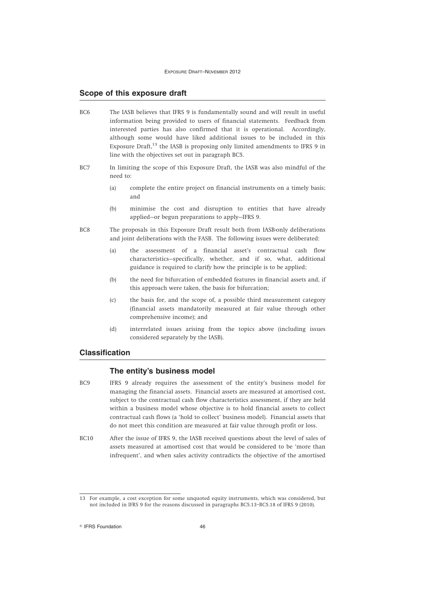#### **Scope of this exposure draft**

- BC6 The IASB believes that IFRS 9 is fundamentally sound and will result in useful information being provided to users of financial statements. Feedback from interested parties has also confirmed that it is operational. Accordingly, although some would have liked additional issues to be included in this Exposure Draft, $^{13}$  the IASB is proposing only limited amendments to IFRS 9 in line with the objectives set out in paragraph BC5.
- BC7 In limiting the scope of this Exposure Draft, the IASB was also mindful of the need to:
	- (a) complete the entire project on financial instruments on a timely basis; and
	- (b) minimise the cost and disruption to entities that have already applied—or begun preparations to apply—IFRS 9.
- BC8 The proposals in this Exposure Draft result both from IASB-only deliberations and joint deliberations with the FASB. The following issues were deliberated:
	- (a) the assessment of a financial asset's contractual cash flow characteristics—specifically, whether, and if so, what, additional guidance is required to clarify how the principle is to be applied;
	- (b) the need for bifurcation of embedded features in financial assets and, if this approach were taken, the basis for bifurcation;
	- (c) the basis for, and the scope of, a possible third measurement category (financial assets mandatorily measured at fair value through other comprehensive income); and
	- (d) interrelated issues arising from the topics above (including issues considered separately by the IASB).

## **Classification**

### **The entity's business model**

- BC9 IFRS 9 already requires the assessment of the entity's business model for managing the financial assets. Financial assets are measured at amortised cost, subject to the contractual cash flow characteristics assessment, if they are held within a business model whose objective is to hold financial assets to collect contractual cash flows (a 'hold to collect' business model). Financial assets that do not meet this condition are measured at fair value through profit or loss.
- BC10 After the issue of IFRS 9, the IASB received questions about the level of sales of assets measured at amortised cost that would be considered to be 'more than infrequent', and when sales activity contradicts the objective of the amortised

<sup>13</sup> For example, a cost exception for some unquoted equity instruments, which was considered, but not included in IFRS 9 for the reasons discussed in paragraphs BC5.13–BC5.18 of IFRS 9 (2010).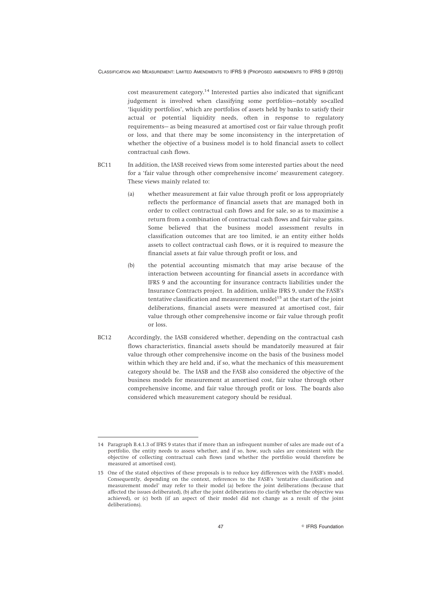cost measurement category.<sup>14</sup> Interested parties also indicated that significant judgement is involved when classifying some portfolios—notably so-called 'liquidity portfolios', which are portfolios of assets held by banks to satisfy their actual or potential liquidity needs, often in response to regulatory requirements— as being measured at amortised cost or fair value through profit or loss, and that there may be some inconsistency in the interpretation of whether the objective of a business model is to hold financial assets to collect contractual cash flows.

- BC11 In addition, the IASB received views from some interested parties about the need for a 'fair value through other comprehensive income' measurement category. These views mainly related to:
	- (a) whether measurement at fair value through profit or loss appropriately reflects the performance of financial assets that are managed both in order to collect contractual cash flows and for sale, so as to maximise a return from a combination of contractual cash flows and fair value gains. Some believed that the business model assessment results in classification outcomes that are too limited, ie an entity either holds assets to collect contractual cash flows, or it is required to measure the financial assets at fair value through profit or loss, and
	- (b) the potential accounting mismatch that may arise because of the interaction between accounting for financial assets in accordance with IFRS 9 and the accounting for insurance contracts liabilities under the Insurance Contracts project. In addition, unlike IFRS 9, under the FASB's tentative classification and measurement model<sup>15</sup> at the start of the joint deliberations, financial assets were measured at amortised cost, fair value through other comprehensive income or fair value through profit or loss.
- BC12 Accordingly, the IASB considered whether, depending on the contractual cash flows characteristics, financial assets should be mandatorily measured at fair value through other comprehensive income on the basis of the business model within which they are held and, if so, what the mechanics of this measurement category should be. The IASB and the FASB also considered the objective of the business models for measurement at amortised cost, fair value through other comprehensive income, and fair value through profit or loss. The boards also considered which measurement category should be residual.

<sup>14</sup> Paragraph B.4.1.3 of IFRS 9 states that if more than an infrequent number of sales are made out of a portfolio, the entity needs to assess whether, and if so, how, such sales are consistent with the objective of collecting contractual cash flows (and whether the portfolio would therefore be measured at amortised cost).

<sup>15</sup> One of the stated objectives of these proposals is to reduce key differences with the FASB's model. Consequently, depending on the context, references to the FASB's 'tentative classification and measurement model' may refer to their model (a) before the joint deliberations (because that affected the issues deliberated), (b) after the joint deliberations (to clarify whether the objective was achieved), or (c) both (if an aspect of their model did not change as a result of the joint deliberations).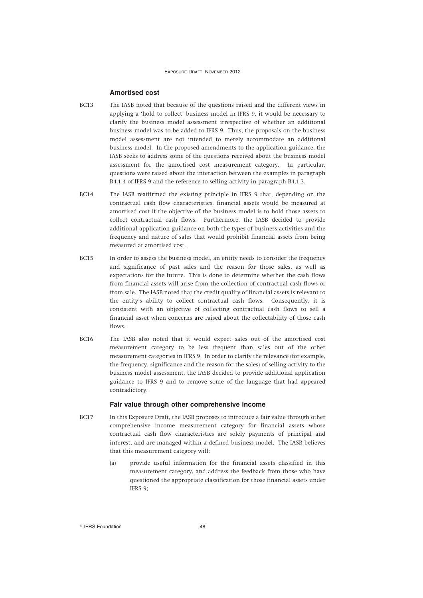#### **Amortised cost**

- BC13 The IASB noted that because of the questions raised and the different views in applying a 'hold to collect' business model in IFRS 9, it would be necessary to clarify the business model assessment irrespective of whether an additional business model was to be added to IFRS 9. Thus, the proposals on the business model assessment are not intended to merely accommodate an additional business model. In the proposed amendments to the application guidance, the IASB seeks to address some of the questions received about the business model assessment for the amortised cost measurement category. In particular, questions were raised about the interaction between the examples in paragraph B4.1.4 of IFRS 9 and the reference to selling activity in paragraph B4.1.3.
- BC14 The IASB reaffirmed the existing principle in IFRS 9 that, depending on the contractual cash flow characteristics, financial assets would be measured at amortised cost if the objective of the business model is to hold those assets to collect contractual cash flows. Furthermore, the IASB decided to provide additional application guidance on both the types of business activities and the frequency and nature of sales that would prohibit financial assets from being measured at amortised cost.
- BC15 In order to assess the business model, an entity needs to consider the frequency and significance of past sales and the reason for those sales, as well as expectations for the future. This is done to determine whether the cash flows from financial assets will arise from the collection of contractual cash flows or from sale. The IASB noted that the credit quality of financial assets is relevant to the entity's ability to collect contractual cash flows. Consequently, it is consistent with an objective of collecting contractual cash flows to sell a financial asset when concerns are raised about the collectability of those cash flows.
- BC16 The IASB also noted that it would expect sales out of the amortised cost measurement category to be less frequent than sales out of the other measurement categories in IFRS 9. In order to clarify the relevance (for example, the frequency, significance and the reason for the sales) of selling activity to the business model assessment, the IASB decided to provide additional application guidance to IFRS 9 and to remove some of the language that had appeared contradictory.

#### **Fair value through other comprehensive income**

- BC17 In this Exposure Draft, the IASB proposes to introduce a fair value through other comprehensive income measurement category for financial assets whose contractual cash flow characteristics are solely payments of principal and interest, and are managed within a defined business model. The IASB believes that this measurement category will:
	- (a) provide useful information for the financial assets classified in this measurement category, and address the feedback from those who have questioned the appropriate classification for those financial assets under IFRS 9;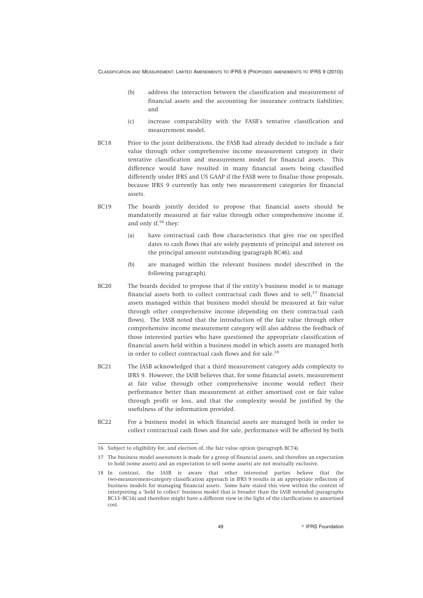- (b) address the interaction between the classification and measurement of financial assets and the accounting for insurance contracts liabilities; and
- (c) increase comparability with the FASB's tentative classification and measurement model.
- BC18 Prior to the joint deliberations, the FASB had already decided to include a fair value through other comprehensive income measurement category in their tentative classification and measurement model for financial assets. This difference would have resulted in many financial assets being classified differently under IFRS and US GAAP if the FASB were to finalise those proposals, because IFRS 9 currently has only two measurement categories for financial assets.
- BC19 The boards jointly decided to propose that financial assets should be mandatorily measured at fair value through other comprehensive income if, and only if, $16$  they:
	- (a) have contractual cash flow characteristics that give rise on specified dates to cash flows that are solely payments of principal and interest on the principal amount outstanding (paragraph BC46); and
	- (b) are managed within the relevant business model (described in the following paragraph).
- BC20 The boards decided to propose that if the entity's business model is to manage financial assets both to collect contractual cash flows and to sell, $17$  financial assets managed within that business model should be measured at fair value through other comprehensive income (depending on their contractual cash flows). The IASB noted that the introduction of the fair value through other comprehensive income measurement category will also address the feedback of those interested parties who have questioned the appropriate classification of financial assets held within a business model in which assets are managed both in order to collect contractual cash flows and for sale.<sup>18</sup>
- BC21 The IASB acknowledged that a third measurement category adds complexity to IFRS 9. However, the IASB believes that, for some financial assets, measurement at fair value through other comprehensive income would reflect their performance better than measurement at either amortised cost or fair value through profit or loss, and that the complexity would be justified by the usefulness of the information provided.
- BC22 For a business model in which financial assets are managed both in order to collect contractual cash flows and for sale, performance will be affected by both

<sup>16</sup> Subject to eligibility for, and election of, the fair value option (paragraph BC74).

<sup>17</sup> The business model assessment is made for a group of financial assets, and therefore an expectation to hold (some assets) and an expectation to sell (some assets) are not mutually exclusive.

<sup>18</sup> In contrast, the IASB is aware that other interested parties believe that the two-measurement-category classification approach in IFRS 9 results in an appropriate reflection of business models for managing financial assets. Some have stated this view within the context of interpreting a 'hold to collect' business model that is broader than the IASB intended (paragraphs BC13–BC16) and therefore might have a different view in the light of the clarifications to amortised cost.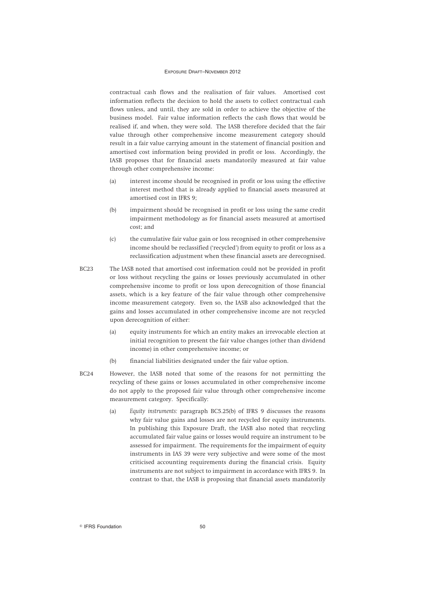contractual cash flows and the realisation of fair values. Amortised cost information reflects the decision to hold the assets to collect contractual cash flows unless, and until, they are sold in order to achieve the objective of the business model. Fair value information reflects the cash flows that would be realised if, and when, they were sold. The IASB therefore decided that the fair value through other comprehensive income measurement category should result in a fair value carrying amount in the statement of financial position and amortised cost information being provided in profit or loss. Accordingly, the IASB proposes that for financial assets mandatorily measured at fair value through other comprehensive income:

- (a) interest income should be recognised in profit or loss using the effective interest method that is already applied to financial assets measured at amortised cost in IFRS 9;
- (b) impairment should be recognised in profit or loss using the same credit impairment methodology as for financial assets measured at amortised cost; and
- (c) the cumulative fair value gain or loss recognised in other comprehensive income should be reclassified ('recycled') from equity to profit or loss as a reclassification adjustment when these financial assets are derecognised.
- BC23 The IASB noted that amortised cost information could not be provided in profit or loss without recycling the gains or losses previously accumulated in other comprehensive income to profit or loss upon derecognition of those financial assets, which is a key feature of the fair value through other comprehensive income measurement category. Even so, the IASB also acknowledged that the gains and losses accumulated in other comprehensive income are not recycled upon derecognition of either:
	- (a) equity instruments for which an entity makes an irrevocable election at initial recognition to present the fair value changes (other than dividend income) in other comprehensive income; or
	- (b) financial liabilities designated under the fair value option.
- BC24 However, the IASB noted that some of the reasons for not permitting the recycling of these gains or losses accumulated in other comprehensive income do not apply to the proposed fair value through other comprehensive income measurement category. Specifically:
	- (a) *Equity instruments:* paragraph BC5.25(b) of IFRS 9 discusses the reasons why fair value gains and losses are not recycled for equity instruments. In publishing this Exposure Draft, the IASB also noted that recycling accumulated fair value gains or losses would require an instrument to be assessed for impairment. The requirements for the impairment of equity instruments in IAS 39 were very subjective and were some of the most criticised accounting requirements during the financial crisis. Equity instruments are not subject to impairment in accordance with IFRS 9. In contrast to that, the IASB is proposing that financial assets mandatorily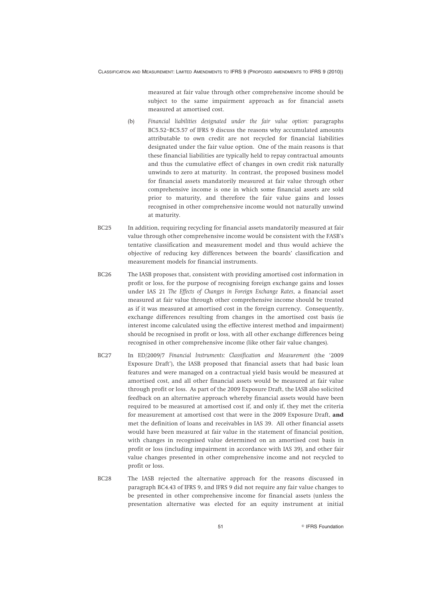measured at fair value through other comprehensive income should be subject to the same impairment approach as for financial assets measured at amortised cost.

- (b) *Financial liabilities designated under the fair value option:* paragraphs BC5.52–BC5.57 of IFRS 9 discuss the reasons why accumulated amounts attributable to own credit are not recycled for financial liabilities designated under the fair value option. One of the main reasons is that these financial liabilities are typically held to repay contractual amounts and thus the cumulative effect of changes in own credit risk naturally unwinds to zero at maturity. In contrast, the proposed business model for financial assets mandatorily measured at fair value through other comprehensive income is one in which some financial assets are sold prior to maturity, and therefore the fair value gains and losses recognised in other comprehensive income would not naturally unwind at maturity.
- BC25 In addition, requiring recycling for financial assets mandatorily measured at fair value through other comprehensive income would be consistent with the FASB's tentative classification and measurement model and thus would achieve the objective of reducing key differences between the boards' classification and measurement models for financial instruments.
- BC26 The IASB proposes that, consistent with providing amortised cost information in profit or loss, for the purpose of recognising foreign exchange gains and losses under IAS 21 *The Effects of Changes in Foreign Exchange Rates*, a financial asset measured at fair value through other comprehensive income should be treated as if it was measured at amortised cost in the foreign currency. Consequently, exchange differences resulting from changes in the amortised cost basis (ie interest income calculated using the effective interest method and impairment) should be recognised in profit or loss, with all other exchange differences being recognised in other comprehensive income (like other fair value changes).
- BC27 In ED/2009/7 *Financial Instruments: Classification and Measurement* (the '2009 Exposure Draft'), the IASB proposed that financial assets that had basic loan features and were managed on a contractual yield basis would be measured at amortised cost, and all other financial assets would be measured at fair value through profit or loss. As part of the 2009 Exposure Draft, the IASB also solicited feedback on an alternative approach whereby financial assets would have been required to be measured at amortised cost if, and only if, they met the criteria for measurement at amortised cost that were in the 2009 Exposure Draft, **and** met the definition of loans and receivables in IAS 39. All other financial assets would have been measured at fair value in the statement of financial position, with changes in recognised value determined on an amortised cost basis in profit or loss (including impairment in accordance with IAS 39), and other fair value changes presented in other comprehensive income and not recycled to profit or loss.
- BC28 The IASB rejected the alternative approach for the reasons discussed in paragraph BC4.43 of IFRS 9, and IFRS 9 did not require any fair value changes to be presented in other comprehensive income for financial assets (unless the presentation alternative was elected for an equity instrument at initial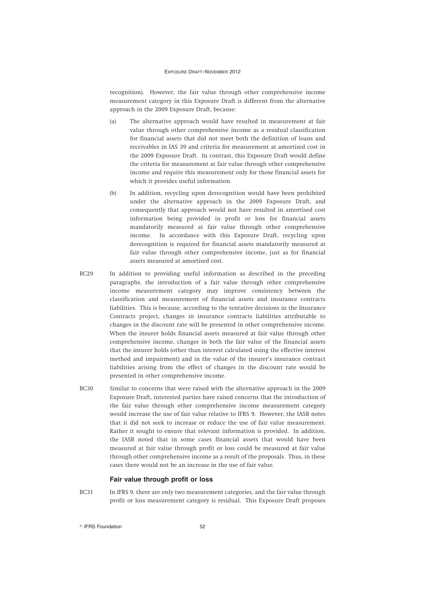recognition). However, the fair value through other comprehensive income measurement category in this Exposure Draft is different from the alternative approach in the 2009 Exposure Draft, because:

- (a) The alternative approach would have resulted in measurement at fair value through other comprehensive income as a residual classification for financial assets that did not meet both the definition of loans and receivables in IAS 39 and criteria for measurement at amortised cost in the 2009 Exposure Draft. In contrast, this Exposure Draft would define the criteria for measurement at fair value through other comprehensive income and require this measurement only for those financial assets for which it provides useful information.
- (b) In addition, recycling upon derecognition would have been prohibited under the alternative approach in the 2009 Exposure Draft, and consequently that approach would not have resulted in amortised cost information being provided in profit or loss for financial assets mandatorily measured at fair value through other comprehensive income. In accordance with this Exposure Draft, recycling upon derecognition is required for financial assets mandatorily measured at fair value through other comprehensive income, just as for financial assets measured at amortised cost.
- BC29 In addition to providing useful information as described in the preceding paragraphs, the introduction of a fair value through other comprehensive income measurement category may improve consistency between the classification and measurement of financial assets and insurance contracts liabilities. This is because, according to the tentative decisions in the Insurance Contracts project, changes in insurance contracts liabilities attributable to changes in the discount rate will be presented in other comprehensive income. When the insurer holds financial assets measured at fair value through other comprehensive income, changes in both the fair value of the financial assets that the insurer holds (other than interest calculated using the effective interest method and impairment) and in the value of the insurer's insurance contract liabilities arising from the effect of changes in the discount rate would be presented in other comprehensive income.
- BC30 Similar to concerns that were raised with the alternative approach in the 2009 Exposure Draft, interested parties have raised concerns that the introduction of the fair value through other comprehensive income measurement category would increase the use of fair value relative to IFRS 9. However, the IASB notes that it did not seek to increase or reduce the use of fair value measurement. Rather it sought to ensure that relevant information is provided. In addition, the IASB noted that in some cases financial assets that would have been measured at fair value through profit or loss could be measured at fair value through other comprehensive income as a result of the proposals. Thus, in these cases there would not be an increase in the use of fair value.

#### **Fair value through profit or loss**

BC31 In IFRS 9, there are only two measurement categories, and the fair value through profit or loss measurement category is residual. This Exposure Draft proposes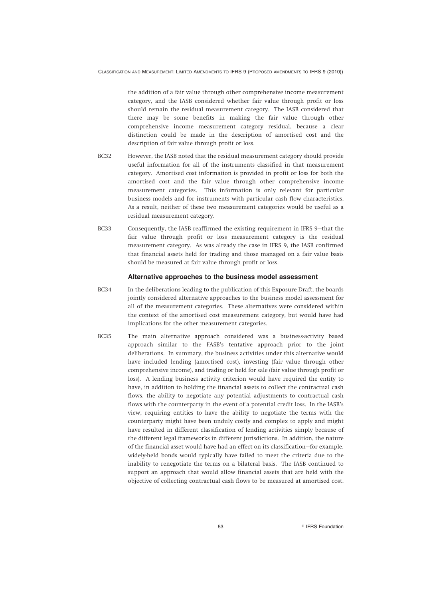the addition of a fair value through other comprehensive income measurement category, and the IASB considered whether fair value through profit or loss should remain the residual measurement category. The IASB considered that there may be some benefits in making the fair value through other comprehensive income measurement category residual, because a clear distinction could be made in the description of amortised cost and the description of fair value through profit or loss.

- BC32 However, the IASB noted that the residual measurement category should provide useful information for all of the instruments classified in that measurement category. Amortised cost information is provided in profit or loss for both the amortised cost and the fair value through other comprehensive income measurement categories. This information is only relevant for particular business models and for instruments with particular cash flow characteristics. As a result, neither of these two measurement categories would be useful as a residual measurement category.
- BC33 Consequently, the IASB reaffirmed the existing requirement in IFRS 9—that the fair value through profit or loss measurement category is the residual measurement category. As was already the case in IFRS 9, the IASB confirmed that financial assets held for trading and those managed on a fair value basis should be measured at fair value through profit or loss.

#### **Alternative approaches to the business model assessment**

- BC34 In the deliberations leading to the publication of this Exposure Draft, the boards jointly considered alternative approaches to the business model assessment for all of the measurement categories. These alternatives were considered within the context of the amortised cost measurement category, but would have had implications for the other measurement categories.
- BC35 The main alternative approach considered was a business-activity based approach similar to the FASB's tentative approach prior to the joint deliberations. In summary, the business activities under this alternative would have included lending (amortised cost), investing (fair value through other comprehensive income), and trading or held for sale (fair value through profit or loss). A lending business activity criterion would have required the entity to have, in addition to holding the financial assets to collect the contractual cash flows, the ability to negotiate any potential adjustments to contractual cash flows with the counterparty in the event of a potential credit loss. In the IASB's view, requiring entities to have the ability to negotiate the terms with the counterparty might have been unduly costly and complex to apply and might have resulted in different classification of lending activities simply because of the different legal frameworks in different jurisdictions. In addition, the nature of the financial asset would have had an effect on its classification—for example, widely-held bonds would typically have failed to meet the criteria due to the inability to renegotiate the terms on a bilateral basis. The IASB continued to support an approach that would allow financial assets that are held with the objective of collecting contractual cash flows to be measured at amortised cost.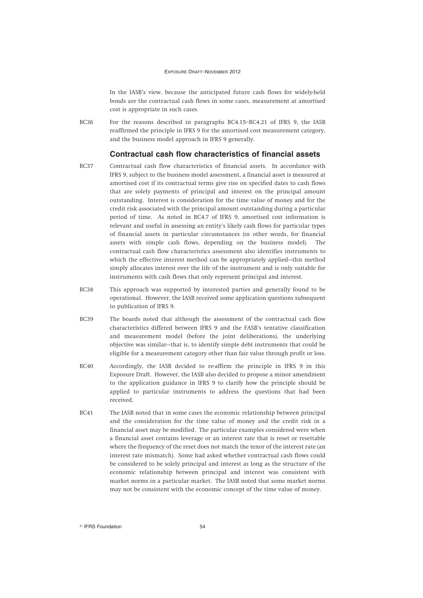In the IASB's view, because the anticipated future cash flows for widely-held bonds are the contractual cash flows in some cases, measurement at amortised cost is appropriate in such cases.

BC36 For the reasons described in paragraphs BC4.15–BC4.21 of IFRS 9, the IASB reaffirmed the principle in IFRS 9 for the amortised cost measurement category, and the business model approach in IFRS 9 generally.

### **Contractual cash flow characteristics of financial assets**

- BC37 Contractual cash flow characteristics of financial assets. In accordance with IFRS 9, subject to the business model assessment, a financial asset is measured at amortised cost if its contractual terms give rise on specified dates to cash flows that are solely payments of principal and interest on the principal amount outstanding. Interest is consideration for the time value of money and for the credit risk associated with the principal amount outstanding during a particular period of time. As noted in BC4.7 of IFRS 9, amortised cost information is relevant and useful in assessing an entity's likely cash flows for particular types of financial assets in particular circumstances (in other words, for financial assets with simple cash flows, depending on the business model). The contractual cash flow characteristics assessment also identifies instruments to which the effective interest method can be appropriately applied—this method simply allocates interest over the life of the instrument and is only suitable for instruments with cash flows that only represent principal and interest.
- BC38 This approach was supported by interested parties and generally found to be operational. However, the IASB received some application questions subsequent to publication of IFRS 9.
- BC39 The boards noted that although the assessment of the contractual cash flow characteristics differed between IFRS 9 and the FASB's tentative classification and measurement model (before the joint deliberations), the underlying objective was similar—that is, to identify simple debt instruments that could be eligible for a measurement category other than fair value through profit or loss.
- BC40 Accordingly, the IASB decided to re-affirm the principle in IFRS 9 in this Exposure Draft. However, the IASB also decided to propose a minor amendment to the application guidance in IFRS 9 to clarify how the principle should be applied to particular instruments to address the questions that had been received.
- BC41 The IASB noted that in some cases the economic relationship between principal and the consideration for the time value of money and the credit risk in a financial asset may be modified. The particular examples considered were when a financial asset contains leverage or an interest rate that is reset or resettable where the frequency of the reset does not match the tenor of the interest rate (an interest rate mismatch). Some had asked whether contractual cash flows could be considered to be solely principal and interest as long as the structure of the economic relationship between principal and interest was consistent with market norms in a particular market. The IASB noted that some market norms may not be consistent with the economic concept of the time value of money.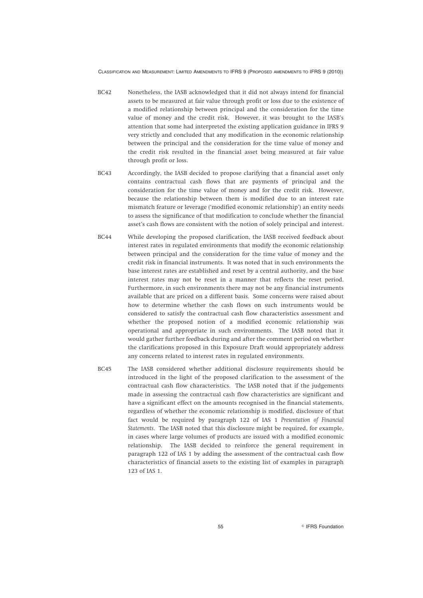- BC42 Nonetheless, the IASB acknowledged that it did not always intend for financial assets to be measured at fair value through profit or loss due to the existence of a modified relationship between principal and the consideration for the time value of money and the credit risk. However, it was brought to the IASB's attention that some had interpreted the existing application guidance in IFRS 9 very strictly and concluded that any modification in the economic relationship between the principal and the consideration for the time value of money and the credit risk resulted in the financial asset being measured at fair value through profit or loss.
- BC43 Accordingly, the IASB decided to propose clarifying that a financial asset only contains contractual cash flows that are payments of principal and the consideration for the time value of money and for the credit risk. However, because the relationship between them is modified due to an interest rate mismatch feature or leverage ('modified economic relationship') an entity needs to assess the significance of that modification to conclude whether the financial asset's cash flows are consistent with the notion of solely principal and interest.
- BC44 While developing the proposed clarification, the IASB received feedback about interest rates in regulated environments that modify the economic relationship between principal and the consideration for the time value of money and the credit risk in financial instruments. It was noted that in such environments the base interest rates are established and reset by a central authority, and the base interest rates may not be reset in a manner that reflects the reset period. Furthermore, in such environments there may not be any financial instruments available that are priced on a different basis. Some concerns were raised about how to determine whether the cash flows on such instruments would be considered to satisfy the contractual cash flow characteristics assessment and whether the proposed notion of a modified economic relationship was operational and appropriate in such environments. The IASB noted that it would gather further feedback during and after the comment period on whether the clarifications proposed in this Exposure Draft would appropriately address any concerns related to interest rates in regulated environments.
- BC45 The IASB considered whether additional disclosure requirements should be introduced in the light of the proposed clarification to the assessment of the contractual cash flow characteristics. The IASB noted that if the judgements made in assessing the contractual cash flow characteristics are significant and have a significant effect on the amounts recognised in the financial statements, regardless of whether the economic relationship is modified, disclosure of that fact would be required by paragraph 122 of IAS 1 *Presentation of Financial Statements*. The IASB noted that this disclosure might be required, for example, in cases where large volumes of products are issued with a modified economic relationship. The IASB decided to reinforce the general requirement in paragraph 122 of IAS 1 by adding the assessment of the contractual cash flow characteristics of financial assets to the existing list of examples in paragraph 123 of IAS 1.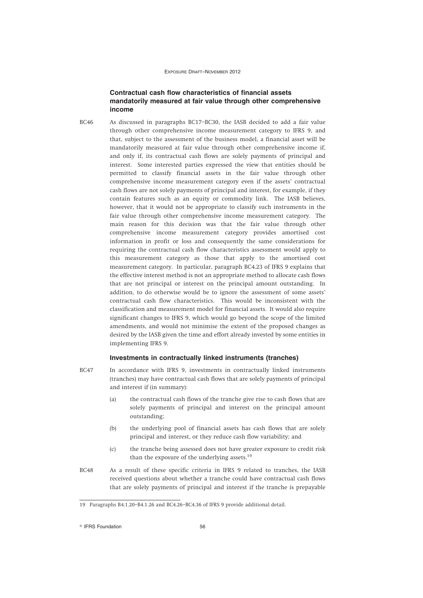## **Contractual cash flow characteristics of financial assets mandatorily measured at fair value through other comprehensive income**

BC46 As discussed in paragraphs BC17–BC30, the IASB decided to add a fair value through other comprehensive income measurement category to IFRS 9, and that, subject to the assessment of the business model, a financial asset will be mandatorily measured at fair value through other comprehensive income if, and only if, its contractual cash flows are solely payments of principal and interest. Some interested parties expressed the view that entities should be permitted to classify financial assets in the fair value through other comprehensive income measurement category even if the assets' contractual cash flows are not solely payments of principal and interest, for example, if they contain features such as an equity or commodity link. The IASB believes, however, that it would not be appropriate to classify such instruments in the fair value through other comprehensive income measurement category. The main reason for this decision was that the fair value through other comprehensive income measurement category provides amortised cost information in profit or loss and consequently the same considerations for requiring the contractual cash flow characteristics assessment would apply to this measurement category as those that apply to the amortised cost measurement category. In particular, paragraph BC4.23 of IFRS 9 explains that the effective interest method is not an appropriate method to allocate cash flows that are not principal or interest on the principal amount outstanding. In addition, to do otherwise would be to ignore the assessment of some assets' contractual cash flow characteristics. This would be inconsistent with the classification and measurement model for financial assets. It would also require significant changes to IFRS 9, which would go beyond the scope of the limited amendments, and would not minimise the extent of the proposed changes as desired by the IASB given the time and effort already invested by some entities in implementing IFRS 9.

#### **Investments in contractually linked instruments (tranches)**

- BC47 In accordance with IFRS 9, investments in contractually linked instruments (tranches) may have contractual cash flows that are solely payments of principal and interest if (in summary):
	- (a) the contractual cash flows of the tranche give rise to cash flows that are solely payments of principal and interest on the principal amount outstanding;
	- (b) the underlying pool of financial assets has cash flows that are solely principal and interest, or they reduce cash flow variability; and
	- (c) the tranche being assessed does not have greater exposure to credit risk than the exposure of the underlying assets.<sup>19</sup>
- BC48 As a result of these specific criteria in IFRS 9 related to tranches, the IASB received questions about whether a tranche could have contractual cash flows that are solely payments of principal and interest if the tranche is prepayable

<sup>19</sup> Paragraphs B4.1.20–B4.1.26 and BC4.26–BC4.36 of IFRS 9 provide additional detail.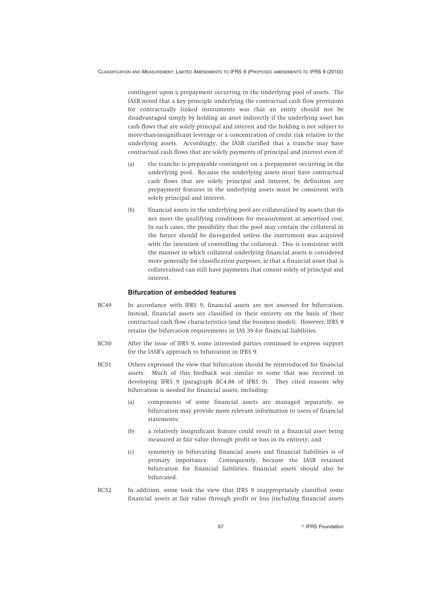contingent upon a prepayment occurring in the underlying pool of assets. The IASB noted that a key principle underlying the contractual cash flow provisions for contractually linked instruments was that an entity should not be disadvantaged simply by holding an asset indirectly if the underlying asset has cash flows that are solely principal and interest and the holding is not subject to more-than-insignificant leverage or a concentration of credit risk relative to the underlying assets. Accordingly, the IASB clarified that a tranche may have contractual cash flows that are solely payments of principal and interest even if:

- (a) the tranche is prepayable contingent on a prepayment occurring in the underlying pool. Because the underlying assets must have contractual cash flows that are solely principal and interest, by definition any prepayment features in the underlying assets must be consistent with solely principal and interest.
- (b) financial assets in the underlying pool are collateralised by assets that do not meet the qualifying conditions for measurement at amortised cost. In such cases, the possibility that the pool may contain the collateral in the future should be disregarded unless the instrument was acquired with the intention of controlling the collateral. This is consistent with the manner in which collateral underlying financial assets is considered more generally for classification purposes, ie that a financial asset that is collateralised can still have payments that consist solely of principal and interest.

#### **Bifurcation of embedded features**

- BC49 In accordance with IFRS 9, financial assets are not assessed for bifurcation. Instead, financial assets are classified in their entirety on the basis of their contractual cash flow characteristics (and the business model). However, IFRS 9 retains the bifurcation requirements in IAS 39 for financial liabilities.
- BC50 After the issue of IFRS 9, some interested parties continued to express support for the IASB's approach to bifurcation in IFRS 9.
- BC51 Others expressed the view that bifurcation should be reintroduced for financial assets. Much of this feedback was similar to some that was received in developing IFRS 9 (paragraph BC4.88 of IFRS 9). They cited reasons why bifurcation is needed for financial assets, including:
	- (a) components of some financial assets are managed separately, so bifurcation may provide more relevant information to users of financial statements;
	- (b) a relatively insignificant feature could result in a financial asset being measured at fair value through profit or loss in its entirety; and
	- (c) symmetry in bifurcating financial assets and financial liabilities is of primary importance. Consequently, because the IASB retained bifurcation for financial liabilities, financial assets should also be bifurcated.
- BC52 In addition, some took the view that IFRS 9 inappropriately classified some financial assets at fair value through profit or loss (including financial assets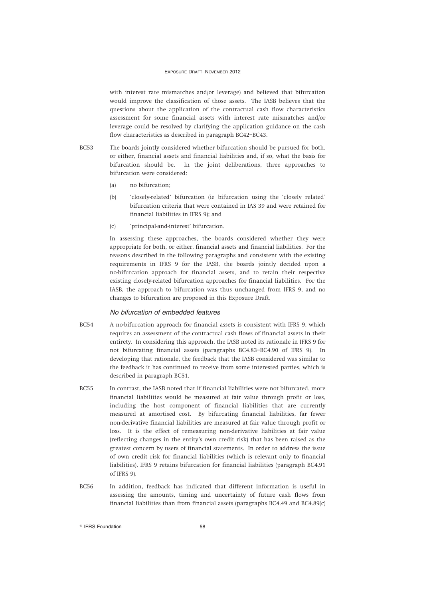with interest rate mismatches and/or leverage) and believed that bifurcation would improve the classification of those assets. The IASB believes that the questions about the application of the contractual cash flow characteristics assessment for some financial assets with interest rate mismatches and/or leverage could be resolved by clarifying the application guidance on the cash flow characteristics as described in paragraph BC42–BC43.

- BC53 The boards jointly considered whether bifurcation should be pursued for both, or either, financial assets and financial liabilities and, if so, what the basis for bifurcation should be. In the joint deliberations, three approaches to bifurcation were considered:
	- (a) no bifurcation;
	- (b) 'closely-related' bifurcation (ie bifurcation using the 'closely related' bifurcation criteria that were contained in IAS 39 and were retained for financial liabilities in IFRS 9); and
	- (c) 'principal-and-interest' bifurcation.

In assessing these approaches, the boards considered whether they were appropriate for both, or either, financial assets and financial liabilities. For the reasons described in the following paragraphs and consistent with the existing requirements in IFRS 9 for the IASB, the boards jointly decided upon a no-bifurcation approach for financial assets, and to retain their respective existing closely-related bifurcation approaches for financial liabilities. For the IASB, the approach to bifurcation was thus unchanged from IFRS 9, and no changes to bifurcation are proposed in this Exposure Draft.

#### *No bifurcation of embedded features*

- BC54 A no-bifurcation approach for financial assets is consistent with IFRS 9, which requires an assessment of the contractual cash flows of financial assets in their entirety. In considering this approach, the IASB noted its rationale in IFRS 9 for not bifurcating financial assets (paragraphs BC4.83–BC4.90 of IFRS 9). In developing that rationale, the feedback that the IASB considered was similar to the feedback it has continued to receive from some interested parties, which is described in paragraph BC51.
- BC55 In contrast, the IASB noted that if financial liabilities were not bifurcated, more financial liabilities would be measured at fair value through profit or loss, including the host component of financial liabilities that are currently measured at amortised cost. By bifurcating financial liabilities, far fewer non-derivative financial liabilities are measured at fair value through profit or loss. It is the effect of remeasuring non-derivative liabilities at fair value (reflecting changes in the entity's own credit risk) that has been raised as the greatest concern by users of financial statements. In order to address the issue of own credit risk for financial liabilities (which is relevant only to financial liabilities), IFRS 9 retains bifurcation for financial liabilities (paragraph BC4.91 of IFRS 9).
- BC56 In addition, feedback has indicated that different information is useful in assessing the amounts, timing and uncertainty of future cash flows from financial liabilities than from financial assets (paragraphs BC4.49 and BC4.89(c)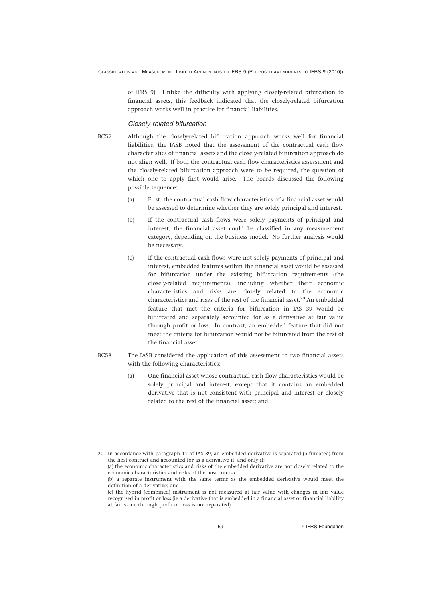of IFRS 9). Unlike the difficulty with applying closely-related bifurcation to financial assets, this feedback indicated that the closely-related bifurcation approach works well in practice for financial liabilities.

#### *Closely-related bifurcation*

BC57 Although the closely-related bifurcation approach works well for financial liabilities, the IASB noted that the assessment of the contractual cash flow characteristics of financial assets and the closely-related bifurcation approach do not align well. If both the contractual cash flow characteristics assessment and the closely-related bifurcation approach were to be required, the question of which one to apply first would arise. The boards discussed the following possible sequence:

- (a) First, the contractual cash flow characteristics of a financial asset would be assessed to determine whether they are solely principal and interest.
- (b) If the contractual cash flows were solely payments of principal and interest, the financial asset could be classified in any measurement category, depending on the business model. No further analysis would be necessary.
- (c) If the contractual cash flows were not solely payments of principal and interest, embedded features within the financial asset would be assessed for bifurcation under the existing bifurcation requirements (the closely-related requirements), including whether their economic characteristics and risks are closely related to the economic characteristics and risks of the rest of the financial asset.<sup>20</sup> An embedded feature that met the criteria for bifurcation in IAS 39 would be bifurcated and separately accounted for as a derivative at fair value through profit or loss. In contrast, an embedded feature that did not meet the criteria for bifurcation would not be bifurcated from the rest of the financial asset.
- BC58 The IASB considered the application of this assessment to two financial assets with the following characteristics:
	- (a) One financial asset whose contractual cash flow characteristics would be solely principal and interest, except that it contains an embedded derivative that is not consistent with principal and interest or closely related to the rest of the financial asset; and

<sup>20</sup> In accordance with paragraph 11 of IAS 39, an embedded derivative is separated (bifurcated) from the host contract and accounted for as a derivative if, and only if:

<sup>(</sup>a) the economic characteristics and risks of the embedded derivative are not closely related to the economic characteristics and risks of the host contract;

<sup>(</sup>b) a separate instrument with the same terms as the embedded derivative would meet the definition of a derivative; and

<sup>(</sup>c) the hybrid (combined) instrument is not measured at fair value with changes in fair value recognised in profit or loss (ie a derivative that is embedded in a financial asset or financial liability at fair value through profit or loss is not separated).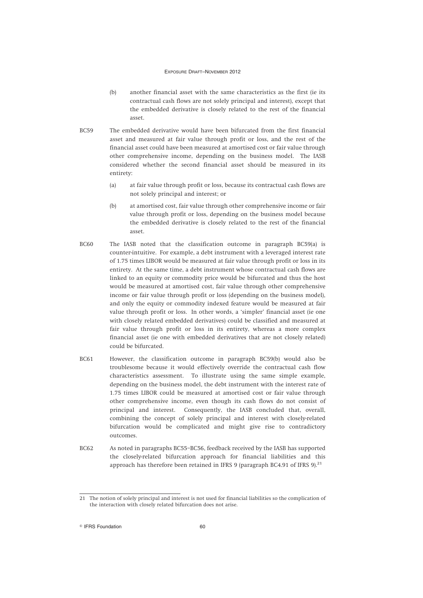- (b) another financial asset with the same characteristics as the first (ie its contractual cash flows are not solely principal and interest), except that the embedded derivative is closely related to the rest of the financial asset.
- BC59 The embedded derivative would have been bifurcated from the first financial asset and measured at fair value through profit or loss, and the rest of the financial asset could have been measured at amortised cost or fair value through other comprehensive income, depending on the business model. The IASB considered whether the second financial asset should be measured in its entirety:
	- (a) at fair value through profit or loss, because its contractual cash flows are not solely principal and interest; or
	- (b) at amortised cost, fair value through other comprehensive income or fair value through profit or loss, depending on the business model because the embedded derivative is closely related to the rest of the financial asset.
- BC60 The IASB noted that the classification outcome in paragraph BC59(a) is counter-intuitive. For example, a debt instrument with a leveraged interest rate of 1.75 times LIBOR would be measured at fair value through profit or loss in its entirety. At the same time, a debt instrument whose contractual cash flows are linked to an equity or commodity price would be bifurcated and thus the host would be measured at amortised cost, fair value through other comprehensive income or fair value through profit or loss (depending on the business model), and only the equity or commodity indexed feature would be measured at fair value through profit or loss. In other words, a 'simpler' financial asset (ie one with closely related embedded derivatives) could be classified and measured at fair value through profit or loss in its entirety, whereas a more complex financial asset (ie one with embedded derivatives that are not closely related) could be bifurcated.
- BC61 However, the classification outcome in paragraph BC59(b) would also be troublesome because it would effectively override the contractual cash flow characteristics assessment. To illustrate using the same simple example, depending on the business model, the debt instrument with the interest rate of 1.75 times LIBOR could be measured at amortised cost or fair value through other comprehensive income, even though its cash flows do not consist of principal and interest. Consequently, the IASB concluded that, overall, combining the concept of solely principal and interest with closely-related bifurcation would be complicated and might give rise to contradictory outcomes.
- BC62 As noted in paragraphs BC55–BC56, feedback received by the IASB has supported the closely-related bifurcation approach for financial liabilities and this approach has therefore been retained in IFRS 9 (paragraph BC4.91 of IFRS 9). $^{21}$

<sup>21</sup> The notion of solely principal and interest is not used for financial liabilities so the complication of the interaction with closely related bifurcation does not arise.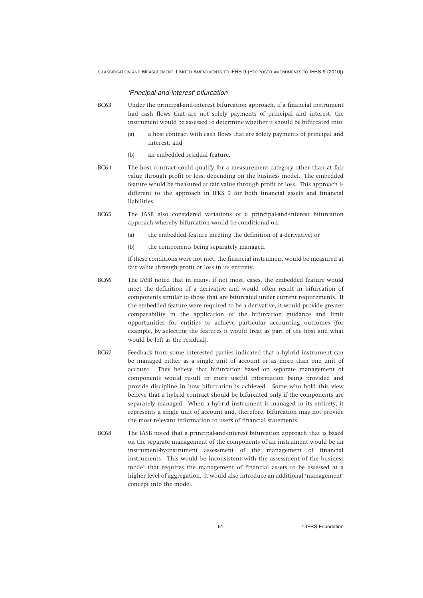#### *'Principal-and-interest' bifurcation*

- BC63 Under the principal-and-interest bifurcation approach, if a financial instrument had cash flows that are not solely payments of principal and interest, the instrument would be assessed to determine whether it should be bifurcated into:
	- (a) a host contract with cash flows that are solely payments of principal and interest; and
	- (b) an embedded residual feature.
- BC64 The host contract could qualify for a measurement category other than at fair value through profit or loss, depending on the business model. The embedded feature would be measured at fair value through profit or loss. This approach is different to the approach in IFRS 9 for both financial assets and financial liabilities.
- BC65 The IASB also considered variations of a principal-and-interest bifurcation approach whereby bifurcation would be conditional on:
	- (a) the embedded feature meeting the definition of a derivative; or
	- (b) the components being separately managed.

If these conditions were not met, the financial instrument would be measured at fair value through profit or loss in its entirety.

- BC66 The IASB noted that in many, if not most, cases, the embedded feature would meet the definition of a derivative and would often result in bifurcation of components similar to those that are bifurcated under current requirements. If the embedded feature were required to be a derivative, it would provide greater comparability in the application of the bifurcation guidance and limit opportunities for entities to achieve particular accounting outcomes (for example, by selecting the features it would treat as part of the host and what would be left as the residual).
- BC67 Feedback from some interested parties indicated that a hybrid instrument can be managed either as a single unit of account or as more than one unit of account. They believe that bifurcation based on separate management of components would result in more useful information being provided and provide discipline in how bifurcation is achieved. Some who hold this view believe that a hybrid contract should be bifurcated only if the components are separately managed. When a hybrid instrument is managed in its entirety, it represents a single unit of account and, therefore, bifurcation may not provide the most relevant information to users of financial statements.
- BC68 The IASB noted that a principal-and-interest bifurcation approach that is based on the separate management of the components of an instrument would be an instrument-by-instrument assessment of the management of financial instruments. This would be inconsistent with the assessment of the business model that requires the management of financial assets to be assessed at a higher level of aggregation. It would also introduce an additional 'management' concept into the model.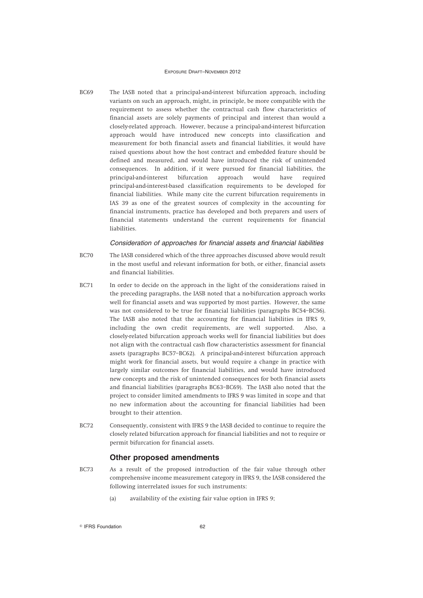BC69 The IASB noted that a principal-and-interest bifurcation approach, including variants on such an approach, might, in principle, be more compatible with the requirement to assess whether the contractual cash flow characteristics of financial assets are solely payments of principal and interest than would a closely-related approach. However, because a principal-and-interest bifurcation approach would have introduced new concepts into classification and measurement for both financial assets and financial liabilities, it would have raised questions about how the host contract and embedded feature should be defined and measured, and would have introduced the risk of unintended consequences. In addition, if it were pursued for financial liabilities, the principal-and-interest bifurcation approach would have required principal-and-interest-based classification requirements to be developed for financial liabilities. While many cite the current bifurcation requirements in IAS 39 as one of the greatest sources of complexity in the accounting for financial instruments, practice has developed and both preparers and users of financial statements understand the current requirements for financial liabilities.

#### *Consideration of approaches for financial assets and financial liabilities*

- BC70 The IASB considered which of the three approaches discussed above would result in the most useful and relevant information for both, or either, financial assets and financial liabilities.
- BC71 In order to decide on the approach in the light of the considerations raised in the preceding paragraphs, the IASB noted that a no-bifurcation approach works well for financial assets and was supported by most parties. However, the same was not considered to be true for financial liabilities (paragraphs BC54–BC56). The IASB also noted that the accounting for financial liabilities in IFRS 9, including the own credit requirements, are well supported. Also, a closely-related bifurcation approach works well for financial liabilities but does not align with the contractual cash flow characteristics assessment for financial assets (paragraphs BC57–BC62). A principal-and-interest bifurcation approach might work for financial assets, but would require a change in practice with largely similar outcomes for financial liabilities, and would have introduced new concepts and the risk of unintended consequences for both financial assets and financial liabilities (paragraphs BC63–BC69). The IASB also noted that the project to consider limited amendments to IFRS 9 was limited in scope and that no new information about the accounting for financial liabilities had been brought to their attention.
- BC72 Consequently, consistent with IFRS 9 the IASB decided to continue to require the closely related bifurcation approach for financial liabilities and not to require or permit bifurcation for financial assets.

#### **Other proposed amendments**

- BC73 As a result of the proposed introduction of the fair value through other comprehensive income measurement category in IFRS 9, the IASB considered the following interrelated issues for such instruments:
	- (a) availability of the existing fair value option in IFRS 9;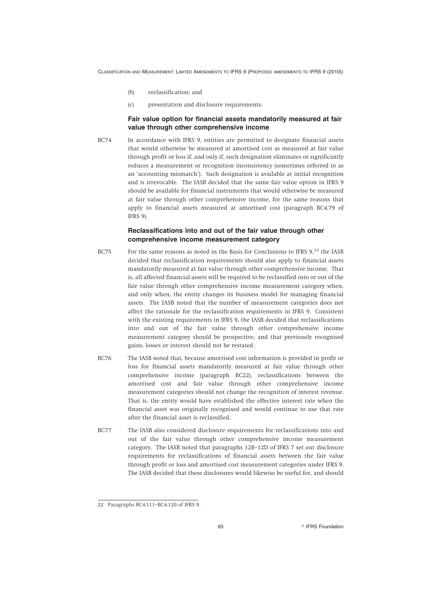- (b) reclassification; and
- (c) presentation and disclosure requirements.

### **Fair value option for financial assets mandatorily measured at fair value through other comprehensive income**

BC74 In accordance with IFRS 9, entities are permitted to designate financial assets that would otherwise be measured at amortised cost as measured at fair value through profit or loss if, and only if, such designation eliminates or significantly reduces a measurement or recognition inconsistency (sometimes referred to as an 'accounting mismatch'). Such designation is available at initial recognition and is irrevocable. The IASB decided that the same fair value option in IFRS 9 should be available for financial instruments that would otherwise be measured at fair value through other comprehensive income, for the same reasons that apply to financial assets measured at amortised cost (paragraph BC4.79 of IFRS 9).

### **Reclassifications into and out of the fair value through other comprehensive income measurement category**

- BC75 For the same reasons as noted in the Basis for Conclusions to IFRS 9.<sup>22</sup> the IASB decided that reclassification requirements should also apply to financial assets mandatorily measured at fair value through other comprehensive income. That is, all affected financial assets will be required to be reclassified into or out of the fair value through other comprehensive income measurement category when, and only when, the entity changes its business model for managing financial assets. The IASB noted that the number of measurement categories does not affect the rationale for the reclassification requirements in IFRS 9. Consistent with the existing requirements in IFRS 9, the IASB decided that reclassifications into and out of the fair value through other comprehensive income measurement category should be prospective, and that previously recognised gains, losses or interest should not be restated.
- BC76 The IASB noted that, because amortised cost information is provided in profit or loss for financial assets mandatorily measured at fair value through other comprehensive income (paragraph BC22), reclassifications between the amortised cost and fair value through other comprehensive income measurement categories should not change the recognition of interest revenue. That is, the entity would have established the effective interest rate when the financial asset was originally recognised and would continue to use that rate after the financial asset is reclassified.
- BC77 The IASB also considered disclosure requirements for reclassifications into and out of the fair value through other comprehensive income measurement category. The IASB noted that paragraphs 12B–12D of IFRS 7 set out disclosure requirements for reclassifications of financial assets between the fair value through profit or loss and amortised cost measurement categories under IFRS 9. The IASB decided that these disclosures would likewise be useful for, and should

<sup>22</sup> Paragraphs BC4.111–BC4.120 of IFRS 9.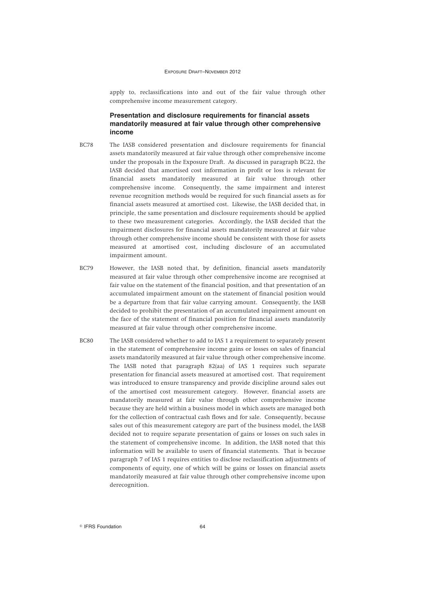apply to, reclassifications into and out of the fair value through other comprehensive income measurement category.

## **Presentation and disclosure requirements for financial assets mandatorily measured at fair value through other comprehensive income**

- BC78 The IASB considered presentation and disclosure requirements for financial assets mandatorily measured at fair value through other comprehensive income under the proposals in the Exposure Draft. As discussed in paragraph BC22, the IASB decided that amortised cost information in profit or loss is relevant for financial assets mandatorily measured at fair value through other comprehensive income. Consequently, the same impairment and interest revenue recognition methods would be required for such financial assets as for financial assets measured at amortised cost. Likewise, the IASB decided that, in principle, the same presentation and disclosure requirements should be applied to these two measurement categories. Accordingly, the IASB decided that the impairment disclosures for financial assets mandatorily measured at fair value through other comprehensive income should be consistent with those for assets measured at amortised cost, including disclosure of an accumulated impairment amount.
- BC79 However, the IASB noted that, by definition, financial assets mandatorily measured at fair value through other comprehensive income are recognised at fair value on the statement of the financial position, and that presentation of an accumulated impairment amount on the statement of financial position would be a departure from that fair value carrying amount. Consequently, the IASB decided to prohibit the presentation of an accumulated impairment amount on the face of the statement of financial position for financial assets mandatorily measured at fair value through other comprehensive income.
- BC80 The IASB considered whether to add to IAS 1 a requirement to separately present in the statement of comprehensive income gains or losses on sales of financial assets mandatorily measured at fair value through other comprehensive income. The IASB noted that paragraph 82(aa) of IAS 1 requires such separate presentation for financial assets measured at amortised cost. That requirement was introduced to ensure transparency and provide discipline around sales out of the amortised cost measurement category. However, financial assets are mandatorily measured at fair value through other comprehensive income because they are held within a business model in which assets are managed both for the collection of contractual cash flows and for sale. Consequently, because sales out of this measurement category are part of the business model, the IASB decided not to require separate presentation of gains or losses on such sales in the statement of comprehensive income. In addition, the IASB noted that this information will be available to users of financial statements. That is because paragraph 7 of IAS 1 requires entities to disclose reclassification adjustments of components of equity, one of which will be gains or losses on financial assets mandatorily measured at fair value through other comprehensive income upon derecognition.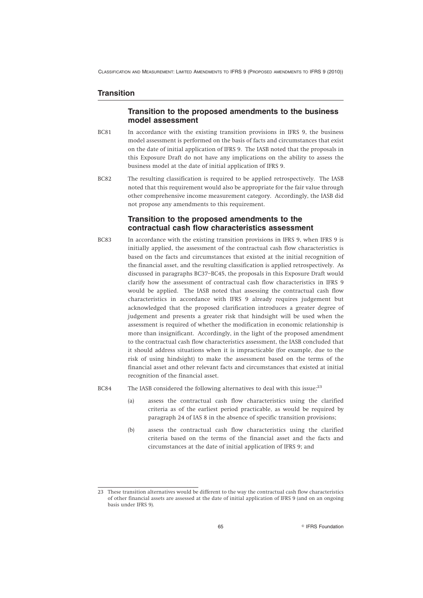## **Transition**

## **Transition to the proposed amendments to the business model assessment**

- BC81 In accordance with the existing transition provisions in IFRS 9, the business model assessment is performed on the basis of facts and circumstances that exist on the date of initial application of IFRS 9. The IASB noted that the proposals in this Exposure Draft do not have any implications on the ability to assess the business model at the date of initial application of IFRS 9.
- BC82 The resulting classification is required to be applied retrospectively. The IASB noted that this requirement would also be appropriate for the fair value through other comprehensive income measurement category. Accordingly, the IASB did not propose any amendments to this requirement.

## **Transition to the proposed amendments to the contractual cash flow characteristics assessment**

- BC83 In accordance with the existing transition provisions in IFRS 9, when IFRS 9 is initially applied, the assessment of the contractual cash flow characteristics is based on the facts and circumstances that existed at the initial recognition of the financial asset, and the resulting classification is applied retrospectively. As discussed in paragraphs BC37–BC45, the proposals in this Exposure Draft would clarify how the assessment of contractual cash flow characteristics in IFRS 9 would be applied. The IASB noted that assessing the contractual cash flow characteristics in accordance with IFRS 9 already requires judgement but acknowledged that the proposed clarification introduces a greater degree of judgement and presents a greater risk that hindsight will be used when the assessment is required of whether the modification in economic relationship is more than insignificant. Accordingly, in the light of the proposed amendment to the contractual cash flow characteristics assessment, the IASB concluded that it should address situations when it is impracticable (for example, due to the risk of using hindsight) to make the assessment based on the terms of the financial asset and other relevant facts and circumstances that existed at initial recognition of the financial asset.
- BC84 The IASB considered the following alternatives to deal with this issue:<sup>23</sup>
	- (a) assess the contractual cash flow characteristics using the clarified criteria as of the earliest period practicable, as would be required by paragraph 24 of IAS 8 in the absence of specific transition provisions;
	- (b) assess the contractual cash flow characteristics using the clarified criteria based on the terms of the financial asset and the facts and circumstances at the date of initial application of IFRS 9; and

<sup>23</sup> These transition alternatives would be different to the way the contractual cash flow characteristics of other financial assets are assessed at the date of initial application of IFRS 9 (and on an ongoing basis under IFRS 9).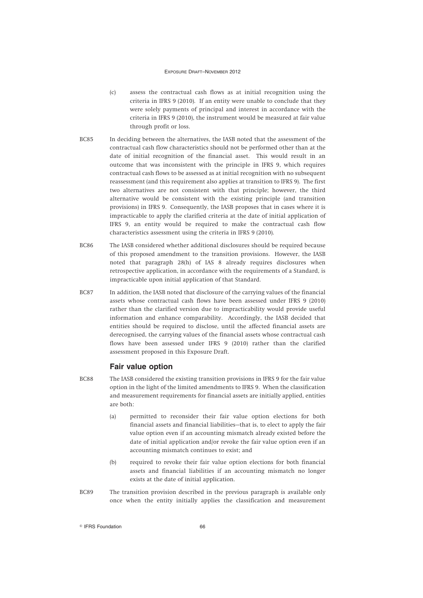- (c) assess the contractual cash flows as at initial recognition using the criteria in IFRS 9 (2010). If an entity were unable to conclude that they were solely payments of principal and interest in accordance with the criteria in IFRS 9 (2010), the instrument would be measured at fair value through profit or loss.
- BC85 In deciding between the alternatives, the IASB noted that the assessment of the contractual cash flow characteristics should not be performed other than at the date of initial recognition of the financial asset. This would result in an outcome that was inconsistent with the principle in IFRS 9, which requires contractual cash flows to be assessed as at initial recognition with no subsequent reassessment (and this requirement also applies at transition to IFRS 9). The first two alternatives are not consistent with that principle; however, the third alternative would be consistent with the existing principle (and transition provisions) in IFRS 9. Consequently, the IASB proposes that in cases where it is impracticable to apply the clarified criteria at the date of initial application of IFRS 9, an entity would be required to make the contractual cash flow characteristics assessment using the criteria in IFRS 9 (2010).
- BC86 The IASB considered whether additional disclosures should be required because of this proposed amendment to the transition provisions. However, the IASB noted that paragraph 28(h) of IAS 8 already requires disclosures when retrospective application, in accordance with the requirements of a Standard, is impracticable upon initial application of that Standard.
- BC87 In addition, the IASB noted that disclosure of the carrying values of the financial assets whose contractual cash flows have been assessed under IFRS 9 (2010) rather than the clarified version due to impracticability would provide useful information and enhance comparability. Accordingly, the IASB decided that entities should be required to disclose, until the affected financial assets are derecognised, the carrying values of the financial assets whose contractual cash flows have been assessed under IFRS 9 (2010) rather than the clarified assessment proposed in this Exposure Draft.

### **Fair value option**

- BC88 The IASB considered the existing transition provisions in IFRS 9 for the fair value option in the light of the limited amendments to IFRS 9. When the classification and measurement requirements for financial assets are initially applied, entities are both:
	- (a) permitted to reconsider their fair value option elections for both financial assets and financial liabilities—that is, to elect to apply the fair value option even if an accounting mismatch already existed before the date of initial application and/or revoke the fair value option even if an accounting mismatch continues to exist; and
	- (b) required to revoke their fair value option elections for both financial assets and financial liabilities if an accounting mismatch no longer exists at the date of initial application.
- BC89 The transition provision described in the previous paragraph is available only once when the entity initially applies the classification and measurement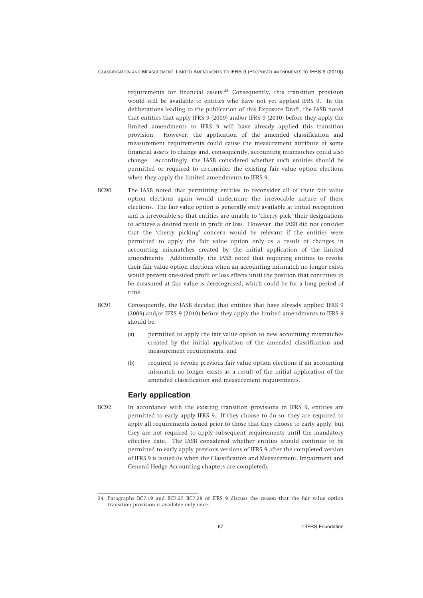requirements for financial assets. $24$  Consequently, this transition provision would still be available to entities who have not yet applied IFRS 9. In the deliberations leading to the publication of this Exposure Draft, the IASB noted that entities that apply IFRS 9 (2009) and/or IFRS 9 (2010) before they apply the limited amendments to IFRS 9 will have already applied this transition provision. However, the application of the amended classification and measurement requirements could cause the measurement attribute of some financial assets to change and, consequently, accounting mismatches could also change. Accordingly, the IASB considered whether such entities should be permitted or required to re-consider the existing fair value option elections when they apply the limited amendments to IFRS 9.

- BC90 The IASB noted that permitting entities to reconsider all of their fair value option elections again would undermine the irrevocable nature of these elections. The fair value option is generally only available at initial recognition and is irrevocable so that entities are unable to 'cherry pick' their designations to achieve a desired result in profit or loss. However, the IASB did not consider that the 'cherry picking' concern would be relevant if the entities were permitted to apply the fair value option only as a result of changes in accounting mismatches created by the initial application of the limited amendments. Additionally, the IASB noted that requiring entities to revoke their fair value option elections when an accounting mismatch no longer exists would prevent one-sided profit or loss effects until the position that continues to be measured at fair value is derecognised, which could be for a long period of time.
- BC91 Consequently, the IASB decided that entities that have already applied IFRS 9 (2009) and/or IFRS 9 (2010) before they apply the limited amendments to IFRS 9 should be:
	- (a) permitted to apply the fair value option to new accounting mismatches created by the initial application of the amended classification and measurement requirements; and
	- (b) required to revoke previous fair value option elections if an accounting mismatch no longer exists as a result of the initial application of the amended classification and measurement requirements.

## **Early application**

BC92 In accordance with the existing transition provisions in IFRS 9, entities are permitted to early apply IFRS 9. If they choose to do so, they are required to apply all requirements issued prior to those that they choose to early apply, but they are not required to apply subsequent requirements until the mandatory effective date. The IASB considered whether entities should continue to be permitted to early apply previous versions of IFRS 9 after the completed version of IFRS 9 is issued (ie when the Classification and Measurement, Impairment and General Hedge Accounting chapters are completed).

<sup>24</sup> Paragraphs BC7.19 and BC7.27–BC7.28 of IFRS 9 discuss the reason that the fair value option transition provision is available only once.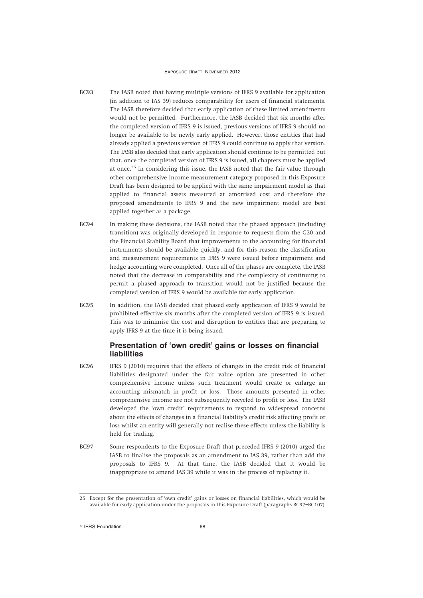- BC93 The IASB noted that having multiple versions of IFRS 9 available for application (in addition to IAS 39) reduces comparability for users of financial statements. The IASB therefore decided that early application of these limited amendments would not be permitted. Furthermore, the IASB decided that six months after the completed version of IFRS 9 is issued, previous versions of IFRS 9 should no longer be available to be newly early applied. However, those entities that had already applied a previous version of IFRS 9 could continue to apply that version. The IASB also decided that early application should continue to be permitted but that, once the completed version of IFRS 9 is issued, all chapters must be applied at once.<sup>25</sup> In considering this issue, the IASB noted that the fair value through other comprehensive income measurement category proposed in this Exposure Draft has been designed to be applied with the same impairment model as that applied to financial assets measured at amortised cost and therefore the proposed amendments to IFRS 9 and the new impairment model are best applied together as a package.
- BC94 In making these decisions, the IASB noted that the phased approach (including transition) was originally developed in response to requests from the G20 and the Financial Stability Board that improvements to the accounting for financial instruments should be available quickly, and for this reason the classification and measurement requirements in IFRS 9 were issued before impairment and hedge accounting were completed. Once all of the phases are complete, the IASB noted that the decrease in comparability and the complexity of continuing to permit a phased approach to transition would not be justified because the completed version of IFRS 9 would be available for early application.
- BC95 In addition, the IASB decided that phased early application of IFRS 9 would be prohibited effective six months after the completed version of IFRS 9 is issued. This was to minimise the cost and disruption to entities that are preparing to apply IFRS 9 at the time it is being issued.

# **Presentation of 'own credit' gains or losses on financial liabilities**

- BC96 IFRS 9 (2010) requires that the effects of changes in the credit risk of financial liabilities designated under the fair value option are presented in other comprehensive income unless such treatment would create or enlarge an accounting mismatch in profit or loss. Those amounts presented in other comprehensive income are not subsequently recycled to profit or loss. The IASB developed the 'own credit' requirements to respond to widespread concerns about the effects of changes in a financial liability's credit risk affecting profit or loss whilst an entity will generally not realise these effects unless the liability is held for trading.
- BC97 Some respondents to the Exposure Draft that preceded IFRS 9 (2010) urged the IASB to finalise the proposals as an amendment to IAS 39, rather than add the proposals to IFRS 9. At that time, the IASB decided that it would be inappropriate to amend IAS 39 while it was in the process of replacing it.

<sup>25</sup> Except for the presentation of 'own credit' gains or losses on financial liabilities, which would be available for early application under the proposals in this Exposure Draft (paragraphs BC97–BC107).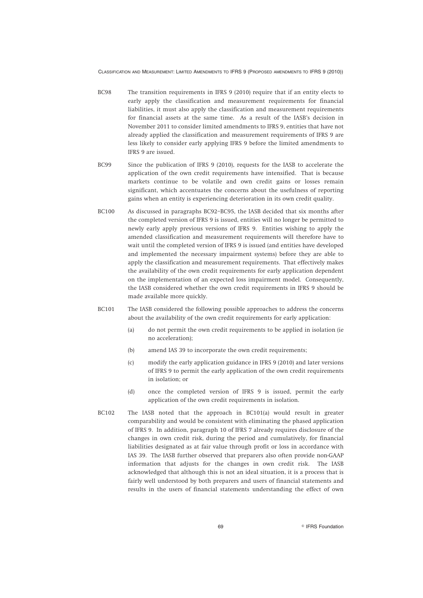- BC98 The transition requirements in IFRS 9 (2010) require that if an entity elects to early apply the classification and measurement requirements for financial liabilities, it must also apply the classification and measurement requirements for financial assets at the same time. As a result of the IASB's decision in November 2011 to consider limited amendments to IFRS 9, entities that have not already applied the classification and measurement requirements of IFRS 9 are less likely to consider early applying IFRS 9 before the limited amendments to IFRS 9 are issued.
- BC99 Since the publication of IFRS 9 (2010), requests for the IASB to accelerate the application of the own credit requirements have intensified. That is because markets continue to be volatile and own credit gains or losses remain significant, which accentuates the concerns about the usefulness of reporting gains when an entity is experiencing deterioration in its own credit quality.
- BC100 As discussed in paragraphs BC92–BC95, the IASB decided that six months after the completed version of IFRS 9 is issued, entities will no longer be permitted to newly early apply previous versions of IFRS 9. Entities wishing to apply the amended classification and measurement requirements will therefore have to wait until the completed version of IFRS 9 is issued (and entities have developed and implemented the necessary impairment systems) before they are able to apply the classification and measurement requirements. That effectively makes the availability of the own credit requirements for early application dependent on the implementation of an expected loss impairment model. Consequently, the IASB considered whether the own credit requirements in IFRS 9 should be made available more quickly.
- BC101 The IASB considered the following possible approaches to address the concerns about the availability of the own credit requirements for early application:
	- (a) do not permit the own credit requirements to be applied in isolation (ie no acceleration);
	- (b) amend IAS 39 to incorporate the own credit requirements;
	- (c) modify the early application guidance in IFRS 9 (2010) and later versions of IFRS 9 to permit the early application of the own credit requirements in isolation; or
	- (d) once the completed version of IFRS 9 is issued, permit the early application of the own credit requirements in isolation.
- BC102 The IASB noted that the approach in BC101(a) would result in greater comparability and would be consistent with eliminating the phased application of IFRS 9. In addition, paragraph 10 of IFRS 7 already requires disclosure of the changes in own credit risk, during the period and cumulatively, for financial liabilities designated as at fair value through profit or loss in accordance with IAS 39. The IASB further observed that preparers also often provide non-GAAP information that adjusts for the changes in own credit risk. The IASB acknowledged that although this is not an ideal situation, it is a process that is fairly well understood by both preparers and users of financial statements and results in the users of financial statements understanding the effect of own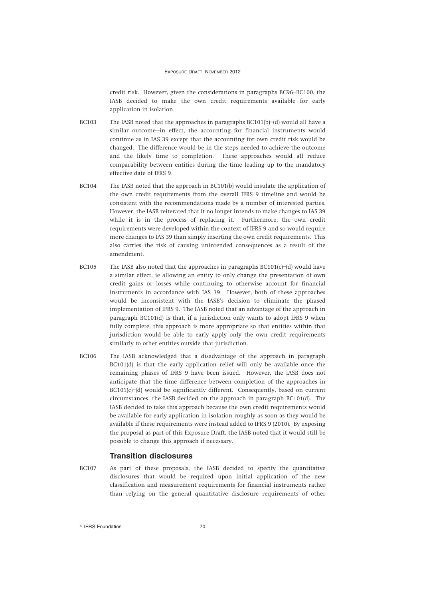credit risk. However, given the considerations in paragraphs BC96–BC100, the IASB decided to make the own credit requirements available for early application in isolation.

- BC103 The IASB noted that the approaches in paragraphs BC101(b)–(d) would all have a similar outcome—in effect, the accounting for financial instruments would continue as in IAS 39 except that the accounting for own credit risk would be changed. The difference would be in the steps needed to achieve the outcome and the likely time to completion. These approaches would all reduce comparability between entities during the time leading up to the mandatory effective date of IFRS 9.
- BC104 The IASB noted that the approach in BC101(b) would insulate the application of the own credit requirements from the overall IFRS 9 timeline and would be consistent with the recommendations made by a number of interested parties. However, the IASB reiterated that it no longer intends to make changes to IAS 39 while it is in the process of replacing it. Furthermore, the own credit requirements were developed within the context of IFRS 9 and so would require more changes to IAS 39 than simply inserting the own credit requirements. This also carries the risk of causing unintended consequences as a result of the amendment.
- BC105 The IASB also noted that the approaches in paragraphs BC101(c)–(d) would have a similar effect, ie allowing an entity to only change the presentation of own credit gains or losses while continuing to otherwise account for financial instruments in accordance with IAS 39. However, both of these approaches would be inconsistent with the IASB's decision to eliminate the phased implementation of IFRS 9. The IASB noted that an advantage of the approach in paragraph BC101(d) is that, if a jurisdiction only wants to adopt IFRS 9 when fully complete, this approach is more appropriate so that entities within that jurisdiction would be able to early apply only the own credit requirements similarly to other entities outside that jurisdiction.
- BC106 The IASB acknowledged that a disadvantage of the approach in paragraph BC101(d) is that the early application relief will only be available once the remaining phases of IFRS 9 have been issued. However, the IASB does not anticipate that the time difference between completion of the approaches in BC101(c)–(d) would be significantly different. Consequently, based on current circumstances, the IASB decided on the approach in paragraph BC101(d). The IASB decided to take this approach because the own credit requirements would be available for early application in isolation roughly as soon as they would be available if these requirements were instead added to IFRS 9 (2010). By exposing the proposal as part of this Exposure Draft, the IASB noted that it would still be possible to change this approach if necessary.

### **Transition disclosures**

BC107 As part of these proposals, the IASB decided to specify the quantitative disclosures that would be required upon initial application of the new classification and measurement requirements for financial instruments rather than relying on the general quantitative disclosure requirements of other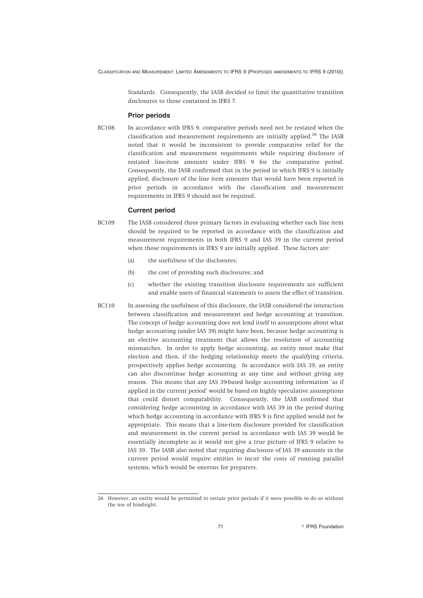Standards. Consequently, the IASB decided to limit the quantitative transition disclosures to those contained in IFRS 7.

#### **Prior periods**

BC108 In accordance with IFRS 9, comparative periods need not be restated when the classification and measurement requirements are initially applied.<sup>26</sup> The IASB noted that it would be inconsistent to provide comparative relief for the classification and measurement requirements while requiring disclosure of restated line-item amounts under IFRS 9 for the comparative period. Consequently, the IASB confirmed that in the period in which IFRS 9 is initially applied, disclosure of the line item amounts that would have been reported in prior periods in accordance with the classification and measurement requirements in IFRS 9 should not be required.

#### **Current period**

- BC109 The IASB considered three primary factors in evaluating whether each line item should be required to be reported in accordance with the classification and measurement requirements in both IFRS 9 and IAS 39 in the current period when those requirements in IFRS 9 are initially applied. These factors are:
	- (a) the usefulness of the disclosures;
	- (b) the cost of providing such disclosures; and
	- (c) whether the existing transition disclosure requirements are sufficient and enable users of financial statements to assess the effect of transition.
- BC110 In assessing the usefulness of this disclosure, the IASB considered the interaction between classification and measurement and hedge accounting at transition. The concept of hedge accounting does not lend itself to assumptions about what hedge accounting (under IAS 39) might have been, because hedge accounting is an elective accounting treatment that allows the resolution of accounting mismatches. In order to apply hedge accounting, an entity must make that election and then, if the hedging relationship meets the qualifying criteria, prospectively applies hedge accounting. In accordance with IAS 39, an entity can also discontinue hedge accounting at any time and without giving any reason. This means that any IAS 39-based hedge accounting information 'as if applied in the current period' would be based on highly speculative assumptions that could distort comparability. Consequently, the IASB confirmed that considering hedge accounting in accordance with IAS 39 in the period during which hedge accounting in accordance with IFRS 9 is first applied would not be appropriate. This means that a line-item disclosure provided for classification and measurement in the current period in accordance with IAS 39 would be essentially incomplete as it would not give a true picture of IFRS 9 relative to IAS 39. The IASB also noted that requiring disclosure of IAS 39 amounts in the current period would require entities to incur the costs of running parallel systems, which would be onerous for preparers.

<sup>26</sup> However, an entity would be permitted to restate prior periods if it were possible to do so without the use of hindsight.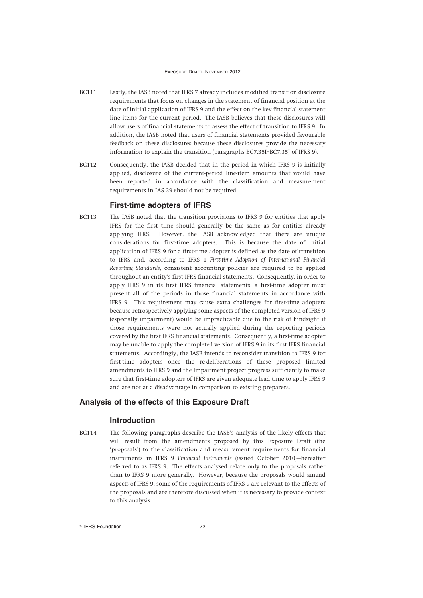- BC111 Lastly, the IASB noted that IFRS 7 already includes modified transition disclosure requirements that focus on changes in the statement of financial position at the date of initial application of IFRS 9 and the effect on the key financial statement line items for the current period. The IASB believes that these disclosures will allow users of financial statements to assess the effect of transition to IFRS 9. In addition, the IASB noted that users of financial statements provided favourable feedback on these disclosures because these disclosures provide the necessary information to explain the transition (paragraphs BC7.35I–BC7.35J of IFRS 9).
- BC112 Consequently, the IASB decided that in the period in which IFRS 9 is initially applied, disclosure of the current-period line-item amounts that would have been reported in accordance with the classification and measurement requirements in IAS 39 should not be required.

### **First-time adopters of IFRS**

BC113 The IASB noted that the transition provisions to IFRS 9 for entities that apply IFRS for the first time should generally be the same as for entities already applying IFRS. However, the IASB acknowledged that there are unique considerations for first-time adopters. This is because the date of initial application of IFRS 9 for a first-time adopter is defined as the date of transition to IFRS and, according to IFRS 1 *First-time Adoption of International Financial Reporting Standards*, consistent accounting policies are required to be applied throughout an entity's first IFRS financial statements. Consequently, in order to apply IFRS 9 in its first IFRS financial statements, a first-time adopter must present all of the periods in those financial statements in accordance with IFRS 9. This requirement may cause extra challenges for first-time adopters because retrospectively applying some aspects of the completed version of IFRS 9 (especially impairment) would be impracticable due to the risk of hindsight if those requirements were not actually applied during the reporting periods covered by the first IFRS financial statements. Consequently, a first-time adopter may be unable to apply the completed version of IFRS 9 in its first IFRS financial statements. Accordingly, the IASB intends to reconsider transition to IFRS 9 for first-time adopters once the re-deliberations of these proposed limited amendments to IFRS 9 and the Impairment project progress sufficiently to make sure that first-time adopters of IFRS are given adequate lead time to apply IFRS 9 and are not at a disadvantage in comparison to existing preparers.

## **Analysis of the effects of this Exposure Draft**

#### **Introduction**

BC114 The following paragraphs describe the IASB's analysis of the likely effects that will result from the amendments proposed by this Exposure Draft (the 'proposals') to the classification and measurement requirements for financial instruments in IFRS 9 *Financial Instruments* (issued October 2010)—hereafter referred to as IFRS 9. The effects analysed relate only to the proposals rather than to IFRS 9 more generally. However, because the proposals would amend aspects of IFRS 9, some of the requirements of IFRS 9 are relevant to the effects of the proposals and are therefore discussed when it is necessary to provide context to this analysis.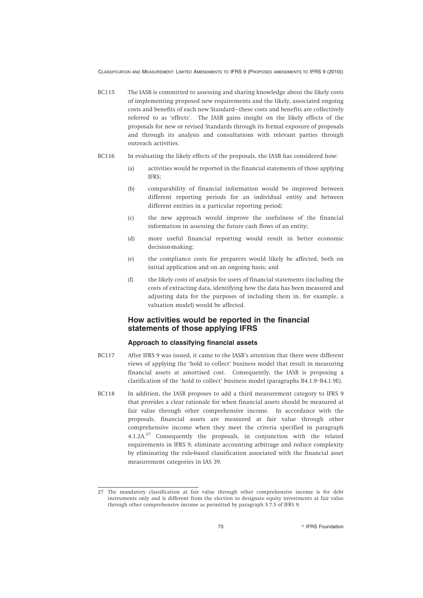- BC115 The IASB is committed to assessing and sharing knowledge about the likely costs of implementing proposed new requirements and the likely, associated ongoing costs and benefits of each new Standard—these costs and benefits are collectively referred to as 'effects'. The IASB gains insight on the likely effects of the proposals for new or revised Standards through its formal exposure of proposals and through its analysis and consultations with relevant parties through outreach activities.
- BC116 In evaluating the likely effects of the proposals, the IASB has considered how:
	- (a) activities would be reported in the financial statements of those applying IFRS;
	- (b) comparability of financial information would be improved between different reporting periods for an individual entity and between different entities in a particular reporting period;
	- (c) the new approach would improve the usefulness of the financial information in assessing the future cash flows of an entity;
	- (d) more useful financial reporting would result in better economic decision-making;
	- (e) the compliance costs for preparers would likely be affected, both on initial application and on an ongoing basis; and
	- (f) the likely costs of analysis for users of financial statements (including the costs of extracting data, identifying how the data has been measured and adjusting data for the purposes of including them in, for example, a valuation model) would be affected.

## **How activities would be reported in the financial statements of those applying IFRS**

#### **Approach to classifying financial assets**

- BC117 After IFRS 9 was issued, it came to the IASB's attention that there were different views of applying the 'hold to collect' business model that result in measuring financial assets at amortised cost. Consequently, the IASB is proposing a clarification of the 'hold to collect' business model (paragraphs B4.1.9–B4.1.9E).
- BC118 In addition, the IASB proposes to add a third measurement category to IFRS 9 that provides a clear rationale for when financial assets should be measured at fair value through other comprehensive income. In accordance with the proposals, financial assets are measured at fair value through other comprehensive income when they meet the criteria specified in paragraph  $4.1.2A<sup>27</sup>$  Consequently the proposals, in conjunction with the related requirements in IFRS 9, eliminate accounting arbitrage and reduce complexity by eliminating the rule-based classification associated with the financial asset measurement categories in IAS 39.

<sup>27</sup> The mandatory classification at fair value through other comprehensive income is for debt instruments only and is different from the election to designate equity investments at fair value through other comprehensive income as permitted by paragraph 5.7.5 of IFRS 9.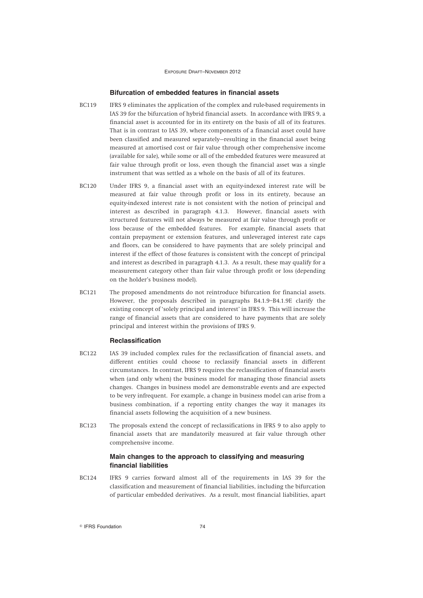#### **Bifurcation of embedded features in financial assets**

- BC119 IFRS 9 eliminates the application of the complex and rule-based requirements in IAS 39 for the bifurcation of hybrid financial assets. In accordance with IFRS 9, a financial asset is accounted for in its entirety on the basis of all of its features. That is in contrast to IAS 39, where components of a financial asset could have been classified and measured separately—resulting in the financial asset being measured at amortised cost or fair value through other comprehensive income (available for sale), while some or all of the embedded features were measured at fair value through profit or loss, even though the financial asset was a single instrument that was settled as a whole on the basis of all of its features.
- BC120 Under IFRS 9, a financial asset with an equity-indexed interest rate will be measured at fair value through profit or loss in its entirety, because an equity-indexed interest rate is not consistent with the notion of principal and interest as described in paragraph 4.1.3. However, financial assets with structured features will not always be measured at fair value through profit or loss because of the embedded features. For example, financial assets that contain prepayment or extension features, and unleveraged interest rate caps and floors, can be considered to have payments that are solely principal and interest if the effect of those features is consistent with the concept of principal and interest as described in paragraph 4.1.3. As a result, these may qualify for a measurement category other than fair value through profit or loss (depending on the holder's business model).
- BC121 The proposed amendments do not reintroduce bifurcation for financial assets. However, the proposals described in paragraphs B4.1.9–B4.1.9E clarify the existing concept of 'solely principal and interest' in IFRS 9. This will increase the range of financial assets that are considered to have payments that are solely principal and interest within the provisions of IFRS 9.

#### **Reclassification**

- BC122 IAS 39 included complex rules for the reclassification of financial assets, and different entities could choose to reclassify financial assets in different circumstances. In contrast, IFRS 9 requires the reclassification of financial assets when (and only when) the business model for managing those financial assets changes. Changes in business model are demonstrable events and are expected to be very infrequent. For example, a change in business model can arise from a business combination, if a reporting entity changes the way it manages its financial assets following the acquisition of a new business.
- BC123 The proposals extend the concept of reclassifications in IFRS 9 to also apply to financial assets that are mandatorily measured at fair value through other comprehensive income.

### **Main changes to the approach to classifying and measuring financial liabilities**

BC124 IFRS 9 carries forward almost all of the requirements in IAS 39 for the classification and measurement of financial liabilities, including the bifurcation of particular embedded derivatives. As a result, most financial liabilities, apart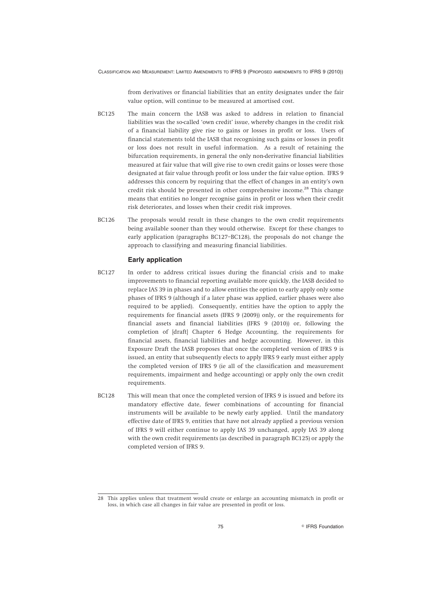from derivatives or financial liabilities that an entity designates under the fair value option, will continue to be measured at amortised cost.

- BC125 The main concern the IASB was asked to address in relation to financial liabilities was the so-called 'own credit' issue, whereby changes in the credit risk of a financial liability give rise to gains or losses in profit or loss. Users of financial statements told the IASB that recognising such gains or losses in profit or loss does not result in useful information. As a result of retaining the bifurcation requirements, in general the only non-derivative financial liabilities measured at fair value that will give rise to own credit gains or losses were those designated at fair value through profit or loss under the fair value option. IFRS 9 addresses this concern by requiring that the effect of changes in an entity's own credit risk should be presented in other comprehensive income.<sup>28</sup> This change means that entities no longer recognise gains in profit or loss when their credit risk deteriorates, and losses when their credit risk improves.
- BC126 The proposals would result in these changes to the own credit requirements being available sooner than they would otherwise. Except for these changes to early application (paragraphs BC127–BC128), the proposals do not change the approach to classifying and measuring financial liabilities.

### **Early application**

- BC127 In order to address critical issues during the financial crisis and to make improvements to financial reporting available more quickly, the IASB decided to replace IAS 39 in phases and to allow entities the option to early apply only some phases of IFRS 9 (although if a later phase was applied, earlier phases were also required to be applied). Consequently, entities have the option to apply the requirements for financial assets (IFRS 9 (2009)) only, or the requirements for financial assets and financial liabilities (IFRS 9 (2010)) or, following the completion of [draft] Chapter 6 Hedge Accounting, the requirements for financial assets, financial liabilities and hedge accounting. However, in this Exposure Draft the IASB proposes that once the completed version of IFRS 9 is issued, an entity that subsequently elects to apply IFRS 9 early must either apply the completed version of IFRS 9 (ie all of the classification and measurement requirements, impairment and hedge accounting) or apply only the own credit requirements.
- BC128 This will mean that once the completed version of IFRS 9 is issued and before its mandatory effective date, fewer combinations of accounting for financial instruments will be available to be newly early applied. Until the mandatory effective date of IFRS 9, entities that have not already applied a previous version of IFRS 9 will either continue to apply IAS 39 unchanged, apply IAS 39 along with the own credit requirements (as described in paragraph BC125) or apply the completed version of IFRS 9.

<sup>28</sup> This applies unless that treatment would create or enlarge an accounting mismatch in profit or loss, in which case all changes in fair value are presented in profit or loss.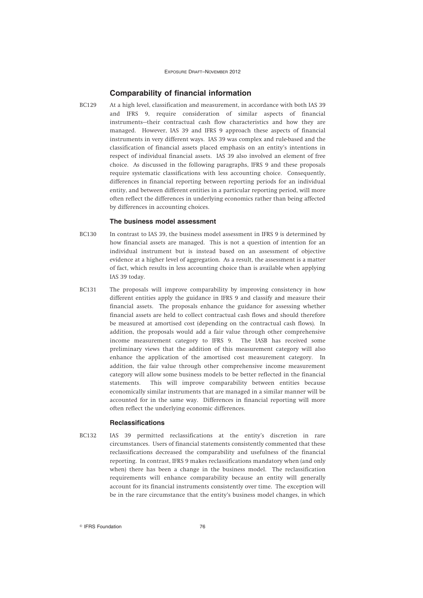## **Comparability of financial information**

BC129 At a high level, classification and measurement, in accordance with both IAS 39 and IFRS 9, require consideration of similar aspects of financial instruments—their contractual cash flow characteristics and how they are managed. However, IAS 39 and IFRS 9 approach these aspects of financial instruments in very different ways. IAS 39 was complex and rule-based and the classification of financial assets placed emphasis on an entity's intentions in respect of individual financial assets. IAS 39 also involved an element of free choice. As discussed in the following paragraphs, IFRS 9 and these proposals require systematic classifications with less accounting choice. Consequently, differences in financial reporting between reporting periods for an individual entity, and between different entities in a particular reporting period, will more often reflect the differences in underlying economics rather than being affected by differences in accounting choices.

#### **The business model assessment**

- BC130 In contrast to IAS 39, the business model assessment in IFRS 9 is determined by how financial assets are managed. This is not a question of intention for an individual instrument but is instead based on an assessment of objective evidence at a higher level of aggregation. As a result, the assessment is a matter of fact, which results in less accounting choice than is available when applying IAS 39 today.
- BC131 The proposals will improve comparability by improving consistency in how different entities apply the guidance in IFRS 9 and classify and measure their financial assets. The proposals enhance the guidance for assessing whether financial assets are held to collect contractual cash flows and should therefore be measured at amortised cost (depending on the contractual cash flows). In addition, the proposals would add a fair value through other comprehensive income measurement category to IFRS 9. The IASB has received some preliminary views that the addition of this measurement category will also enhance the application of the amortised cost measurement category. In addition, the fair value through other comprehensive income measurement category will allow some business models to be better reflected in the financial statements. This will improve comparability between entities because economically similar instruments that are managed in a similar manner will be accounted for in the same way. Differences in financial reporting will more often reflect the underlying economic differences.

#### **Reclassifications**

BC132 IAS 39 permitted reclassifications at the entity's discretion in rare circumstances. Users of financial statements consistently commented that these reclassifications decreased the comparability and usefulness of the financial reporting. In contrast, IFRS 9 makes reclassifications mandatory when (and only when) there has been a change in the business model. The reclassification requirements will enhance comparability because an entity will generally account for its financial instruments consistently over time. The exception will be in the rare circumstance that the entity's business model changes, in which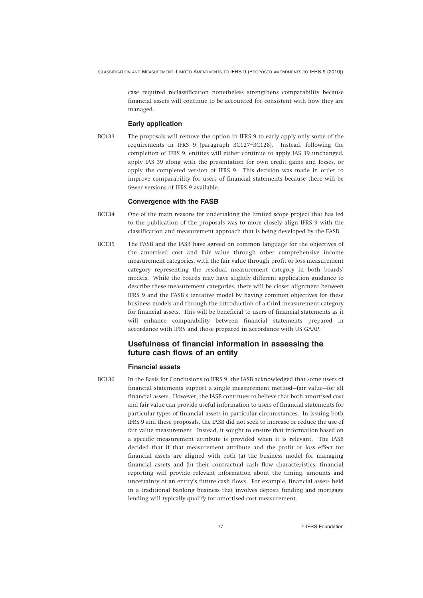case required reclassification nonetheless strengthens comparability because financial assets will continue to be accounted for consistent with how they are managed.

#### **Early application**

BC133 The proposals will remove the option in IFRS 9 to early apply only some of the requirements in IFRS 9 (paragraph BC127–BC128). Instead, following the completion of IFRS 9, entities will either continue to apply IAS 39 unchanged, apply IAS 39 along with the presentation for own credit gains and losses, or apply the completed version of IFRS 9. This decision was made in order to improve comparability for users of financial statements because there will be fewer versions of IFRS 9 available.

#### **Convergence with the FASB**

- BC134 One of the main reasons for undertaking the limited scope project that has led to the publication of the proposals was to more closely align IFRS 9 with the classification and measurement approach that is being developed by the FASB.
- BC135 The FASB and the IASB have agreed on common language for the objectives of the amortised cost and fair value through other comprehensive income measurement categories, with the fair value through profit or loss measurement category representing the residual measurement category in both boards' models. While the boards may have slightly different application guidance to describe these measurement categories, there will be closer alignment between IFRS 9 and the FASB's tentative model by having common objectives for these business models and through the introduction of a third measurement category for financial assets. This will be beneficial to users of financial statements as it will enhance comparability between financial statements prepared in accordance with IFRS and those prepared in accordance with US GAAP.

## **Usefulness of financial information in assessing the future cash flows of an entity**

#### **Financial assets**

BC136 In the Basis for Conclusions to IFRS 9, the IASB acknowledged that some users of financial statements support a single measurement method—fair value—for all financial assets. However, the IASB continues to believe that both amortised cost and fair value can provide useful information to users of financial statements for particular types of financial assets in particular circumstances. In issuing both IFRS 9 and these proposals, the IASB did not seek to increase or reduce the use of fair value measurement. Instead, it sought to ensure that information based on a specific measurement attribute is provided when it is relevant. The IASB decided that if that measurement attribute and the profit or loss effect for financial assets are aligned with both (a) the business model for managing financial assets and (b) their contractual cash flow characteristics, financial reporting will provide relevant information about the timing, amounts and uncertainty of an entity's future cash flows. For example, financial assets held in a traditional banking business that involves deposit funding and mortgage lending will typically qualify for amortised cost measurement.

77 **IFRS** Foundation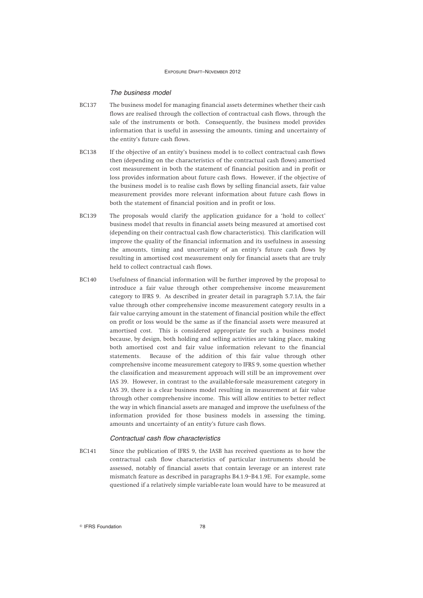#### *The business model*

- BC137 The business model for managing financial assets determines whether their cash flows are realised through the collection of contractual cash flows, through the sale of the instruments or both. Consequently, the business model provides information that is useful in assessing the amounts, timing and uncertainty of the entity's future cash flows.
- BC138 If the objective of an entity's business model is to collect contractual cash flows then (depending on the characteristics of the contractual cash flows) amortised cost measurement in both the statement of financial position and in profit or loss provides information about future cash flows. However, if the objective of the business model is to realise cash flows by selling financial assets, fair value measurement provides more relevant information about future cash flows in both the statement of financial position and in profit or loss.
- BC139 The proposals would clarify the application guidance for a 'hold to collect' business model that results in financial assets being measured at amortised cost (depending on their contractual cash flow characteristics). This clarification will improve the quality of the financial information and its usefulness in assessing the amounts, timing and uncertainty of an entity's future cash flows by resulting in amortised cost measurement only for financial assets that are truly held to collect contractual cash flows.
- BC140 Usefulness of financial information will be further improved by the proposal to introduce a fair value through other comprehensive income measurement category to IFRS 9. As described in greater detail in paragraph 5.7.1A, the fair value through other comprehensive income measurement category results in a fair value carrying amount in the statement of financial position while the effect on profit or loss would be the same as if the financial assets were measured at amortised cost. This is considered appropriate for such a business model because, by design, both holding and selling activities are taking place, making both amortised cost and fair value information relevant to the financial statements. Because of the addition of this fair value through other comprehensive income measurement category to IFRS 9, some question whether the classification and measurement approach will still be an improvement over IAS 39. However, in contrast to the available-for-sale measurement category in IAS 39, there is a clear business model resulting in measurement at fair value through other comprehensive income. This will allow entities to better reflect the way in which financial assets are managed and improve the usefulness of the information provided for those business models in assessing the timing, amounts and uncertainty of an entity's future cash flows.

#### *Contractual cash flow characteristics*

BC141 Since the publication of IFRS 9, the IASB has received questions as to how the contractual cash flow characteristics of particular instruments should be assessed, notably of financial assets that contain leverage or an interest rate mismatch feature as described in paragraphs B4.1.9–B4.1.9E. For example, some questioned if a relatively simple variable-rate loan would have to be measured at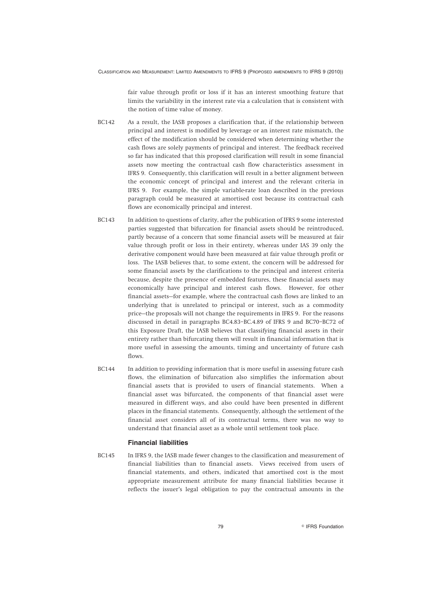fair value through profit or loss if it has an interest smoothing feature that limits the variability in the interest rate via a calculation that is consistent with the notion of time value of money.

- BC142 As a result, the IASB proposes a clarification that, if the relationship between principal and interest is modified by leverage or an interest rate mismatch, the effect of the modification should be considered when determining whether the cash flows are solely payments of principal and interest. The feedback received so far has indicated that this proposed clarification will result in some financial assets now meeting the contractual cash flow characteristics assessment in IFRS 9. Consequently, this clarification will result in a better alignment between the economic concept of principal and interest and the relevant criteria in IFRS 9. For example, the simple variable-rate loan described in the previous paragraph could be measured at amortised cost because its contractual cash flows are economically principal and interest.
- BC143 In addition to questions of clarity, after the publication of IFRS 9 some interested parties suggested that bifurcation for financial assets should be reintroduced, partly because of a concern that some financial assets will be measured at fair value through profit or loss in their entirety, whereas under IAS 39 only the derivative component would have been measured at fair value through profit or loss. The IASB believes that, to some extent, the concern will be addressed for some financial assets by the clarifications to the principal and interest criteria because, despite the presence of embedded features, these financial assets may economically have principal and interest cash flows. However, for other financial assets—for example, where the contractual cash flows are linked to an underlying that is unrelated to principal or interest, such as a commodity price—the proposals will not change the requirements in IFRS 9. For the reasons discussed in detail in paragraphs BC4.83–BC.4.89 of IFRS 9 and BC70–BC72 of this Exposure Draft, the IASB believes that classifying financial assets in their entirety rather than bifurcating them will result in financial information that is more useful in assessing the amounts, timing and uncertainty of future cash flows.
- BC144 In addition to providing information that is more useful in assessing future cash flows, the elimination of bifurcation also simplifies the information about financial assets that is provided to users of financial statements. When a financial asset was bifurcated, the components of that financial asset were measured in different ways, and also could have been presented in different places in the financial statements. Consequently, although the settlement of the financial asset considers all of its contractual terms, there was no way to understand that financial asset as a whole until settlement took place.

### **Financial liabilities**

BC145 In IFRS 9, the IASB made fewer changes to the classification and measurement of financial liabilities than to financial assets. Views received from users of financial statements, and others, indicated that amortised cost is the most appropriate measurement attribute for many financial liabilities because it reflects the issuer's legal obligation to pay the contractual amounts in the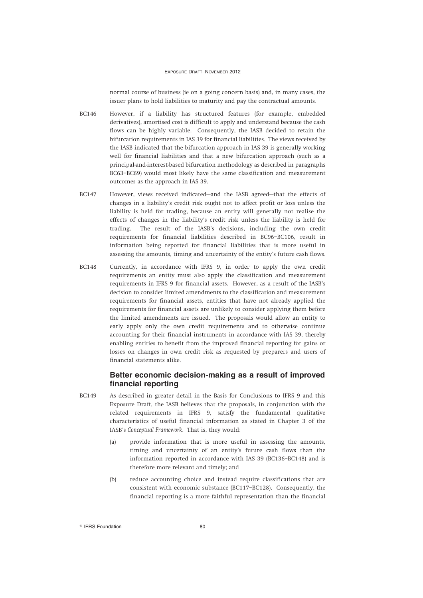normal course of business (ie on a going concern basis) and, in many cases, the issuer plans to hold liabilities to maturity and pay the contractual amounts.

- BC146 However, if a liability has structured features (for example, embedded derivatives), amortised cost is difficult to apply and understand because the cash flows can be highly variable. Consequently, the IASB decided to retain the bifurcation requirements in IAS 39 for financial liabilities. The views received by the IASB indicated that the bifurcation approach in IAS 39 is generally working well for financial liabilities and that a new bifurcation approach (such as a principal-and-interest-based bifurcation methodology as described in paragraphs BC63–BC69) would most likely have the same classification and measurement outcomes as the approach in IAS 39.
- BC147 However, views received indicated—and the IASB agreed—that the effects of changes in a liability's credit risk ought not to affect profit or loss unless the liability is held for trading, because an entity will generally not realise the effects of changes in the liability's credit risk unless the liability is held for trading. The result of the IASB's decisions, including the own credit requirements for financial liabilities described in BC96–BC106, result in information being reported for financial liabilities that is more useful in assessing the amounts, timing and uncertainty of the entity's future cash flows.
- BC148 Currently, in accordance with IFRS 9, in order to apply the own credit requirements an entity must also apply the classification and measurement requirements in IFRS 9 for financial assets. However, as a result of the IASB's decision to consider limited amendments to the classification and measurement requirements for financial assets, entities that have not already applied the requirements for financial assets are unlikely to consider applying them before the limited amendments are issued. The proposals would allow an entity to early apply only the own credit requirements and to otherwise continue accounting for their financial instruments in accordance with IAS 39, thereby enabling entities to benefit from the improved financial reporting for gains or losses on changes in own credit risk as requested by preparers and users of financial statements alike.

## **Better economic decision-making as a result of improved financial reporting**

- BC149 As described in greater detail in the Basis for Conclusions to IFRS 9 and this Exposure Draft, the IASB believes that the proposals, in conjunction with the related requirements in IFRS 9, satisfy the fundamental qualitative characteristics of useful financial information as stated in Chapter 3 of the IASB's *Conceptual Framework*. That is, they would:
	- (a) provide information that is more useful in assessing the amounts, timing and uncertainty of an entity's future cash flows than the information reported in accordance with IAS 39 (BC136–BC148) and is therefore more relevant and timely; and
	- (b) reduce accounting choice and instead require classifications that are consistent with economic substance (BC117–BC128). Consequently, the financial reporting is a more faithful representation than the financial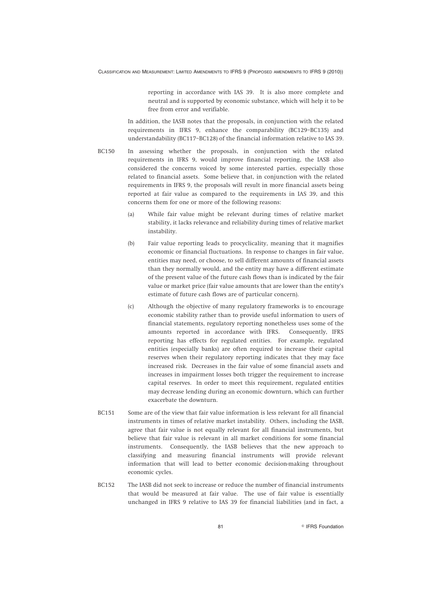reporting in accordance with IAS 39. It is also more complete and neutral and is supported by economic substance, which will help it to be free from error and verifiable.

In addition, the IASB notes that the proposals, in conjunction with the related requirements in IFRS 9, enhance the comparability (BC129–BC135) and understandability (BC117–BC128) of the financial information relative to IAS 39.

- BC150 In assessing whether the proposals, in conjunction with the related requirements in IFRS 9, would improve financial reporting, the IASB also considered the concerns voiced by some interested parties, especially those related to financial assets. Some believe that, in conjunction with the related requirements in IFRS 9, the proposals will result in more financial assets being reported at fair value as compared to the requirements in IAS 39, and this concerns them for one or more of the following reasons:
	- (a) While fair value might be relevant during times of relative market stability, it lacks relevance and reliability during times of relative market instability.
	- (b) Fair value reporting leads to procyclicality, meaning that it magnifies economic or financial fluctuations. In response to changes in fair value, entities may need, or choose, to sell different amounts of financial assets than they normally would, and the entity may have a different estimate of the present value of the future cash flows than is indicated by the fair value or market price (fair value amounts that are lower than the entity's estimate of future cash flows are of particular concern).
	- (c) Although the objective of many regulatory frameworks is to encourage economic stability rather than to provide useful information to users of financial statements, regulatory reporting nonetheless uses some of the amounts reported in accordance with IFRS. Consequently, IFRS reporting has effects for regulated entities. For example, regulated entities (especially banks) are often required to increase their capital reserves when their regulatory reporting indicates that they may face increased risk. Decreases in the fair value of some financial assets and increases in impairment losses both trigger the requirement to increase capital reserves. In order to meet this requirement, regulated entities may decrease lending during an economic downturn, which can further exacerbate the downturn.
- BC151 Some are of the view that fair value information is less relevant for all financial instruments in times of relative market instability. Others, including the IASB, agree that fair value is not equally relevant for all financial instruments, but believe that fair value is relevant in all market conditions for some financial instruments. Consequently, the IASB believes that the new approach to classifying and measuring financial instruments will provide relevant information that will lead to better economic decision-making throughout economic cycles.
- BC152 The IASB did not seek to increase or reduce the number of financial instruments that would be measured at fair value. The use of fair value is essentially unchanged in IFRS 9 relative to IAS 39 for financial liabilities (and in fact, a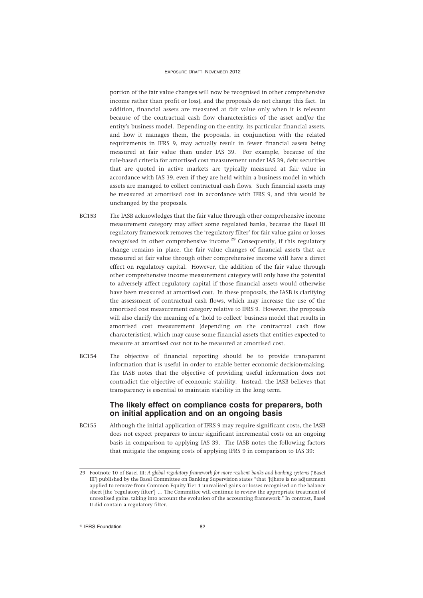portion of the fair value changes will now be recognised in other comprehensive income rather than profit or loss), and the proposals do not change this fact. In addition, financial assets are measured at fair value only when it is relevant because of the contractual cash flow characteristics of the asset and/or the entity's business model. Depending on the entity, its particular financial assets, and how it manages them, the proposals, in conjunction with the related requirements in IFRS 9, may actually result in fewer financial assets being measured at fair value than under IAS 39. For example, because of the rule-based criteria for amortised cost measurement under IAS 39, debt securities that are quoted in active markets are typically measured at fair value in accordance with IAS 39, even if they are held within a business model in which assets are managed to collect contractual cash flows. Such financial assets may be measured at amortised cost in accordance with IFRS 9, and this would be unchanged by the proposals.

- BC153 The IASB acknowledges that the fair value through other comprehensive income measurement category may affect some regulated banks, because the Basel III regulatory framework removes the 'regulatory filter' for fair value gains or losses recognised in other comprehensive income.<sup>29</sup> Consequently, if this regulatory change remains in place, the fair value changes of financial assets that are measured at fair value through other comprehensive income will have a direct effect on regulatory capital. However, the addition of the fair value through other comprehensive income measurement category will only have the potential to adversely affect regulatory capital if those financial assets would otherwise have been measured at amortised cost. In these proposals, the IASB is clarifying the assessment of contractual cash flows, which may increase the use of the amortised cost measurement category relative to IFRS 9. However, the proposals will also clarify the meaning of a 'hold to collect' business model that results in amortised cost measurement (depending on the contractual cash flow characteristics), which may cause some financial assets that entities expected to measure at amortised cost not to be measured at amortised cost.
- BC154 The objective of financial reporting should be to provide transparent information that is useful in order to enable better economic decision-making. The IASB notes that the objective of providing useful information does not contradict the objective of economic stability. Instead, the IASB believes that transparency is essential to maintain stability in the long term.

## **The likely effect on compliance costs for preparers, both on initial application and on an ongoing basis**

BC155 Although the initial application of IFRS 9 may require significant costs, the IASB does not expect preparers to incur significant incremental costs on an ongoing basis in comparison to applying IAS 39. The IASB notes the following factors that mitigate the ongoing costs of applying IFRS 9 in comparison to IAS 39:

<sup>29</sup> Footnote 10 of Basel III: *A global regulatory framework for more resilient banks and banking systems* ('Basel III') published by the Basel Committee on Banking Supervision states "that '[t]here is no adjustment applied to remove from Common Equity Tier 1 unrealised gains or losses recognised on the balance sheet [the 'regulatory filter'] ... The Committee will continue to review the appropriate treatment of unrealised gains, taking into account the evolution of the accounting framework." In contrast, Basel II did contain a regulatory filter.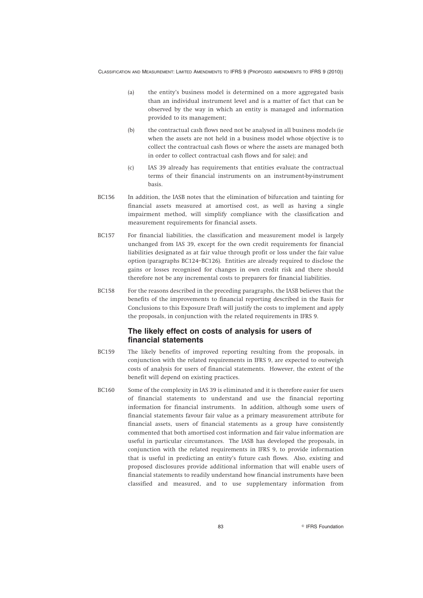- (a) the entity's business model is determined on a more aggregated basis than an individual instrument level and is a matter of fact that can be observed by the way in which an entity is managed and information provided to its management;
- (b) the contractual cash flows need not be analysed in all business models (ie when the assets are not held in a business model whose objective is to collect the contractual cash flows or where the assets are managed both in order to collect contractual cash flows and for sale); and
- (c) IAS 39 already has requirements that entities evaluate the contractual terms of their financial instruments on an instrument-by-instrument basis.
- BC156 In addition, the IASB notes that the elimination of bifurcation and tainting for financial assets measured at amortised cost, as well as having a single impairment method, will simplify compliance with the classification and measurement requirements for financial assets.
- BC157 For financial liabilities, the classification and measurement model is largely unchanged from IAS 39, except for the own credit requirements for financial liabilities designated as at fair value through profit or loss under the fair value option (paragraphs BC124–BC126). Entities are already required to disclose the gains or losses recognised for changes in own credit risk and there should therefore not be any incremental costs to preparers for financial liabilities.
- BC158 For the reasons described in the preceding paragraphs, the IASB believes that the benefits of the improvements to financial reporting described in the Basis for Conclusions to this Exposure Draft will justify the costs to implement and apply the proposals, in conjunction with the related requirements in IFRS 9.

## **The likely effect on costs of analysis for users of financial statements**

- BC159 The likely benefits of improved reporting resulting from the proposals, in conjunction with the related requirements in IFRS 9, are expected to outweigh costs of analysis for users of financial statements. However, the extent of the benefit will depend on existing practices.
- BC160 Some of the complexity in IAS 39 is eliminated and it is therefore easier for users of financial statements to understand and use the financial reporting information for financial instruments. In addition, although some users of financial statements favour fair value as a primary measurement attribute for financial assets, users of financial statements as a group have consistently commented that both amortised cost information and fair value information are useful in particular circumstances. The IASB has developed the proposals, in conjunction with the related requirements in IFRS 9, to provide information that is useful in predicting an entity's future cash flows. Also, existing and proposed disclosures provide additional information that will enable users of financial statements to readily understand how financial instruments have been classified and measured, and to use supplementary information from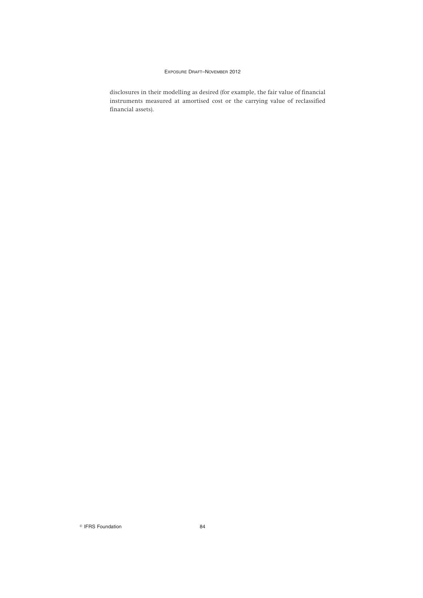disclosures in their modelling as desired (for example, the fair value of financial instruments measured at amortised cost or the carrying value of reclassified financial assets).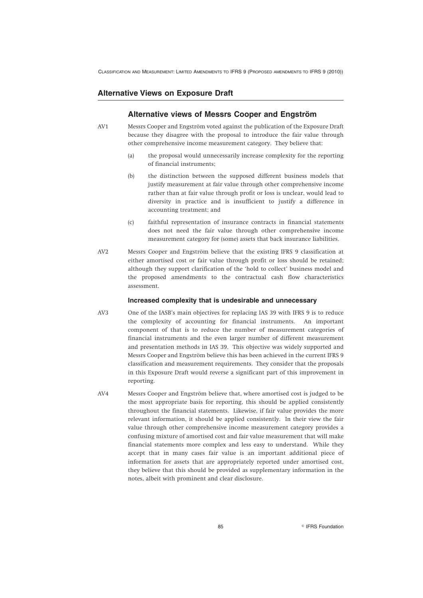### **Alternative Views on Exposure Draft**

### **Alternative views of Messrs Cooper and Engström**

- AV1 Messrs Cooper and Engström voted against the publication of the Exposure Draft because they disagree with the proposal to introduce the fair value through other comprehensive income measurement category. They believe that:
	- (a) the proposal would unnecessarily increase complexity for the reporting of financial instruments;
	- (b) the distinction between the supposed different business models that justify measurement at fair value through other comprehensive income rather than at fair value through profit or loss is unclear, would lead to diversity in practice and is insufficient to justify a difference in accounting treatment; and
	- (c) faithful representation of insurance contracts in financial statements does not need the fair value through other comprehensive income measurement category for (some) assets that back insurance liabilities.
- AV2 Messrs Cooper and Engström believe that the existing IFRS 9 classification at either amortised cost or fair value through profit or loss should be retained; although they support clarification of the 'hold to collect' business model and the proposed amendments to the contractual cash flow characteristics assessment.

### **Increased complexity that is undesirable and unnecessary**

- AV3 One of the IASB's main objectives for replacing IAS 39 with IFRS 9 is to reduce the complexity of accounting for financial instruments. An important component of that is to reduce the number of measurement categories of financial instruments and the even larger number of different measurement and presentation methods in IAS 39. This objective was widely supported and Messrs Cooper and Engström believe this has been achieved in the current IFRS 9 classification and measurement requirements. They consider that the proposals in this Exposure Draft would reverse a significant part of this improvement in reporting.
- AV4 Messrs Cooper and Engström believe that, where amortised cost is judged to be the most appropriate basis for reporting, this should be applied consistently throughout the financial statements. Likewise, if fair value provides the more relevant information, it should be applied consistently. In their view the fair value through other comprehensive income measurement category provides a confusing mixture of amortised cost and fair value measurement that will make financial statements more complex and less easy to understand. While they accept that in many cases fair value is an important additional piece of information for assets that are appropriately reported under amortised cost, they believe that this should be provided as supplementary information in the notes, albeit with prominent and clear disclosure.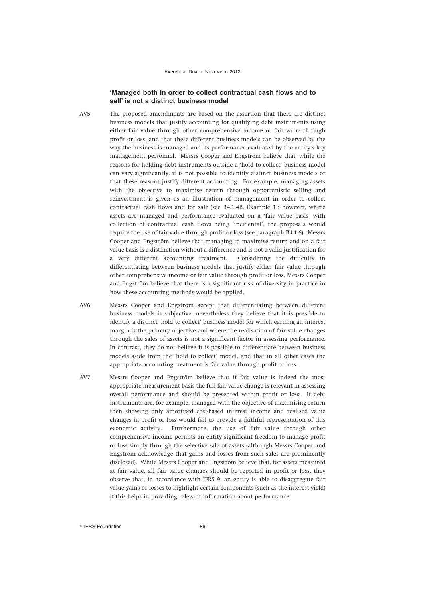### **'Managed both in order to collect contractual cash flows and to sell' is not a distinct business model**

- AV5 The proposed amendments are based on the assertion that there are distinct business models that justify accounting for qualifying debt instruments using either fair value through other comprehensive income or fair value through profit or loss, and that these different business models can be observed by the way the business is managed and its performance evaluated by the entity's key management personnel. Messrs Cooper and Engström believe that, while the reasons for holding debt instruments outside a 'hold to collect' business model can vary significantly, it is not possible to identify distinct business models or that these reasons justify different accounting. For example, managing assets with the objective to maximise return through opportunistic selling and reinvestment is given as an illustration of management in order to collect contractual cash flows and for sale (see B4.1.4B, Example 1); however, where assets are managed and performance evaluated on a 'fair value basis' with collection of contractual cash flows being 'incidental', the proposals would require the use of fair value through profit or loss (see paragraph B4.1.6). Messrs Cooper and Engström believe that managing to maximise return and on a fair value basis is a distinction without a difference and is not a valid justification for a very different accounting treatment. Considering the difficulty in differentiating between business models that justify either fair value through other comprehensive income or fair value through profit or loss, Messrs Cooper and Engström believe that there is a significant risk of diversity in practice in how these accounting methods would be applied.
- AV6 Messrs Cooper and Engström accept that differentiating between different business models is subjective, nevertheless they believe that it is possible to identify a distinct 'hold to collect' business model for which earning an interest margin is the primary objective and where the realisation of fair value changes through the sales of assets is not a significant factor in assessing performance. In contrast, they do not believe it is possible to differentiate between business models aside from the 'hold to collect' model, and that in all other cases the appropriate accounting treatment is fair value through profit or loss.
- AV7 Messrs Cooper and Engström believe that if fair value is indeed the most appropriate measurement basis the full fair value change is relevant in assessing overall performance and should be presented within profit or loss. If debt instruments are, for example, managed with the objective of maximising return then showing only amortised cost-based interest income and realised value changes in profit or loss would fail to provide a faithful representation of this economic activity. Furthermore, the use of fair value through other comprehensive income permits an entity significant freedom to manage profit or loss simply through the selective sale of assets (although Messrs Cooper and Engström acknowledge that gains and losses from such sales are prominently disclosed). While Messrs Cooper and Engström believe that, for assets measured at fair value, all fair value changes should be reported in profit or loss, they observe that, in accordance with IFRS 9, an entity is able to disaggregate fair value gains or losses to highlight certain components (such as the interest yield) if this helps in providing relevant information about performance.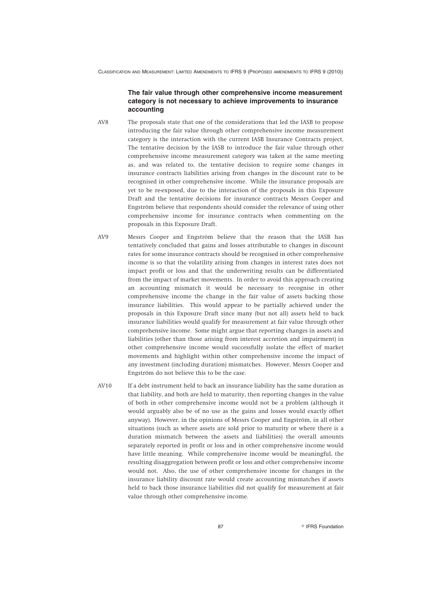### **The fair value through other comprehensive income measurement category is not necessary to achieve improvements to insurance accounting**

- AV8 The proposals state that one of the considerations that led the IASB to propose introducing the fair value through other comprehensive income measurement category is the interaction with the current IASB Insurance Contracts project. The tentative decision by the IASB to introduce the fair value through other comprehensive income measurement category was taken at the same meeting as, and was related to, the tentative decision to require some changes in insurance contracts liabilities arising from changes in the discount rate to be recognised in other comprehensive income. While the insurance proposals are yet to be re-exposed, due to the interaction of the proposals in this Exposure Draft and the tentative decisions for insurance contracts Messrs Cooper and Engström believe that respondents should consider the relevance of using other comprehensive income for insurance contracts when commenting on the proposals in this Exposure Draft.
- AV9 Messrs Cooper and Engström believe that the reason that the IASB has tentatively concluded that gains and losses attributable to changes in discount rates for some insurance contracts should be recognised in other comprehensive income is so that the volatility arising from changes in interest rates does not impact profit or loss and that the underwriting results can be differentiated from the impact of market movements. In order to avoid this approach creating an accounting mismatch it would be necessary to recognise in other comprehensive income the change in the fair value of assets backing those insurance liabilities. This would appear to be partially achieved under the proposals in this Exposure Draft since many (but not all) assets held to back insurance liabilities would qualify for measurement at fair value through other comprehensive income. Some might argue that reporting changes in assets and liabilities (other than those arising from interest accretion and impairment) in other comprehensive income would successfully isolate the effect of market movements and highlight within other comprehensive income the impact of any investment (including duration) mismatches. However, Messrs Cooper and Engström do not believe this to be the case.
- AV10 If a debt instrument held to back an insurance liability has the same duration as that liability, and both are held to maturity, then reporting changes in the value of both in other comprehensive income would not be a problem (although it would arguably also be of no use as the gains and losses would exactly offset anyway). However, in the opinions of Messrs Cooper and Engström, in all other situations (such as where assets are sold prior to maturity or where there is a duration mismatch between the assets and liabilities) the overall amounts separately reported in profit or loss and in other comprehensive income would have little meaning. While comprehensive income would be meaningful, the resulting disaggregation between profit or loss and other comprehensive income would not. Also, the use of other comprehensive income for changes in the insurance liability discount rate would create accounting mismatches if assets held to back those insurance liabilities did not qualify for measurement at fair value through other comprehensive income.

87 **IFRS** Foundation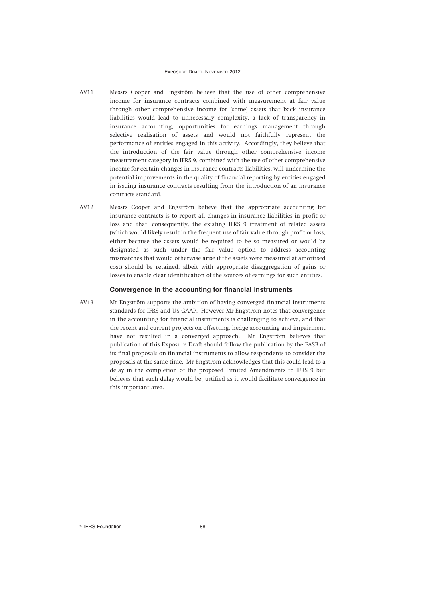- AV11 Messrs Cooper and Engström believe that the use of other comprehensive income for insurance contracts combined with measurement at fair value through other comprehensive income for (some) assets that back insurance liabilities would lead to unnecessary complexity, a lack of transparency in insurance accounting, opportunities for earnings management through selective realisation of assets and would not faithfully represent the performance of entities engaged in this activity. Accordingly, they believe that the introduction of the fair value through other comprehensive income measurement category in IFRS 9, combined with the use of other comprehensive income for certain changes in insurance contracts liabilities, will undermine the potential improvements in the quality of financial reporting by entities engaged in issuing insurance contracts resulting from the introduction of an insurance contracts standard.
- AV12 Messrs Cooper and Engström believe that the appropriate accounting for insurance contracts is to report all changes in insurance liabilities in profit or loss and that, consequently, the existing IFRS 9 treatment of related assets (which would likely result in the frequent use of fair value through profit or loss, either because the assets would be required to be so measured or would be designated as such under the fair value option to address accounting mismatches that would otherwise arise if the assets were measured at amortised cost) should be retained, albeit with appropriate disaggregation of gains or losses to enable clear identification of the sources of earnings for such entities.

#### **Convergence in the accounting for financial instruments**

AV13 Mr Engström supports the ambition of having converged financial instruments standards for IFRS and US GAAP. However Mr Engström notes that convergence in the accounting for financial instruments is challenging to achieve, and that the recent and current projects on offsetting, hedge accounting and impairment have not resulted in a converged approach. Mr Engström believes that publication of this Exposure Draft should follow the publication by the FASB of its final proposals on financial instruments to allow respondents to consider the proposals at the same time. Mr Engström acknowledges that this could lead to a delay in the completion of the proposed Limited Amendments to IFRS 9 but believes that such delay would be justified as it would facilitate convergence in this important area.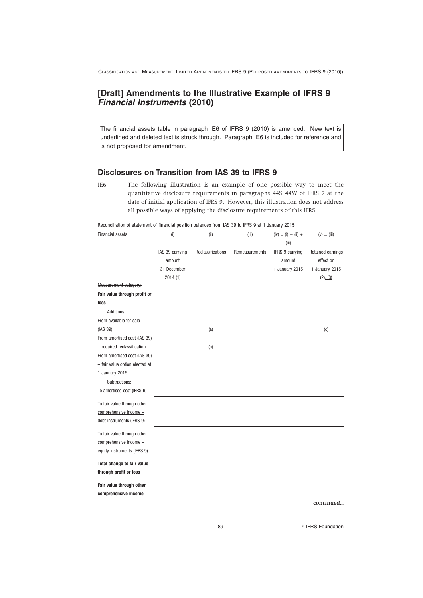# **[Draft] Amendments to the Illustrative Example of IFRS 9** *Financial Instruments* **(2010)**

The financial assets table in paragraph IE6 of IFRS 9 (2010) is amended. New text is underlined and deleted text is struck through. Paragraph IE6 is included for reference and is not proposed for amendment.

## **Disclosures on Transition from IAS 39 to IFRS 9**

IE6 The following illustration is an example of one possible way to meet the quantitative disclosure requirements in paragraphs 44S–44W of IFRS 7 at the date of initial application of IFRS 9. However, this illustration does not address all possible ways of applying the disclosure requirements of this IFRS.

Reconciliation of statement of financial position balances from IAS 39 to IFRS 9 at 1 January 2015

| <b>Financial assets</b>        | (i)                       | (i)               | (iii)          | $(iv) = (i) + (ii) +$<br>(iii) | $(v) = (iii)$                  |
|--------------------------------|---------------------------|-------------------|----------------|--------------------------------|--------------------------------|
|                                | IAS 39 carrying<br>amount | Reclassifications | Remeasurements | IFRS 9 carrying<br>amount      | Retained earnings<br>effect on |
|                                | 31 December               |                   |                | 1 January 2015                 | 1 January 2015                 |
|                                | 2014(1)                   |                   |                |                                | (2), (3)                       |
| Measurement category:          |                           |                   |                |                                |                                |
| Fair value through profit or   |                           |                   |                |                                |                                |
| loss                           |                           |                   |                |                                |                                |
| Additions:                     |                           |                   |                |                                |                                |
| From available for sale        |                           |                   |                |                                |                                |
| (IAS 39)                       |                           | (a)               |                |                                | (C)                            |
| From amortised cost (IAS 39)   |                           |                   |                |                                |                                |
| - required reclassification    |                           | (b)               |                |                                |                                |
| From amortised cost (IAS 39)   |                           |                   |                |                                |                                |
| - fair value option elected at |                           |                   |                |                                |                                |
| 1 January 2015                 |                           |                   |                |                                |                                |
| Subtractions:                  |                           |                   |                |                                |                                |
| To amortised cost (IFRS 9)     |                           |                   |                |                                |                                |
| To fair value through other    |                           |                   |                |                                |                                |
| comprehensive income -         |                           |                   |                |                                |                                |
| debt instruments (IFRS 9)      |                           |                   |                |                                |                                |
| To fair value through other    |                           |                   |                |                                |                                |
| comprehensive income -         |                           |                   |                |                                |                                |
| equity instruments (IFRS 9)    |                           |                   |                |                                |                                |
| Total change to fair value     |                           |                   |                |                                |                                |
| through profit or loss         |                           |                   |                |                                |                                |
| Fair value through other       |                           |                   |                |                                |                                |
| comprehensive income           |                           |                   |                |                                |                                |
|                                |                           |                   |                |                                | continued                      |
|                                |                           |                   |                |                                |                                |

89 **IFRS Foundation**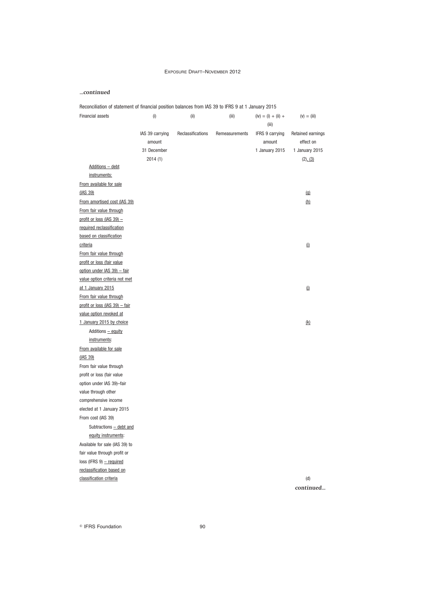## *...continued*

| Reconciliation of statement of financial position balances from IAS 39 to IFRS 9 at 1 January 2015 |  |  |
|----------------------------------------------------------------------------------------------------|--|--|
|                                                                                                    |  |  |

| <b>Financial assets</b>        | (i)             | (ii)              | (iii)          | $(iv) = (i) + (ii) +$<br>(iii) | $(v) = (iii)$         |
|--------------------------------|-----------------|-------------------|----------------|--------------------------------|-----------------------|
|                                | IAS 39 carrying | Reclassifications | Remeasurements | IFRS 9 carrying                | Retained earnings     |
|                                | amount          |                   |                | amount                         | effect on             |
|                                | 31 December     |                   |                | 1 January 2015                 | 1 January 2015        |
|                                | 2014(1)         |                   |                |                                | (2), (3)              |
| <b>Additions - debt</b>        |                 |                   |                |                                |                       |
| instruments:                   |                 |                   |                |                                |                       |
| From available for sale        |                 |                   |                |                                |                       |
| (IAS 39)                       |                 |                   |                |                                | (q)                   |
| From amortised cost (IAS 39)   |                 |                   |                |                                | (h)                   |
| From fair value through        |                 |                   |                |                                |                       |
| profit or loss (IAS 39) -      |                 |                   |                |                                |                       |
| required reclassification      |                 |                   |                |                                |                       |
| based on classification        |                 |                   |                |                                |                       |
| criteria                       |                 |                   |                |                                | $\overline{\text{u}}$ |
| From fair value through        |                 |                   |                |                                |                       |
| profit or loss (fair value     |                 |                   |                |                                |                       |
| option under IAS 39) - fair    |                 |                   |                |                                |                       |
| value option criteria not met  |                 |                   |                |                                |                       |
| at 1 January 2015              |                 |                   |                |                                | $\Omega$              |
| From fair value through        |                 |                   |                |                                |                       |
| profit or loss (IAS 39) - fair |                 |                   |                |                                |                       |
| value option revoked at        |                 |                   |                |                                |                       |
| 1 January 2015 by choice       |                 |                   |                |                                | (k)                   |
| Additions - equity             |                 |                   |                |                                |                       |
| instruments:                   |                 |                   |                |                                |                       |
| From available for sale        |                 |                   |                |                                |                       |
| (IAS 39)                       |                 |                   |                |                                |                       |
| From fair value through        |                 |                   |                |                                |                       |
| profit or loss (fair value     |                 |                   |                |                                |                       |
| option under IAS 39)-fair      |                 |                   |                |                                |                       |
| value through other            |                 |                   |                |                                |                       |
| comprehensive income           |                 |                   |                |                                |                       |
| elected at 1 January 2015      |                 |                   |                |                                |                       |
| From cost (IAS 39)             |                 |                   |                |                                |                       |
| Subtractions - debt and        |                 |                   |                |                                |                       |
| equity instruments:            |                 |                   |                |                                |                       |
| Available for sale (IAS 39) to |                 |                   |                |                                |                       |
| fair value through profit or   |                 |                   |                |                                |                       |
| $loss$ (IFRS 9) – required     |                 |                   |                |                                |                       |
| reclassification based on      |                 |                   |                |                                |                       |
| classification criteria        |                 |                   |                |                                | (d)                   |

*continued...*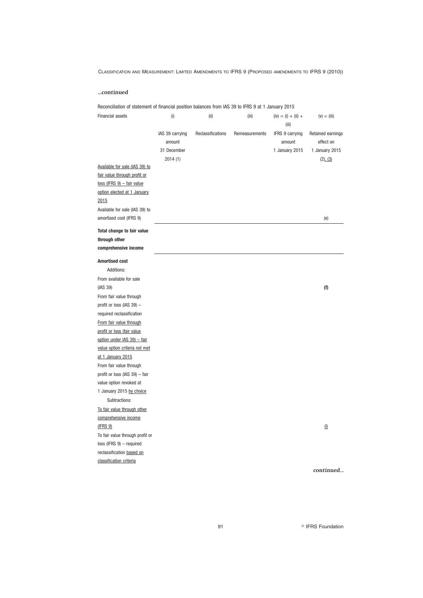### *...continued*

Reconciliation of statement of financial position balances from IAS 39 to IFRS 9 at 1 January 2015

| (iii)<br>IAS 39 carrying<br>Reclassifications<br><b>IFRS 9 carrying</b><br>Retained earnings<br>Remeasurements<br>effect on<br>amount<br>amount<br>31 December<br>1 January 2015<br>1 January 2015<br>2014(1)<br>(2), (3)<br>Available for sale (IAS 39) to |  |
|-------------------------------------------------------------------------------------------------------------------------------------------------------------------------------------------------------------------------------------------------------------|--|
|                                                                                                                                                                                                                                                             |  |
| fair value through profit or<br>$loss$ (IFRS $9$ ) - fair value<br>option elected at 1 January<br>2015<br>Available for sale (IAS 39) to<br>amortised cost (IFRS 9)<br>(e)                                                                                  |  |
| Total change to fair value                                                                                                                                                                                                                                  |  |
| through other                                                                                                                                                                                                                                               |  |
| comprehensive income                                                                                                                                                                                                                                        |  |
| <b>Amortised cost</b>                                                                                                                                                                                                                                       |  |
| Additions:                                                                                                                                                                                                                                                  |  |
| From available for sale                                                                                                                                                                                                                                     |  |
| (IAS 39)<br>(f)                                                                                                                                                                                                                                             |  |
| From fair value through                                                                                                                                                                                                                                     |  |
| profit or loss (IAS 39) -                                                                                                                                                                                                                                   |  |
| required reclassification                                                                                                                                                                                                                                   |  |
| From fair value through                                                                                                                                                                                                                                     |  |
| profit or loss (fair value                                                                                                                                                                                                                                  |  |
| option under IAS 39) - fair                                                                                                                                                                                                                                 |  |
| value option criteria not met                                                                                                                                                                                                                               |  |
| at 1 January 2015                                                                                                                                                                                                                                           |  |
| From fair value through                                                                                                                                                                                                                                     |  |
| profit or loss (IAS 39) - fair                                                                                                                                                                                                                              |  |
| value option revoked at                                                                                                                                                                                                                                     |  |
| 1 January 2015 by choice                                                                                                                                                                                                                                    |  |
| Subtractions:                                                                                                                                                                                                                                               |  |
| To fair value through other                                                                                                                                                                                                                                 |  |
| comprehensive income                                                                                                                                                                                                                                        |  |
| (IFRS 9)<br>$(\underline{\mathbb{I}})$                                                                                                                                                                                                                      |  |
| To fair value through profit or                                                                                                                                                                                                                             |  |
| $loss$ (IFRS $9$ ) - required                                                                                                                                                                                                                               |  |
| reclassification based on                                                                                                                                                                                                                                   |  |
| classification criteria<br>continued                                                                                                                                                                                                                        |  |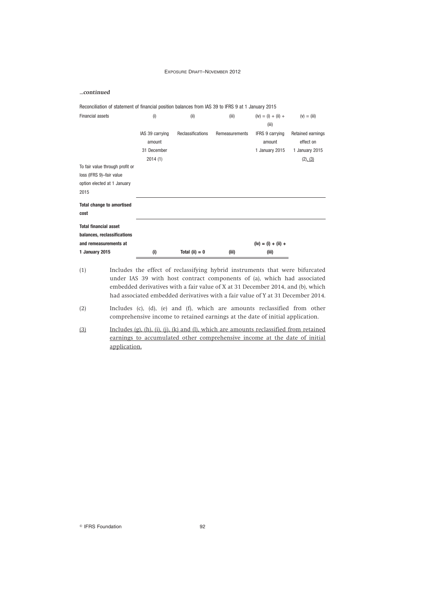### *...continued*

| Reconciliation of statement of financial position balances from IAS 39 to IFRS 9 at 1 January 2015 |                                          |                   |                |                                                    |                                                  |
|----------------------------------------------------------------------------------------------------|------------------------------------------|-------------------|----------------|----------------------------------------------------|--------------------------------------------------|
| Financial assets                                                                                   | (i)                                      | (ii)              | (iii)          | $(iv) = (i) + (ii) +$<br>(iii)                     | $(v) = (iii)$                                    |
|                                                                                                    | IAS 39 carrying<br>amount<br>31 December | Reclassifications | Remeasurements | <b>IFRS 9 carrying</b><br>amount<br>1 January 2015 | Retained earnings<br>effect on<br>1 January 2015 |
|                                                                                                    | 2014(1)                                  |                   |                |                                                    | (2), (3)                                         |
| To fair value through profit or<br>loss (IFRS 9)-fair value<br>option elected at 1 January<br>2015 |                                          |                   |                |                                                    |                                                  |
| <b>Total change to amortised</b><br>cost                                                           |                                          |                   |                |                                                    |                                                  |
| <b>Total financial asset</b><br>balances, reclassifications<br>and remeasurements at               |                                          |                   |                | $(iv) = (i) + (ii) +$                              |                                                  |
| 1 January 2015                                                                                     | (i)                                      | Total (ii) $= 0$  | (iii)          | (iii)                                              |                                                  |

(1) Includes the effect of reclassifying hybrid instruments that were bifurcated under IAS 39 with host contract components of (a), which had associated embedded derivatives with a fair value of X at 31 December 2014, and (b), which had associated embedded derivatives with a fair value of Y at 31 December 2014.

- (2) Includes (c), (d), (e) and (f), which are amounts reclassified from other comprehensive income to retained earnings at the date of initial application.
- (3) Includes (g), (h), (i), (j), (k) and (l), which are amounts reclassified from retained earnings to accumulated other comprehensive income at the date of initial application.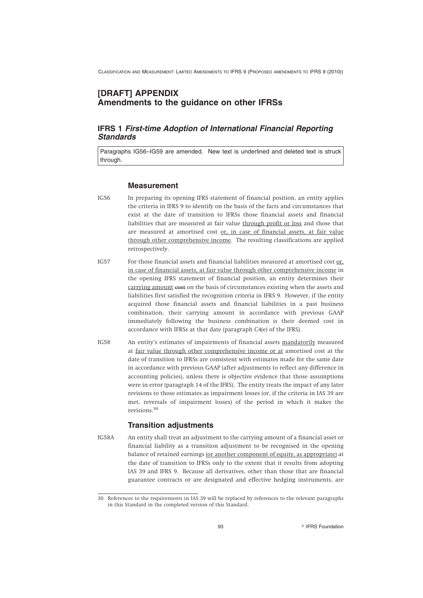# **[DRAFT] APPENDIX Amendments to the guidance on other IFRSs**

# **IFRS 1** *First-time Adoption of International Financial Reporting Standards*

Paragraphs IG56–IG59 are amended. New text is underlined and deleted text is struck through.

### **Measurement**

- IG56 In preparing its opening IFRS statement of financial position, an entity applies the criteria in IFRS 9 to identify on the basis of the facts and circumstances that exist at the date of transition to IFRSs those financial assets and financial liabilities that are measured at fair value through profit or loss and those that are measured at amortised cost or, in case of financial assets, at fair value through other comprehensive income. The resulting classifications are applied retrospectively.
- IG57 For those financial assets and financial liabilities measured at amortised cost or, in case of financial assets, at fair value through other comprehensive income in the opening IFRS statement of financial position, an entity determines their carrying amount cost on the basis of circumstances existing when the assets and liabilities first satisfied the recognition criteria in IFRS 9. However, if the entity acquired those financial assets and financial liabilities in a past business combination, their carrying amount in accordance with previous GAAP immediately following the business combination is their deemed cost in accordance with IFRSs at that date (paragraph C4(e) of the IFRS).
- IG58 An entity's estimates of impairments of financial assets mandatorily measured at fair value through other comprehensive income or at amortised cost at the date of transition to IFRSs are consistent with estimates made for the same date in accordance with previous GAAP (after adjustments to reflect any difference in accounting policies), unless there is objective evidence that those assumptions were in error (paragraph 14 of the IFRS). The entity treats the impact of any later revisions to those estimates as impairment losses (or, if the criteria in IAS 39 are met, reversals of impairment losses) of the period in which it makes the revisions.<sup>30</sup>

## **Transition adjustments**

IG58A An entity shall treat an adjustment to the carrying amount of a financial asset or financial liability as a transition adjustment to be recognised in the opening balance of retained earnings (or another component of equity, as appropriate) at the date of transition to IFRSs only to the extent that it results from adopting IAS 39 and IFRS 9. Because all derivatives, other than those that are financial guarantee contracts or are designated and effective hedging instruments, are

<sup>30</sup> References to the requirements in IAS 39 will be replaced by references to the relevant paragraphs in this Standard in the completed version of this Standard.